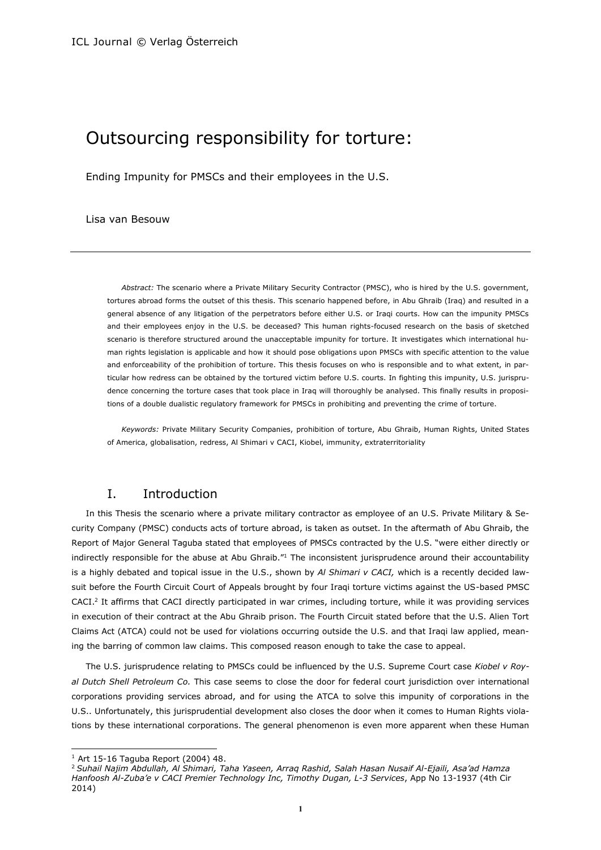## Outsourcing responsibility for torture:

Ending Impunity for PMSCs and their employees in the U.S.

#### Lisa van Besouw

*Abstract:* The scenario where a Private Military Security Contractor (PMSC), who is hired by the U.S. government, tortures abroad forms the outset of this thesis. This scenario happened before, in Abu Ghraib (Iraq) and resulted in a general absence of any litigation of the perpetrators before either U.S. or Iraqi courts. How can the impunity PMSCs and their employees enjoy in the U.S. be deceased? This human rights-focused research on the basis of sketched scenario is therefore structured around the unacceptable impunity for torture. It investigates which international human rights legislation is applicable and how it should pose obligations upon PMSCs with specific attention to the value and enforceability of the prohibition of torture. This thesis focuses on who is responsible and to what extent, in particular how redress can be obtained by the tortured victim before U.S. courts. In fighting this impunity, U.S. jurisprudence concerning the torture cases that took place in Iraq will thoroughly be analysed. This finally results in propositions of a double dualistic regulatory framework for PMSCs in prohibiting and preventing the crime of torture.

*Keywords:* Private Military Security Companies, prohibition of torture, Abu Ghraib, Human Rights, United States of America, globalisation, redress, Al Shimari v CACI, Kiobel, immunity, extraterritoriality

## I. Introduction

In this Thesis the scenario where a private military contractor as employee of an U.S. Private Military & Security Company (PMSC) conducts acts of torture abroad, is taken as outset. In the aftermath of Abu Ghraib, the Report of Major General Taguba stated that employees of PMSCs contracted by the U.S. "were either directly or indirectly responsible for the abuse at Abu Ghraib."<sup>1</sup> The inconsistent jurisprudence around their accountability is a highly debated and topical issue in the U.S., shown by *Al Shimari v CACI,* which is a recently decided lawsuit before the Fourth Circuit Court of Appeals brought by four Iraqi torture victims against the US-based PMSC CACI.<sup>2</sup> It affirms that CACI directly participated in war crimes, including torture, while it was providing services in execution of their contract at the Abu Ghraib prison. The Fourth Circuit stated before that the U.S. Alien Tort Claims Act (ATCA) could not be used for violations occurring outside the U.S. and that Iraqi law applied, meaning the barring of common law claims. This composed reason enough to take the case to appeal.

The U.S. jurisprudence relating to PMSCs could be influenced by the U.S. Supreme Court case *Kiobel v Royal Dutch Shell Petroleum Co.* This case seems to close the door for federal court jurisdiction over international corporations providing services abroad, and for using the ATCA to solve this impunity of corporations in the U.S.. Unfortunately, this jurisprudential development also closes the door when it comes to Human Rights violations by these international corporations. The general phenomenon is even more apparent when these Human

l

 $1$  Art 15-16 Taguba Report (2004) 48.

<sup>2</sup> *Suhail Najim Abdullah, Al Shimari, Taha Yaseen, Arraq Rashid, Salah Hasan Nusaif Al-Ejaili, Asa'ad Hamza Hanfoosh Al-Zuba'e v CACI Premier Technology Inc, Timothy Dugan, L-3 Services*, App No 13-1937 (4th Cir 2014)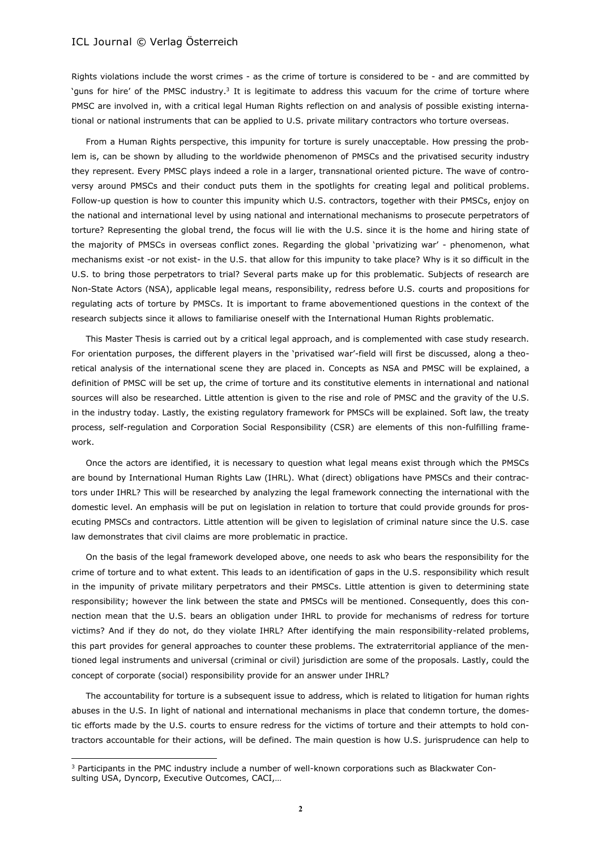Rights violations include the worst crimes - as the crime of torture is considered to be - and are committed by `guns for hire' of the PMSC industry.<sup>3</sup> It is legitimate to address this vacuum for the crime of torture where PMSC are involved in, with a critical legal Human Rights reflection on and analysis of possible existing international or national instruments that can be applied to U.S. private military contractors who torture overseas.

From a Human Rights perspective, this impunity for torture is surely unacceptable. How pressing the problem is, can be shown by alluding to the worldwide phenomenon of PMSCs and the privatised security industry they represent. Every PMSC plays indeed a role in a larger, transnational oriented picture. The wave of controversy around PMSCs and their conduct puts them in the spotlights for creating legal and political problems. Follow-up question is how to counter this impunity which U.S. contractors, together with their PMSCs, enjoy on the national and international level by using national and international mechanisms to prosecute perpetrators of torture? Representing the global trend, the focus will lie with the U.S. since it is the home and hiring state of the majority of PMSCs in overseas conflict zones. Regarding the global 'privatizing war' - phenomenon, what mechanisms exist -or not exist- in the U.S. that allow for this impunity to take place? Why is it so difficult in the U.S. to bring those perpetrators to trial? Several parts make up for this problematic. Subjects of research are Non-State Actors (NSA), applicable legal means, responsibility, redress before U.S. courts and propositions for regulating acts of torture by PMSCs. It is important to frame abovementioned questions in the context of the research subjects since it allows to familiarise oneself with the International Human Rights problematic.

This Master Thesis is carried out by a critical legal approach, and is complemented with case study research. For orientation purposes, the different players in the 'privatised war'-field will first be discussed, along a theoretical analysis of the international scene they are placed in. Concepts as NSA and PMSC will be explained, a definition of PMSC will be set up, the crime of torture and its constitutive elements in international and national sources will also be researched. Little attention is given to the rise and role of PMSC and the gravity of the U.S. in the industry today. Lastly, the existing regulatory framework for PMSCs will be explained. Soft law, the treaty process, self-regulation and Corporation Social Responsibility (CSR) are elements of this non-fulfilling framework.

Once the actors are identified, it is necessary to question what legal means exist through which the PMSCs are bound by International Human Rights Law (IHRL). What (direct) obligations have PMSCs and their contractors under IHRL? This will be researched by analyzing the legal framework connecting the international with the domestic level. An emphasis will be put on legislation in relation to torture that could provide grounds for prosecuting PMSCs and contractors. Little attention will be given to legislation of criminal nature since the U.S. case law demonstrates that civil claims are more problematic in practice.

On the basis of the legal framework developed above, one needs to ask who bears the responsibility for the crime of torture and to what extent. This leads to an identification of gaps in the U.S. responsibility which result in the impunity of private military perpetrators and their PMSCs. Little attention is given to determining state responsibility; however the link between the state and PMSCs will be mentioned. Consequently, does this connection mean that the U.S. bears an obligation under IHRL to provide for mechanisms of redress for torture victims? And if they do not, do they violate IHRL? After identifying the main responsibility-related problems, this part provides for general approaches to counter these problems. The extraterritorial appliance of the mentioned legal instruments and universal (criminal or civil) jurisdiction are some of the proposals. Lastly, could the concept of corporate (social) responsibility provide for an answer under IHRL?

The accountability for torture is a subsequent issue to address, which is related to litigation for human rights abuses in the U.S. In light of national and international mechanisms in place that condemn torture, the domestic efforts made by the U.S. courts to ensure redress for the victims of torture and their attempts to hold contractors accountable for their actions, will be defined. The main question is how U.S. jurisprudence can help to

l

<sup>3</sup> Participants in the PMC industry include a number of well-known corporations such as Blackwater Consulting USA, Dyncorp, Executive Outcomes, CACI,…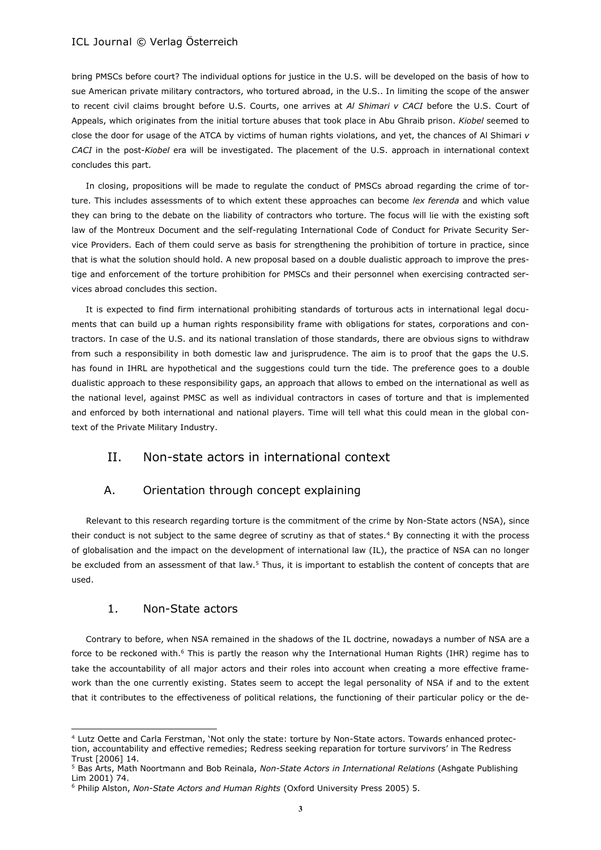bring PMSCs before court? The individual options for justice in the U.S. will be developed on the basis of how to sue American private military contractors, who tortured abroad, in the U.S.. In limiting the scope of the answer to recent civil claims brought before U.S. Courts, one arrives at *Al Shimari v CACI* before the U.S. Court of Appeals, which originates from the initial torture abuses that took place in Abu Ghraib prison. *Kiobel* seemed to close the door for usage of the ATCA by victims of human rights violations, and yet, the chances of Al Shimari *v CACI* in the post-*Kiobel* era will be investigated. The placement of the U.S. approach in international context concludes this part.

In closing, propositions will be made to regulate the conduct of PMSCs abroad regarding the crime of torture. This includes assessments of to which extent these approaches can become *lex ferenda* and which value they can bring to the debate on the liability of contractors who torture. The focus will lie with the existing soft law of the Montreux Document and the self-regulating International Code of Conduct for Private Security Service Providers. Each of them could serve as basis for strengthening the prohibition of torture in practice, since that is what the solution should hold. A new proposal based on a double dualistic approach to improve the prestige and enforcement of the torture prohibition for PMSCs and their personnel when exercising contracted services abroad concludes this section.

It is expected to find firm international prohibiting standards of torturous acts in international legal documents that can build up a human rights responsibility frame with obligations for states, corporations and contractors. In case of the U.S. and its national translation of those standards, there are obvious signs to withdraw from such a responsibility in both domestic law and jurisprudence. The aim is to proof that the gaps the U.S. has found in IHRL are hypothetical and the suggestions could turn the tide. The preference goes to a double dualistic approach to these responsibility gaps, an approach that allows to embed on the international as well as the national level, against PMSC as well as individual contractors in cases of torture and that is implemented and enforced by both international and national players. Time will tell what this could mean in the global context of the Private Military Industry.

## II. Non-state actors in international context

## A. Orientation through concept explaining

Relevant to this research regarding torture is the commitment of the crime by Non-State actors (NSA), since their conduct is not subject to the same degree of scrutiny as that of states.<sup>4</sup> By connecting it with the process of globalisation and the impact on the development of international law (IL), the practice of NSA can no longer be excluded from an assessment of that law.<sup>5</sup> Thus, it is important to establish the content of concepts that are used.

## 1. Non-State actors

 $\overline{a}$ 

Contrary to before, when NSA remained in the shadows of the IL doctrine, nowadays a number of NSA are a force to be reckoned with.<sup>6</sup> This is partly the reason why the International Human Rights (IHR) regime has to take the accountability of all major actors and their roles into account when creating a more effective framework than the one currently existing. States seem to accept the legal personality of NSA if and to the extent that it contributes to the effectiveness of political relations, the functioning of their particular policy or the de-

<sup>4</sup> Lutz Oette and Carla Ferstman, 'Not only the state: torture by Non-State actors. Towards enhanced protection, accountability and effective remedies; Redress seeking reparation for torture survivors' in The Redress Trust [2006] 14.

<sup>5</sup> Bas Arts, Math Noortmann and Bob Reinala, *Non-State Actors in International Relations* (Ashgate Publishing Lim 2001) 74.

<sup>6</sup> Philip Alston, *Non-State Actors and Human Rights* (Oxford University Press 2005) 5.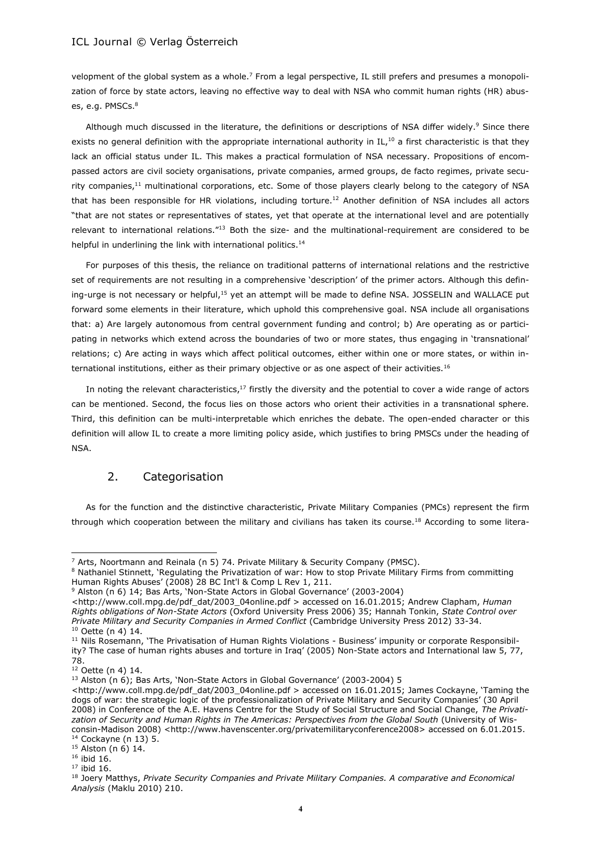velopment of the global system as a whole.<sup>7</sup> From a legal perspective, IL still prefers and presumes a monopolization of force by state actors, leaving no effective way to deal with NSA who commit human rights (HR) abuses, e.g. PMSCs.<sup>8</sup>

Although much discussed in the literature, the definitions or descriptions of NSA differ widely.<sup>9</sup> Since there exists no general definition with the appropriate international authority in IL,<sup>10</sup> a first characteristic is that they lack an official status under IL. This makes a practical formulation of NSA necessary. Propositions of encompassed actors are civil society organisations, private companies, armed groups, de facto regimes, private security companies,<sup>11</sup> multinational corporations, etc. Some of those players clearly belong to the category of NSA that has been responsible for HR violations, including torture.<sup>12</sup> Another definition of NSA includes all actors "that are not states or representatives of states, yet that operate at the international level and are potentially relevant to international relations."<sup>13</sup> Both the size- and the multinational-requirement are considered to be helpful in underlining the link with international politics.<sup>14</sup>

For purposes of this thesis, the reliance on traditional patterns of international relations and the restrictive set of requirements are not resulting in a comprehensive 'description' of the primer actors. Although this defining-urge is not necessary or helpful,<sup>15</sup> yet an attempt will be made to define NSA. JOSSELIN and WALLACE put forward some elements in their literature, which uphold this comprehensive goal. NSA include all organisations that: a) Are largely autonomous from central government funding and control; b) Are operating as or participating in networks which extend across the boundaries of two or more states, thus engaging in 'transnational' relations; c) Are acting in ways which affect political outcomes, either within one or more states, or within international institutions, either as their primary objective or as one aspect of their activities.<sup>16</sup>

In noting the relevant characteristics,<sup>17</sup> firstly the diversity and the potential to cover a wide range of actors can be mentioned. Second, the focus lies on those actors who orient their activities in a transnational sphere. Third, this definition can be multi-interpretable which enriches the debate. The open-ended character or this definition will allow IL to create a more limiting policy aside, which justifies to bring PMSCs under the heading of NSA.

## 2. Categorisation

As for the function and the distinctive characteristic, Private Military Companies (PMCs) represent the firm through which cooperation between the military and civilians has taken its course.<sup>18</sup> According to some litera-

<sup>7</sup> Arts, Noortmann and Reinala (n 5) 74. Private Military & Security Company (PMSC).

<sup>8</sup> Nathaniel Stinnett, 'Regulating the Privatization of war: How to stop Private Military Firms from committing Human Rights Abuses' (2008) 28 BC Int'l & Comp L Rev 1, 211.

<sup>9</sup> Alston (n 6) 14; Bas Arts, 'Non-State Actors in Global Governance' (2003-2004)

<sup>&</sup>lt;http://www.coll.mpg.de/pdf\_dat/2003\_04online.pdf > accessed on 16.01.2015; Andrew Clapham, *Human Rights obligations of Non-State Actors* (Oxford University Press 2006) 35; Hannah Tonkin, *State Control over Private Military and Security Companies in Armed Conflict* (Cambridge University Press 2012) 33-34. <sup>10</sup> Oette (n 4) 14.

<sup>&</sup>lt;sup>11</sup> Nils Rosemann, 'The Privatisation of Human Rights Violations - Business' impunity or corporate Responsibility? The case of human rights abuses and torture in Iraq' (2005) Non-State actors and International law 5, 77, 78.

<sup>12</sup> Oette (n 4) 14.

<sup>13</sup> Alston (n 6); Bas Arts, 'Non-State Actors in Global Governance' (2003-2004) 5

<sup>&</sup>lt;http://www.coll.mpg.de/pdf\_dat/2003\_04online.pdf > accessed on 16.01.2015; James Cockayne, 'Taming the dogs of war: the strategic logic of the professionalization of Private Military and Security Companies' (30 April 2008) in Conference of the A.E. Havens Centre for the Study of Social Structure and Social Change, *The Privatization of Security and Human Rights in The Americas: Perspectives from the Global South* (University of Wisconsin-Madison 2008) <http://www.havenscenter.org/privatemilitaryconference2008> accessed on 6.01.2015.  $14$  Cockayne (n 13) 5.

 $15$  Alston (n 6) 14.

<sup>16</sup> ibid 16.

 $17$  ibid 16.

<sup>18</sup> Joery Matthys, *Private Security Companies and Private Military Companies. A comparative and Economical Analysis* (Maklu 2010) 210.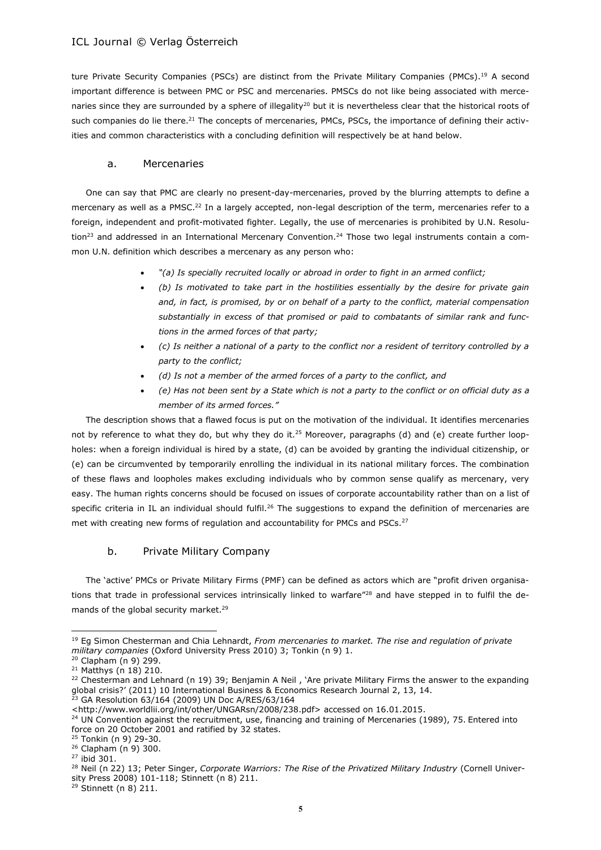ture Private Security Companies (PSCs) are distinct from the Private Military Companies (PMCs).<sup>19</sup> A second important difference is between PMC or PSC and mercenaries. PMSCs do not like being associated with mercenaries since they are surrounded by a sphere of illegality<sup>20</sup> but it is nevertheless clear that the historical roots of such companies do lie there.<sup>21</sup> The concepts of mercenaries, PMCs, PSCs, the importance of defining their activities and common characteristics with a concluding definition will respectively be at hand below.

#### a. Mercenaries

One can say that PMC are clearly no present-day-mercenaries, proved by the blurring attempts to define a mercenary as well as a PMSC.<sup>22</sup> In a largely accepted, non-legal description of the term, mercenaries refer to a foreign, independent and profit-motivated fighter. Legally, the use of mercenaries is prohibited by U.N. Resolu- $\frac{\text{tion}^{23}}{\text{and addressed in an International Mercury Convention}^{24}}$  Those two legal instruments contain a common U.N. definition which describes a mercenary as any person who:

- *"(a) Is specially recruited locally or abroad in order to fight in an armed conflict;*
- *(b) Is motivated to take part in the hostilities essentially by the desire for private gain and, in fact, is promised, by or on behalf of a party to the conflict, material compensation substantially in excess of that promised or paid to combatants of similar rank and functions in the armed forces of that party;*
- *(c) Is neither a national of a party to the conflict nor a resident of territory controlled by a party to the conflict;*
- *(d) Is not a member of the armed forces of a party to the conflict, and*
- *(e) Has not been sent by a State which is not a party to the conflict or on official duty as a member of its armed forces."*

The description shows that a flawed focus is put on the motivation of the individual. It identifies mercenaries not by reference to what they do, but why they do it.<sup>25</sup> Moreover, paragraphs (d) and (e) create further loopholes: when a foreign individual is hired by a state, (d) can be avoided by granting the individual citizenship, or (e) can be circumvented by temporarily enrolling the individual in its national military forces. The combination of these flaws and loopholes makes excluding individuals who by common sense qualify as mercenary, very easy. The human rights concerns should be focused on issues of corporate accountability rather than on a list of specific criteria in IL an individual should fulfil.<sup>26</sup> The suggestions to expand the definition of mercenaries are met with creating new forms of regulation and accountability for PMCs and PSCs.<sup>27</sup>

## b. Private Military Company

The 'active' PMCs or Private Military Firms (PMF) can be defined as actors which are "profit driven organisations that trade in professional services intrinsically linked to warfare"<sup>28</sup> and have stepped in to fulfil the demands of the global security market.<sup>29</sup>

<sup>19</sup> Eg Simon Chesterman and Chia Lehnardt, *From mercenaries to market. The rise and regulation of private military companies* (Oxford University Press 2010) 3; Tonkin (n 9) 1.

<sup>20</sup> Clapham (n 9) 299.

<sup>21</sup> Matthys (n 18) 210.

<sup>&</sup>lt;sup>22</sup> Chesterman and Lehnard (n 19) 39; Benjamin A Neil, 'Are private Military Firms the answer to the expanding global crisis?' (2011) 10 International Business & Economics Research Journal 2, 13, 14.

 $23$  GA Resolution 63/164 (2009) UN Doc A/RES/63/164

<sup>&</sup>lt;http://www.worldlii.org/int/other/UNGARsn/2008/238.pdf> accessed on 16.01.2015.

<sup>&</sup>lt;sup>24</sup> UN Convention against the recruitment, use, financing and training of Mercenaries (1989), 75. Entered into force on 20 October 2001 and ratified by 32 states. <sup>25</sup> Tonkin (n 9) 29-30.

<sup>26</sup> Clapham (n 9) 300.

<sup>27</sup> ibid 301.

<sup>28</sup> Neil (n 22) 13; Peter Singer, *Corporate Warriors: The Rise of the Privatized Military Industry* (Cornell University Press 2008) 101-118; Stinnett (n 8) 211.

 $29$  Stinnett (n 8) 211.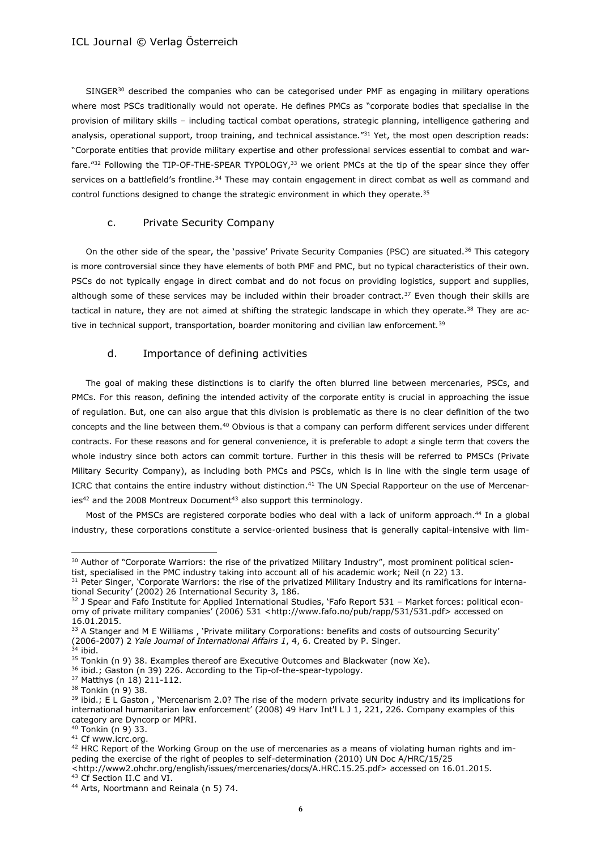SINGER<sup>30</sup> described the companies who can be categorised under PMF as engaging in military operations where most PSCs traditionally would not operate. He defines PMCs as "corporate bodies that specialise in the provision of military skills – including tactical combat operations, strategic planning, intelligence gathering and analysis, operational support, troop training, and technical assistance."31 Yet, the most open description reads: "Corporate entities that provide military expertise and other professional services essential to combat and warfare."<sup>32</sup> Following the TIP-OF-THE-SPEAR TYPOLOGY,<sup>33</sup> we orient PMCs at the tip of the spear since they offer services on a battlefield's frontline.<sup>34</sup> These may contain engagement in direct combat as well as command and control functions designed to change the strategic environment in which they operate.<sup>35</sup>

## c. Private Security Company

On the other side of the spear, the 'passive' Private Security Companies (PSC) are situated.<sup>36</sup> This category is more controversial since they have elements of both PMF and PMC, but no typical characteristics of their own. PSCs do not typically engage in direct combat and do not focus on providing logistics, support and supplies, although some of these services may be included within their broader contract.<sup>37</sup> Even though their skills are tactical in nature, they are not aimed at shifting the strategic landscape in which they operate.<sup>38</sup> They are active in technical support, transportation, boarder monitoring and civilian law enforcement.<sup>39</sup>

#### d. Importance of defining activities

The goal of making these distinctions is to clarify the often blurred line between mercenaries, PSCs, and PMCs. For this reason, defining the intended activity of the corporate entity is crucial in approaching the issue of regulation. But, one can also argue that this division is problematic as there is no clear definition of the two concepts and the line between them.<sup>40</sup> Obvious is that a company can perform different services under different contracts. For these reasons and for general convenience, it is preferable to adopt a single term that covers the whole industry since both actors can commit torture. Further in this thesis will be referred to PMSCs (Private Military Security Company), as including both PMCs and PSCs, which is in line with the single term usage of ICRC that contains the entire industry without distinction.<sup>41</sup> The UN Special Rapporteur on the use of Mercenaries $42$  and the 2008 Montreux Document<sup>43</sup> also support this terminology.

Most of the PMSCs are registered corporate bodies who deal with a lack of uniform approach.<sup>44</sup> In a global industry, these corporations constitute a service-oriented business that is generally capital-intensive with lim-

<sup>&</sup>lt;sup>30</sup> Author of "Corporate Warriors: the rise of the privatized Military Industry", most prominent political scientist, specialised in the PMC industry taking into account all of his academic work; Neil (n 22) 13.

<sup>&</sup>lt;sup>31</sup> Peter Singer, 'Corporate Warriors: the rise of the privatized Military Industry and its ramifications for international Security' (2002) 26 International Security 3, 186.

<sup>32</sup> J Spear and Fafo Institute for Applied International Studies, 'Fafo Report 531 - Market forces: political economy of private military companies' (2006) 531 <[http://www.fafo.no/pub/rapp/531/531.pdf>](http://www.fafo.no/pub/rapp/531/531.pdf) accessed on 16.01.2015.

<sup>&</sup>lt;sup>33</sup> A Stanger and M E Williams, 'Private military Corporations: benefits and costs of outsourcing Security' (2006-2007) 2 *Yale Journal of International Affairs 1*, 4, 6. Created by P. Singer.

 $34$  ibid.

<sup>&</sup>lt;sup>35</sup> Tonkin (n 9) 38. Examples thereof are Executive Outcomes and Blackwater (now Xe).

<sup>&</sup>lt;sup>36</sup> ibid.; Gaston (n 39) 226. According to the Tip-of-the-spear-typology.

<sup>37</sup> Matthys (n 18) 211-112.

<sup>38</sup> Tonkin (n 9) 38.

<sup>&</sup>lt;sup>39</sup> ibid.; E L Gaston, 'Mercenarism 2.0? The rise of the modern private security industry and its implications for international humanitarian law enforcement' (2008) 49 Harv Int'l L J 1, 221, 226. Company examples of this category are Dyncorp or MPRI.

<sup>40</sup> Tonkin (n 9) 33.

<sup>&</sup>lt;sup>41</sup> Cf www.icrc.org.

 $42$  HRC Report of the Working Group on the use of mercenaries as a means of violating human rights and impeding the exercise of the right of peoples to self-determination (2010) UN Doc A/HRC/15/25 <http://www2.ohchr.org/english/issues/mercenaries/docs/A.HRC.15.25.pdf> accessed on 16.01.2015.

<sup>43</sup> Cf Section II.C and VI.

<sup>44</sup> Arts, Noortmann and Reinala (n 5) 74.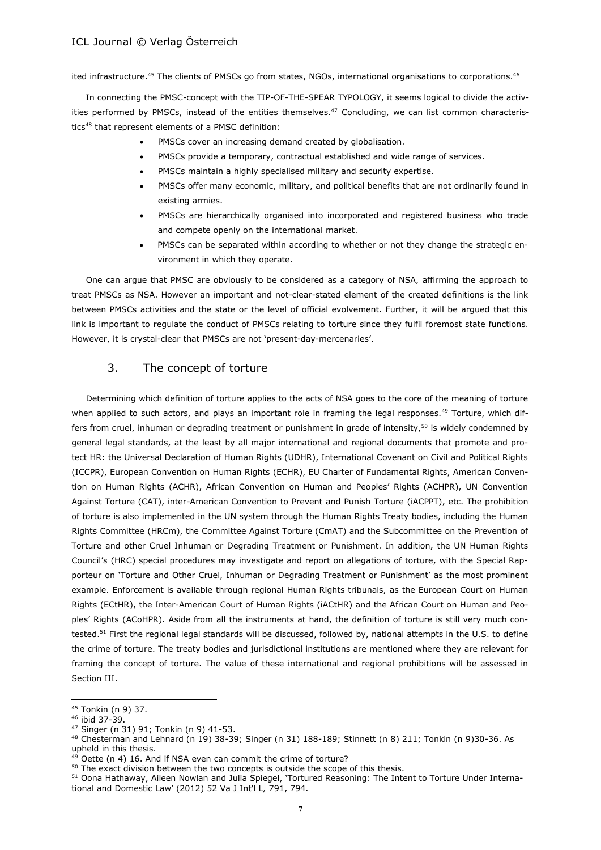ited infrastructure.<sup>45</sup> The clients of PMSCs go from states, NGOs, international organisations to corporations.<sup>46</sup>

In connecting the PMSC-concept with the TIP-OF-THE-SPEAR TYPOLOGY, it seems logical to divide the activities performed by PMSCs, instead of the entities themselves.<sup>47</sup> Concluding, we can list common characteristics<sup>48</sup> that represent elements of a PMSC definition:

- PMSCs cover an increasing demand created by globalisation.
- PMSCs provide a temporary, contractual established and wide range of services.
- PMSCs maintain a highly specialised military and security expertise.
- PMSCs offer many economic, military, and political benefits that are not ordinarily found in existing armies.
- PMSCs are hierarchically organised into incorporated and registered business who trade and compete openly on the international market.
- PMSCs can be separated within according to whether or not they change the strategic environment in which they operate.

One can argue that PMSC are obviously to be considered as a category of NSA, affirming the approach to treat PMSCs as NSA. However an important and not-clear-stated element of the created definitions is the link between PMSCs activities and the state or the level of official evolvement. Further, it will be argued that this link is important to regulate the conduct of PMSCs relating to torture since they fulfil foremost state functions. However, it is crystal-clear that PMSCs are not 'present-day-mercenaries'.

## 3. The concept of torture

Determining which definition of torture applies to the acts of NSA goes to the core of the meaning of torture when applied to such actors, and plays an important role in framing the legal responses.<sup>49</sup> Torture, which differs from cruel, inhuman or degrading treatment or punishment in grade of intensity,<sup>50</sup> is widely condemned by general legal standards, at the least by all major international and regional documents that promote and protect HR: the Universal Declaration of Human Rights (UDHR), International Covenant on Civil and Political Rights (ICCPR), European Convention on Human Rights (ECHR), EU Charter of Fundamental Rights, American Convention on Human Rights (ACHR), African Convention on Human and Peoples' Rights (ACHPR), UN Convention Against Torture (CAT), inter-American Convention to Prevent and Punish Torture (iACPPT), etc. The prohibition of torture is also implemented in the UN system through the Human Rights Treaty bodies, including the Human Rights Committee (HRCm), the Committee Against Torture (CmAT) and the Subcommittee on the Prevention of Torture and other Cruel Inhuman or Degrading Treatment or Punishment. In addition, the UN Human Rights Council's (HRC) special procedures may investigate and report on allegations of torture, with the Special Rapporteur on 'Torture and Other Cruel, Inhuman or Degrading Treatment or Punishment' as the most prominent example. Enforcement is available through regional Human Rights tribunals, as the European Court on Human Rights (ECtHR), the Inter-American Court of Human Rights (iACtHR) and the African Court on Human and Peoples' Rights (ACoHPR). Aside from all the instruments at hand, the definition of torture is still very much contested.<sup>51</sup> First the regional legal standards will be discussed, followed by, national attempts in the U.S. to define the crime of torture. The treaty bodies and jurisdictional institutions are mentioned where they are relevant for framing the concept of torture. The value of these international and regional prohibitions will be assessed in Section III.

<sup>45</sup> Tonkin (n 9) 37.

<sup>46</sup> ibid 37-39.

<sup>47</sup> Singer (n 31) 91; Tonkin (n 9) 41-53.

<sup>48</sup> Chesterman and Lehnard (n 19) 38-39; Singer (n 31) 188-189; Stinnett (n 8) 211; Tonkin (n 9)30-36. As upheld in this thesis.

 $49$  Oette (n 4) 16. And if NSA even can commit the crime of torture?

 $50$  The exact division between the two concepts is outside the scope of this thesis.

<sup>51</sup> Oona Hathaway, Aileen Nowlan and Julia Spiegel, 'Tortured Reasoning: The Intent to Torture Under International and Domestic Law' (2012) 52 Va J Int'l L*,* 791, 794.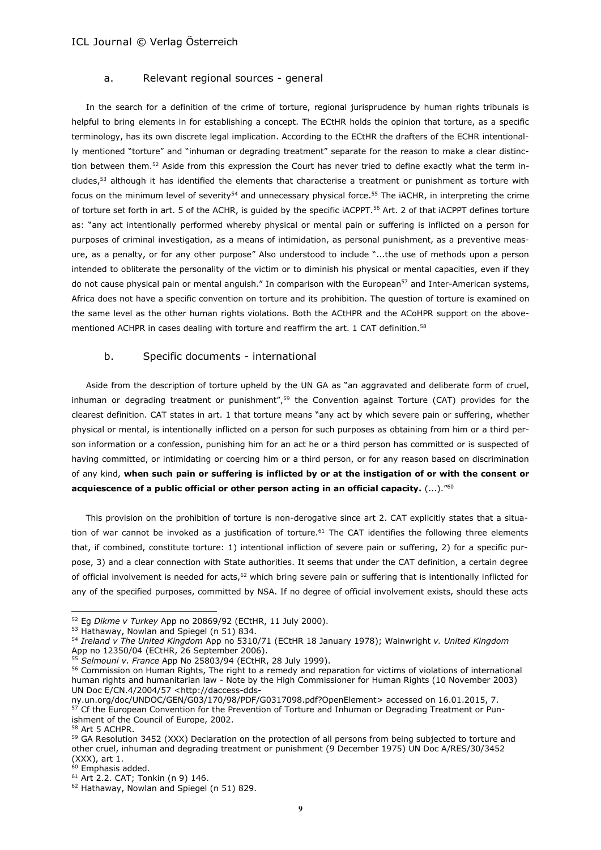#### a. Relevant regional sources - general

In the search for a definition of the crime of torture, regional jurisprudence by human rights tribunals is helpful to bring elements in for establishing a concept. The ECtHR holds the opinion that torture, as a specific terminology, has its own discrete legal implication. According to the ECtHR the drafters of the ECHR intentionally mentioned "torture" and "inhuman or degrading treatment" separate for the reason to make a clear distinction between them.<sup>52</sup> Aside from this expression the Court has never tried to define exactly what the term includes,<sup>53</sup> although it has identified the elements that characterise a treatment or punishment as torture with focus on the minimum level of severity<sup>54</sup> and unnecessary physical force.<sup>55</sup> The iACHR, in interpreting the crime of torture set forth in art. 5 of the ACHR, is guided by the specific iACPPT.<sup>56</sup> Art. 2 of that iACPPT defines torture as: "any act intentionally performed whereby physical or mental pain or suffering is inflicted on a person for purposes of criminal investigation, as a means of intimidation, as personal punishment, as a preventive measure, as a penalty, or for any other purpose" Also understood to include "...the use of methods upon a person intended to obliterate the personality of the victim or to diminish his physical or mental capacities, even if they do not cause physical pain or mental anguish." In comparison with the European<sup>57</sup> and Inter-American systems, Africa does not have a specific convention on torture and its prohibition. The question of torture is examined on the same level as the other human rights violations. Both the ACtHPR and the ACoHPR support on the abovementioned ACHPR in cases dealing with torture and reaffirm the art. 1 CAT definition.<sup>58</sup>

#### b. Specific documents - international

Aside from the description of torture upheld by the UN GA as "an aggravated and deliberate form of cruel, inhuman or degrading treatment or punishment", $59$  the Convention against Torture (CAT) provides for the clearest definition. CAT states in art. 1 that torture means "any act by which severe pain or suffering, whether physical or mental, is intentionally inflicted on a person for such purposes as obtaining from him or a third person information or a confession, punishing him for an act he or a third person has committed or is suspected of having committed, or intimidating or coercing him or a third person, or for any reason based on discrimination of any kind, **when such pain or suffering is inflicted by or at the instigation of or with the consent or acquiescence of a public official or other person acting in an official capacity.** (...)."<sup>60</sup>

This provision on the prohibition of torture is non-derogative since art 2. CAT explicitly states that a situation of war cannot be invoked as a justification of torture.<sup>61</sup> The CAT identifies the following three elements that, if combined, constitute torture: 1) intentional infliction of severe pain or suffering, 2) for a specific purpose, 3) and a clear connection with State authorities. It seems that under the CAT definition, a certain degree of official involvement is needed for acts,<sup>62</sup> which bring severe pain or suffering that is intentionally inflicted for any of the specified purposes, committed by NSA. If no degree of official involvement exists, should these acts

l

<sup>52</sup> Eg *Dikme v Turkey* App no 20869/92 (ECtHR, 11 July 2000).

<sup>53</sup> Hathaway, Nowlan and Spiegel (n 51) 834.

<sup>54</sup> *Ireland v The United Kingdom* App no 5310/71 (ECtHR 18 January 1978); Wainwright *v. United Kingdom* App no [12350/04](http://hudoc.echr.coe.int/sites/eng/pages/search.aspx#{"appno":["12350/04"]}) (ECtHR, 26 September 2006).

<sup>55</sup> *Selmouni v. France* App No [25803/94](http://hudoc.echr.coe.int/sites/eng/pages/search.aspx#{"appno":["25803/94"]}) (ECtHR, 28 July 1999).

<sup>56</sup> Commission on Human Rights, The right to a remedy and reparation for victims of violations of international human rights and humanitarian law - Note by the High Commissioner for Human Rights (10 November 2003) UN Doc E/CN.4/2004/57 [<http://daccess-dds-](http://daccess-dds-ny.un.org/doc/UNDOC/GEN/G03/170/98/PDF/G0317098.pdf?OpenElement)

[ny.un.org/doc/UNDOC/GEN/G03/170/98/PDF/G0317098.pdf?OpenElement>](http://daccess-dds-ny.un.org/doc/UNDOC/GEN/G03/170/98/PDF/G0317098.pdf?OpenElement) accessed on 16.01.2015, 7. <sup>57</sup> Cf the European Convention for the Prevention of Torture and Inhuman or Degrading Treatment or Punishment of the Council of Europe, 2002.

<sup>58</sup> Art 5 ACHPR.

<sup>&</sup>lt;sup>59</sup> GA Resolution 3452 (XXX) Declaration on the protection of all persons from being subjected to torture and other cruel, inhuman and degrading treatment or punishment (9 December 1975) UN Doc A/RES/30/3452 (XXX), art 1.

 $60$  Emphasis added.

<sup>61</sup> Art 2.2. CAT; Tonkin (n 9) 146.

<sup>&</sup>lt;sup>62</sup> Hathaway, Nowlan and Spiegel (n 51) 829.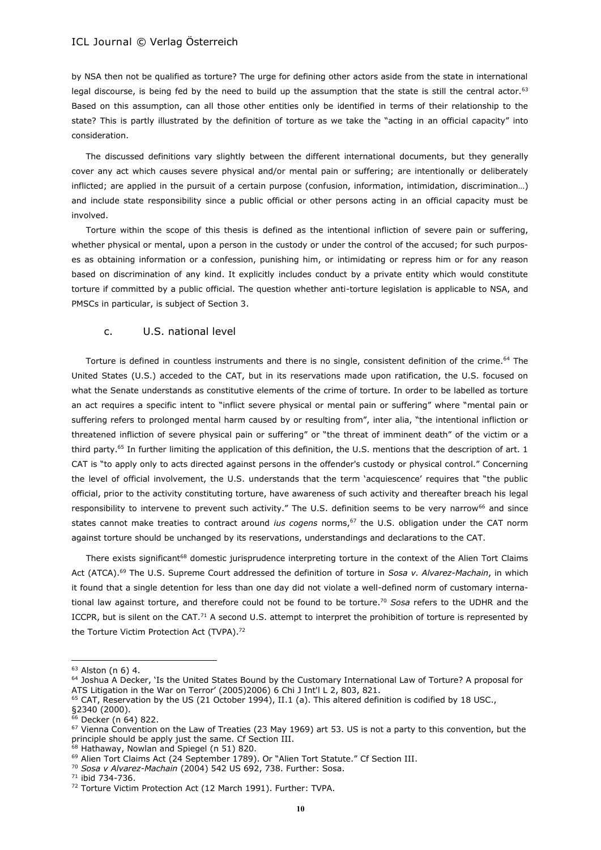by NSA then not be qualified as torture? The urge for defining other actors aside from the state in international legal discourse, is being fed by the need to build up the assumption that the state is still the central actor.<sup>63</sup> Based on this assumption, can all those other entities only be identified in terms of their relationship to the state? This is partly illustrated by the definition of torture as we take the "acting in an official capacity" into consideration.

The discussed definitions vary slightly between the different international documents, but they generally cover any act which causes severe physical and/or mental pain or suffering; are intentionally or deliberately inflicted; are applied in the pursuit of a certain purpose (confusion, information, intimidation, discrimination…) and include state responsibility since a public official or other persons acting in an official capacity must be involved.

Torture within the scope of this thesis is defined as the intentional infliction of severe pain or suffering, whether physical or mental, upon a person in the custody or under the control of the accused; for such purposes as obtaining information or a confession, punishing him, or intimidating or repress him or for any reason based on discrimination of any kind. It explicitly includes conduct by a private entity which would constitute torture if committed by a public official. The question whether anti-torture legislation is applicable to NSA, and PMSCs in particular, is subject of Section 3.

#### c. U.S. national level

Torture is defined in countless instruments and there is no single, consistent definition of the crime.<sup>64</sup> The United States (U.S.) acceded to the CAT, but in its reservations made upon ratification, the U.S. focused on what the Senate understands as constitutive elements of the crime of torture. In order to be labelled as torture an act requires a specific intent to "inflict severe physical or mental pain or suffering" where "mental pain or suffering refers to prolonged mental harm caused by or resulting from", inter alia, "the intentional infliction or threatened infliction of severe physical pain or suffering" or "the threat of imminent death" of the victim or a third party.<sup>65</sup> In further limiting the application of this definition, the U.S. mentions that the description of art. 1 CAT is "to apply only to acts directed against persons in the offender's custody or physical control." Concerning the level of official involvement, the U.S. understands that the term 'acquiescence' requires that "the public official, prior to the activity constituting torture, have awareness of such activity and thereafter breach his legal responsibility to intervene to prevent such activity." The U.S. definition seems to be very narrow<sup>66</sup> and since states cannot make treaties to contract around *ius cogens* norms,<sup>67</sup> the U.S. obligation under the CAT norm against torture should be unchanged by its reservations, understandings and declarations to the CAT.

There exists significant<sup>68</sup> domestic jurisprudence interpreting torture in the context of the Alien Tort Claims Act (ATCA).<sup>69</sup> The U.S. Supreme Court addressed the definition of torture in *Sosa v. Alvarez-Machain*, in which it found that a single detention for less than one day did not violate a well-defined norm of customary international law against torture, and therefore could not be found to be torture.<sup>70</sup> *Sosa* refers to the UDHR and the ICCPR, but is silent on the CAT.<sup>71</sup> A second U.S. attempt to interpret the prohibition of torture is represented by the Torture Victim Protection Act (TVPA).<sup>72</sup>

 $\overline{a}$ 

<sup>8</sup> Hathaway, Nowlan and Spiegel (n 51) 820.

<sup>63</sup> Alston (n 6) 4.

<sup>64</sup> Joshua A Decker, 'Is the United States Bound by the Customary International Law of Torture? A proposal for ATS Litigation in the War on Terror' (2005)2006) 6 Chi J Int'l L 2, 803, 821.

<sup>&</sup>lt;sup>65</sup> CAT, Reservation by the US (21 October 1994), II.1 (a). This altered definition is codified by 18 USC.,

<sup>§2340 (2000).</sup> 

<sup>66</sup> Decker (n 64) 822.

<sup>&</sup>lt;sup>67</sup> Vienna Convention on the Law of Treaties (23 May 1969) art 53. US is not a party to this convention, but the principle should be apply just the same. Cf Section III.

<sup>69</sup> Alien Tort Claims Act (24 September 1789). Or "Alien Tort Statute." Cf Section III.

<sup>70</sup> *Sosa v Alvarez-Machain* (2004) 542 US 692, 738. Further: Sosa.

<sup>71</sup> ibid 734-736.

<sup>72</sup> Torture Victim Protection Act (12 March 1991). Further: TVPA.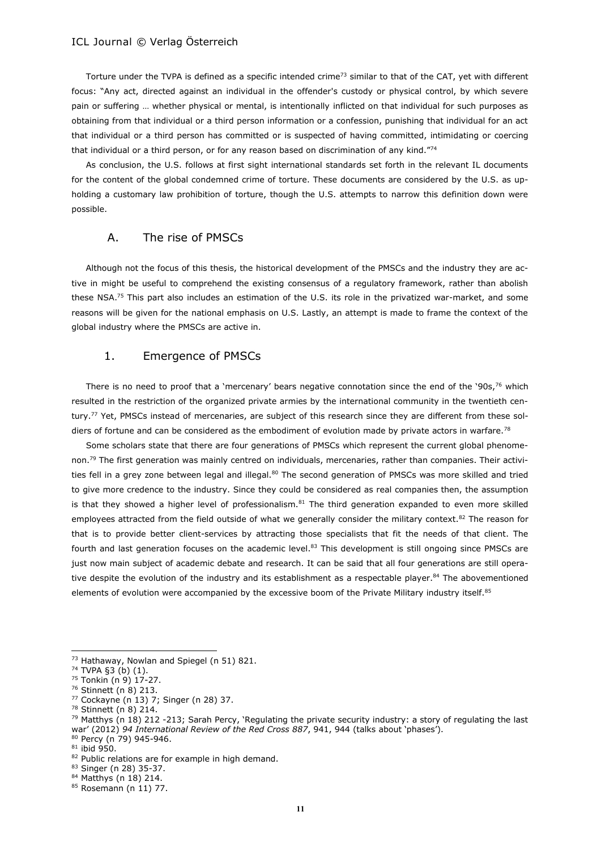Torture under the TVPA is defined as a specific intended crime<sup>73</sup> similar to that of the CAT, yet with different focus: "Any act, directed against an individual in the offender's custody or physical control, by which severe pain or suffering … whether physical or mental, is intentionally inflicted on that individual for such purposes as obtaining from that individual or a third person information or a confession, punishing that individual for an act that individual or a third person has committed or is suspected of having committed, intimidating or coercing that individual or a third person, or for any reason based on discrimination of any kind."74

As conclusion, the U.S. follows at first sight international standards set forth in the relevant IL documents for the content of the global condemned crime of torture. These documents are considered by the U.S. as upholding a customary law prohibition of torture, though the U.S. attempts to narrow this definition down were possible.

## A. The rise of PMSCs

Although not the focus of this thesis, the historical development of the PMSCs and the industry they are active in might be useful to comprehend the existing consensus of a regulatory framework, rather than abolish these NSA.<sup>75</sup> This part also includes an estimation of the U.S. its role in the privatized war-market, and some reasons will be given for the national emphasis on U.S. Lastly, an attempt is made to frame the context of the global industry where the PMSCs are active in.

### 1. Emergence of PMSCs

There is no need to proof that a 'mercenary' bears negative connotation since the end of the '90s, $76$  which resulted in the restriction of the organized private armies by the international community in the twentieth century.<sup>77</sup> Yet, PMSCs instead of mercenaries, are subject of this research since they are different from these soldiers of fortune and can be considered as the embodiment of evolution made by private actors in warfare.<sup>78</sup>

Some scholars state that there are four generations of PMSCs which represent the current global phenomenon.<sup>79</sup> The first generation was mainly centred on individuals, mercenaries, rather than companies. Their activities fell in a grey zone between legal and illegal.<sup>80</sup> The second generation of PMSCs was more skilled and tried to give more credence to the industry. Since they could be considered as real companies then, the assumption is that they showed a higher level of professionalism.<sup>81</sup> The third generation expanded to even more skilled employees attracted from the field outside of what we generally consider the military context.<sup>82</sup> The reason for that is to provide better client-services by attracting those specialists that fit the needs of that client. The fourth and last generation focuses on the academic level.<sup>83</sup> This development is still ongoing since PMSCs are just now main subject of academic debate and research. It can be said that all four generations are still operative despite the evolution of the industry and its establishment as a respectable player.<sup>84</sup> The abovementioned elements of evolution were accompanied by the excessive boom of the Private Military industry itself.<sup>85</sup>

<sup>73</sup> Hathaway, Nowlan and Spiegel (n 51) 821.

<sup>74</sup> TVPA §3 (b) (1).

<sup>75</sup> Tonkin (n 9) 17-27.

<sup>76</sup> Stinnett (n 8) 213.

<sup>77</sup> Cockayne (n 13) 7; Singer (n 28) 37.

<sup>78</sup> Stinnett (n 8) 214.

 $79$  Matthys (n 18) 212 -213; Sarah Percy, 'Regulating the private security industry: a story of regulating the last war' (2012) *94 International Review of the Red Cross 887*, 941, 944 (talks about 'phases'). <sup>80</sup> Percy (n 79) 945-946.

<sup>81</sup> ibid 950.

<sup>82</sup> Public relations are for example in high demand.

<sup>83</sup> Singer (n 28) 35-37.

<sup>84</sup> Matthys (n 18) 214.

<sup>85</sup> Rosemann (n 11) 77.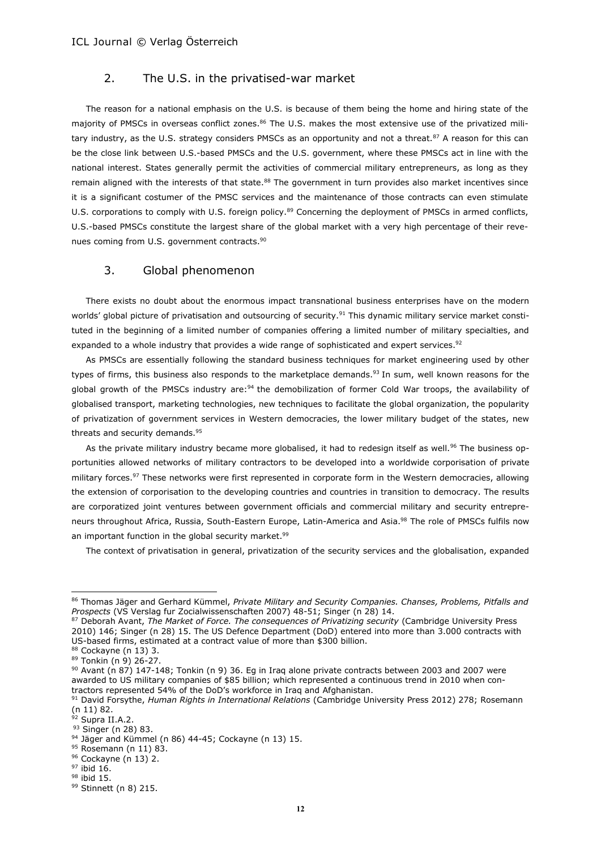## 2. The U.S. in the privatised-war market

The reason for a national emphasis on the U.S. is because of them being the home and hiring state of the majority of PMSCs in overseas conflict zones.<sup>86</sup> The U.S. makes the most extensive use of the privatized military industry, as the U.S. strategy considers PMSCs as an opportunity and not a threat.<sup>87</sup> A reason for this can be the close link between U.S.-based PMSCs and the U.S. government, where these PMSCs act in line with the national interest. States generally permit the activities of commercial military entrepreneurs, as long as they remain aligned with the interests of that state.<sup>88</sup> The government in turn provides also market incentives since it is a significant costumer of the PMSC services and the maintenance of those contracts can even stimulate U.S. corporations to comply with U.S. foreign policy.<sup>89</sup> Concerning the deployment of PMSCs in armed conflicts, U.S.-based PMSCs constitute the largest share of the global market with a very high percentage of their revenues coming from U.S. government contracts.<sup>90</sup>

## 3. Global phenomenon

There exists no doubt about the enormous impact transnational business enterprises have on the modern worlds' global picture of privatisation and outsourcing of security.<sup>91</sup> This dynamic military service market constituted in the beginning of a limited number of companies offering a limited number of military specialties, and expanded to a whole industry that provides a wide range of sophisticated and expert services.<sup>92</sup>

As PMSCs are essentially following the standard business techniques for market engineering used by other types of firms, this business also responds to the marketplace demands.<sup>93</sup> In sum, well known reasons for the global growth of the PMSCs industry are:<sup>94</sup> the demobilization of former Cold War troops, the availability of globalised transport, marketing technologies, new techniques to facilitate the global organization, the popularity of privatization of government services in Western democracies, the lower military budget of the states, new threats and security demands.<sup>95</sup>

As the private military industry became more globalised, it had to redesign itself as well.<sup>96</sup> The business opportunities allowed networks of military contractors to be developed into a worldwide corporisation of private military forces.<sup>97</sup> These networks were first represented in corporate form in the Western democracies, allowing the extension of corporisation to the developing countries and countries in transition to democracy. The results are corporatized joint ventures between government officials and commercial military and security entrepreneurs throughout Africa, Russia, South-Eastern Europe, Latin-America and Asia.<sup>98</sup> The role of PMSCs fulfils now an important function in the global security market.<sup>99</sup>

The context of privatisation in general, privatization of the security services and the globalisation, expanded

<sup>86</sup> Thomas Jäger and Gerhard Kümmel, *Private Military and Security Companies. Chanses, Problems, Pitfalls and Prospects* (VS Verslag fur Zocialwissenschaften 2007) 48-51; Singer (n 28) 14.

<sup>87</sup> Deborah Avant, *The Market of Force. The consequences of Privatizing security* (Cambridge University Press 2010) 146; Singer (n 28) 15. The US Defence Department (DoD) entered into more than 3.000 contracts with US-based firms, estimated at a contract value of more than \$300 billion.

<sup>88</sup> Cockayne (n 13) 3.  $89$  Tonkin (n 9) 26-27.

<sup>90</sup> Avant (n 87) 147-148; Tonkin (n 9) 36. Eg in Iraq alone private contracts between 2003 and 2007 were awarded to US military companies of \$85 billion; which represented a continuous trend in 2010 when contractors represented 54% of the DoD's workforce in Iraq and Afghanistan.

<sup>91</sup> David Forsythe, *Human Rights in International Relations* (Cambridge University Press 2012) 278; Rosemann (n 11) 82.

 $92$  Supra II.A.2.

<sup>93</sup> Singer (n 28) 83.

 $94$  Jäger and Kümmel (n 86) 44-45; Cockayne (n 13) 15.

<sup>95</sup> Rosemann (n 11) 83.

<sup>96</sup> Cockayne (n 13) 2.  $97$  ibid 16.

<sup>98</sup> ibid 15.

<sup>99</sup> Stinnett (n 8) 215.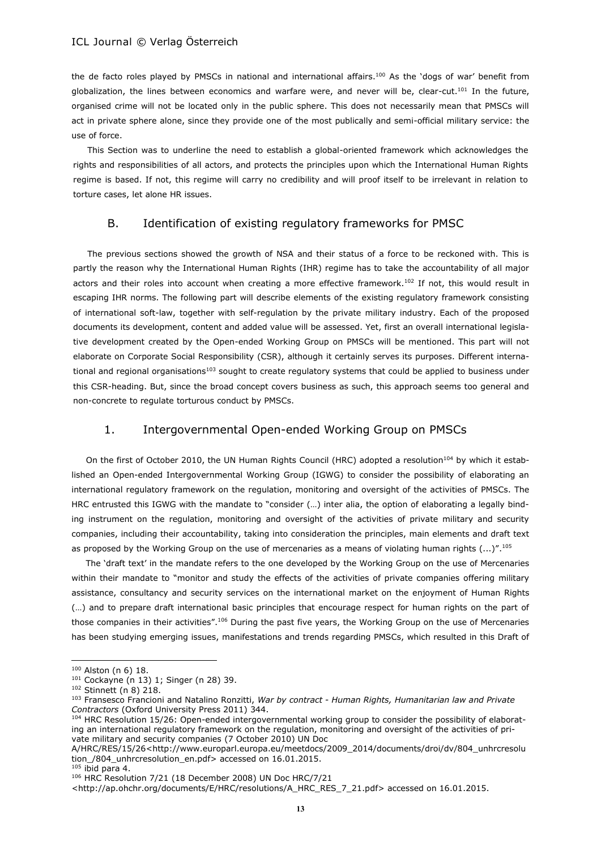the de facto roles played by PMSCs in national and international affairs.<sup>100</sup> As the 'dogs of war' benefit from globalization, the lines between economics and warfare were, and never will be, clear-cut.<sup>101</sup> In the future, organised crime will not be located only in the public sphere. This does not necessarily mean that PMSCs will act in private sphere alone, since they provide one of the most publically and semi-official military service: the use of force.

This Section was to underline the need to establish a global-oriented framework which acknowledges the rights and responsibilities of all actors, and protects the principles upon which the International Human Rights regime is based. If not, this regime will carry no credibility and will proof itself to be irrelevant in relation to torture cases, let alone HR issues.

## B. Identification of existing regulatory frameworks for PMSC

The previous sections showed the growth of NSA and their status of a force to be reckoned with. This is partly the reason why the International Human Rights (IHR) regime has to take the accountability of all major actors and their roles into account when creating a more effective framework.<sup>102</sup> If not, this would result in escaping IHR norms. The following part will describe elements of the existing regulatory framework consisting of international soft-law, together with self-regulation by the private military industry. Each of the proposed documents its development, content and added value will be assessed. Yet, first an overall international legislative development created by the Open-ended Working Group on PMSCs will be mentioned. This part will not elaborate on Corporate Social Responsibility (CSR), although it certainly serves its purposes. Different international and regional organisations<sup>103</sup> sought to create regulatory systems that could be applied to business under this CSR-heading. But, since the broad concept covers business as such, this approach seems too general and non-concrete to regulate torturous conduct by PMSCs.

## 1. Intergovernmental Open-ended Working Group on PMSCs

On the first of October 2010, the UN Human Rights Council (HRC) adopted a resolution<sup>104</sup> by which it established an Open-ended Intergovernmental Working Group (IGWG) to consider the possibility of elaborating an international regulatory framework on the regulation, monitoring and oversight of the activities of PMSCs. The HRC entrusted this IGWG with the mandate to "consider (…) inter alia, the option of elaborating a legally binding instrument on the regulation, monitoring and oversight of the activities of private military and security companies, including their accountability, taking into consideration the principles, main elements and draft text as proposed by the Working Group on the use of mercenaries as a means of violating human rights  $(...)^{''}.^{105}$ 

The 'draft text' in the mandate refers to the one developed by the Working Group on the use of Mercenaries within their mandate to "monitor and study the effects of the activities of private companies offering military assistance, consultancy and security services on the international market on the enjoyment of Human Rights (…) and to prepare draft international basic principles that encourage respect for human rights on the part of those companies in their activities".<sup>106</sup> During the past five years, the Working Group on the use of Mercenaries has been studying emerging issues, manifestations and trends regarding PMSCs, which resulted in this Draft of

<sup>100</sup> Alston (n 6) 18.

<sup>101</sup> Cockayne (n 13) 1; Singer (n 28) 39.

<sup>102</sup> Stinnett (n 8) 218.

<sup>103</sup> Fransesco Francioni and Natalino Ronzitti, *War by contract - Human Rights, Humanitarian law and Private Contractors* (Oxford University Press 2011) 344.

<sup>104</sup> HRC Resolution 15/26: Open-ended intergovernmental working group to consider the possibility of elaborating an international regulatory framework on the regulation, monitoring and oversight of the activities of private military and security companies (7 October 2010) UN Doc

A/HRC/RES/15/26<http://www.europarl.europa.eu/meetdocs/2009\_2014/documents/droi/dv/804\_unhrcresolu tion /804 unhrcresolution en.pdf> accessed on 16.01.2015.

 $105$  ibid para 4.

<sup>106</sup> HRC Resolution 7/21 (18 December 2008) UN Doc HRC/7/21

<sup>&</sup>lt;http://ap.ohchr.org/documents/E/HRC/resolutions/A\_HRC\_RES\_7\_21.pdf> accessed on 16.01.2015.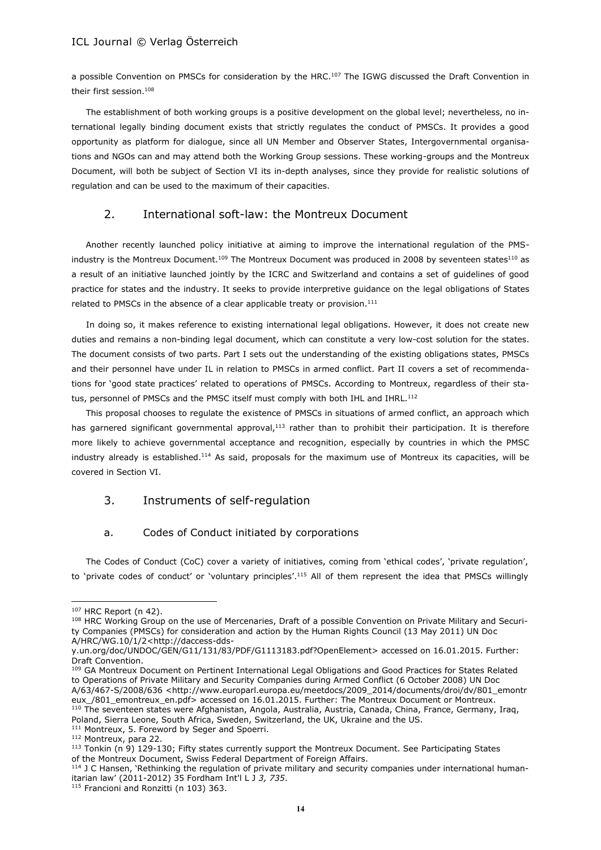a possible Convention on PMSCs for consideration by the HRC.<sup>107</sup> The IGWG discussed the Draft Convention in their first session.<sup>108</sup>

The establishment of both working groups is a positive development on the global level; nevertheless, no international legally binding document exists that strictly regulates the conduct of PMSCs. It provides a good opportunity as platform for dialogue, since all UN Member and Observer States, Intergovernmental organisations and NGOs can and may attend both the Working Group sessions. These working-groups and the Montreux Document, will both be subject of Section VI its in-depth analyses, since they provide for realistic solutions of regulation and can be used to the maximum of their capacities.

## 2. International soft-law: the Montreux Document

Another recently launched policy initiative at aiming to improve the international regulation of the PMSindustry is the Montreux Document.<sup>109</sup> The Montreux Document was produced in 2008 by seventeen states<sup>110</sup> as a result of an initiative launched jointly by the ICRC and Switzerland and contains a set of guidelines of good practice for states and the industry. It seeks to provide interpretive guidance on the legal obligations of States related to PMSCs in the absence of a clear applicable treaty or provision.<sup>111</sup>

In doing so, it makes reference to existing international legal obligations. However, it does not create new duties and remains a non-binding legal document, which can constitute a very low-cost solution for the states. The document consists of two parts. Part I sets out the understanding of the existing obligations states, PMSCs and their personnel have under IL in relation to PMSCs in armed conflict. Part II covers a set of recommendations for 'good state practices' related to operations of PMSCs. According to Montreux, regardless of their status, personnel of PMSCs and the PMSC itself must comply with both IHL and IHRL.<sup>112</sup>

This proposal chooses to regulate the existence of PMSCs in situations of armed conflict, an approach which has garnered significant governmental approval, $113$  rather than to prohibit their participation. It is therefore more likely to achieve governmental acceptance and recognition, especially by countries in which the PMSC industry already is established.<sup>114</sup> As said, proposals for the maximum use of Montreux its capacities, will be covered in Section VI.

## 3. Instruments of self-regulation

## a. Codes of Conduct initiated by corporations

The Codes of Conduct (CoC) cover a variety of initiatives, coming from 'ethical codes', 'private regulation', to 'private codes of conduct' or 'voluntary principles'.<sup>115</sup> All of them represent the idea that PMSCs willingly

l

Poland, Sierra Leone, South Africa, Sweden, Switzerland, the UK, Ukraine and the US.

<sup>107</sup> HRC Report (n 42).

<sup>108</sup> HRC Working Group on the use of Mercenaries, Draft of a possible Convention on Private Military and Security Companies (PMSCs) for consideration and action by the Human Rights Council (13 May 2011) UN Doc A/HRC/WG.10/1/2[<http://daccess-dds-](http://daccess-dds-y.un.org/doc/UNDOC/GEN/G11/131/83/PDF/G1113183.pdf?OpenElement)

[y.un.org/doc/UNDOC/GEN/G11/131/83/PDF/G1113183.pdf?OpenElement>](http://daccess-dds-y.un.org/doc/UNDOC/GEN/G11/131/83/PDF/G1113183.pdf?OpenElement) accessed on 16.01.2015. Further: Draft Convention.

<sup>109</sup> GA Montreux Document on Pertinent International Legal Obligations and Good Practices for States Related to Operations of Private Military and Security Companies during Armed Conflict (6 October 2008) UN Doc A/63/467-S/2008/636 <http://www.europarl.europa.eu/meetdocs/2009\_2014/documents/droi/dv/801\_emontr eux\_/801\_emontreux\_en.pdf> accessed on 16.01.2015. Further: The Montreux Document or Montreux. <sup>110</sup> The seventeen states were Afghanistan, Angola, Australia, Austria, Canada, China, France, Germany, Iraq,

<sup>&</sup>lt;sup>111</sup> Montreux, 5. Foreword by Seger and Spoerri.

<sup>112</sup> Montreux, para 22.

<sup>113</sup> Tonkin (n 9) 129-130; Fifty states currently support the Montreux Document. See Participating States of the Montreux Document, Swiss Federal Department of Foreign Affairs.

<sup>114</sup> J C Hansen, 'Rethinking the regulation of private military and security companies under international humanitarian law' (2011-2012) 35 Fordham Int'l L J *3, 735*.

<sup>&</sup>lt;sup>115</sup> Francioni and Ronzitti (n 103) 363.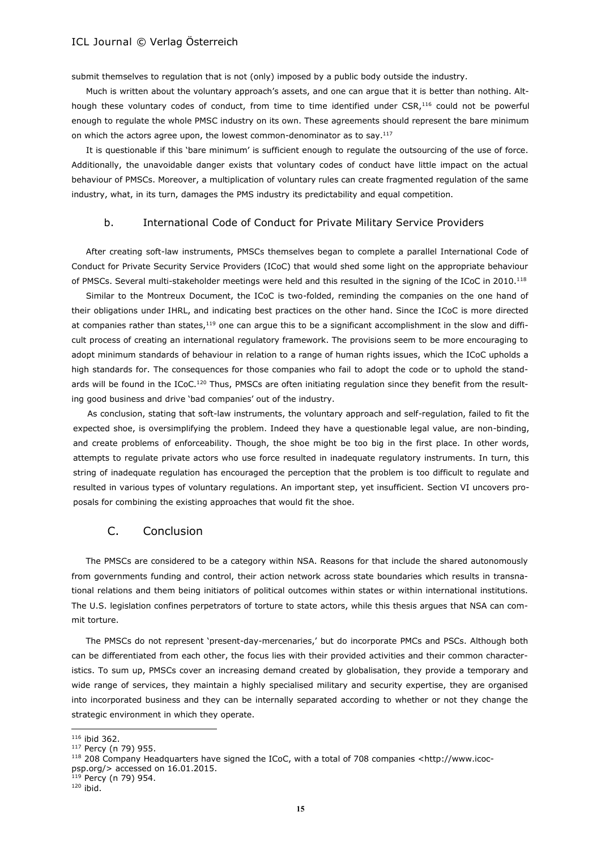submit themselves to regulation that is not (only) imposed by a public body outside the industry.

Much is written about the voluntary approach's assets, and one can argue that it is better than nothing. Although these voluntary codes of conduct, from time to time identified under CSR,<sup>116</sup> could not be powerful enough to regulate the whole PMSC industry on its own. These agreements should represent the bare minimum on which the actors agree upon, the lowest common-denominator as to say.<sup>117</sup>

It is questionable if this 'bare minimum' is sufficient enough to regulate the outsourcing of the use of force. Additionally, the unavoidable danger exists that voluntary codes of conduct have little impact on the actual behaviour of PMSCs. Moreover, a multiplication of voluntary rules can create fragmented regulation of the same industry, what, in its turn, damages the PMS industry its predictability and equal competition.

#### b. International Code of Conduct for Private Military Service Providers

After creating soft-law instruments, PMSCs themselves began to complete a parallel International Code of Conduct for Private Security Service Providers (ICoC) that would shed some light on the appropriate behaviour of PMSCs. Several multi-stakeholder meetings were held and this resulted in the signing of the ICoC in 2010.<sup>118</sup>

Similar to the Montreux Document, the ICoC is two-folded, reminding the companies on the one hand of their obligations under IHRL, and indicating best practices on the other hand. Since the ICoC is more directed at companies rather than states,<sup>119</sup> one can argue this to be a significant accomplishment in the slow and difficult process of creating an international regulatory framework. The provisions seem to be more encouraging to adopt minimum standards of behaviour in relation to a range of human rights issues, which the ICoC upholds a high standards for. The consequences for those companies who fail to adopt the code or to uphold the standards will be found in the ICoC.<sup>120</sup> Thus, PMSCs are often initiating regulation since they benefit from the resulting good business and drive 'bad companies' out of the industry.

As conclusion, stating that soft-law instruments, the voluntary approach and self-regulation, failed to fit the expected shoe, is oversimplifying the problem. Indeed they have a questionable legal value, are non-binding, and create problems of enforceability. Though, the shoe might be too big in the first place. In other words, attempts to regulate private actors who use force resulted in inadequate regulatory instruments. In turn, this string of inadequate regulation has encouraged the perception that the problem is too difficult to regulate and resulted in various types of voluntary regulations. An important step, yet insufficient. Section VI uncovers proposals for combining the existing approaches that would fit the shoe.

## C. Conclusion

The PMSCs are considered to be a category within NSA. Reasons for that include the shared autonomously from governments funding and control, their action network across state boundaries which results in transnational relations and them being initiators of political outcomes within states or within international institutions. The U.S. legislation confines perpetrators of torture to state actors, while this thesis argues that NSA can commit torture.

The PMSCs do not represent 'present-day-mercenaries,' but do incorporate PMCs and PSCs. Although both can be differentiated from each other, the focus lies with their provided activities and their common characteristics. To sum up, PMSCs cover an increasing demand created by globalisation, they provide a temporary and wide range of services, they maintain a highly specialised military and security expertise, they are organised into incorporated business and they can be internally separated according to whether or not they change the strategic environment in which they operate.

 $116$  ibid 362.

<sup>117</sup> Percy (n 79) 955.

<sup>118 208</sup> Company Headquarters have signed the ICoC, with a total of 708 companies <http://www.icocpsp.org/> accessed on 16.01.2015.

p<del>op.e</del><br><sup>119</sup> Percy (n 79) 954.

 $120$  ibid.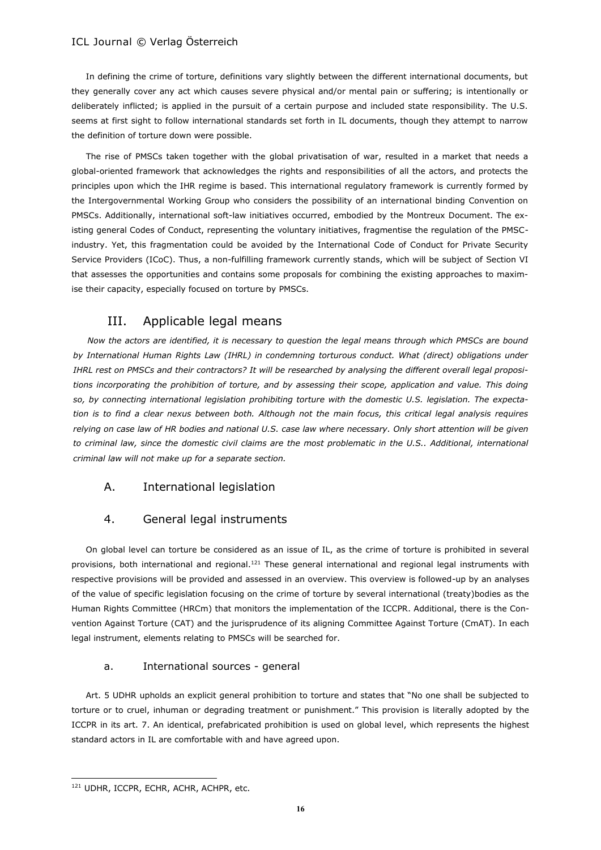In defining the crime of torture, definitions vary slightly between the different international documents, but they generally cover any act which causes severe physical and/or mental pain or suffering; is intentionally or deliberately inflicted; is applied in the pursuit of a certain purpose and included state responsibility. The U.S. seems at first sight to follow international standards set forth in IL documents, though they attempt to narrow the definition of torture down were possible.

The rise of PMSCs taken together with the global privatisation of war, resulted in a market that needs a global-oriented framework that acknowledges the rights and responsibilities of all the actors, and protects the principles upon which the IHR regime is based. This international regulatory framework is currently formed by the Intergovernmental Working Group who considers the possibility of an international binding Convention on PMSCs. Additionally, international soft-law initiatives occurred, embodied by the Montreux Document. The existing general Codes of Conduct, representing the voluntary initiatives, fragmentise the regulation of the PMSCindustry. Yet, this fragmentation could be avoided by the International Code of Conduct for Private Security Service Providers (ICoC). Thus, a non-fulfilling framework currently stands, which will be subject of Section VI that assesses the opportunities and contains some proposals for combining the existing approaches to maximise their capacity, especially focused on torture by PMSCs.

## III. Applicable legal means

*Now the actors are identified, it is necessary to question the legal means through which PMSCs are bound by International Human Rights Law (IHRL) in condemning torturous conduct. What (direct) obligations under IHRL rest on PMSCs and their contractors? It will be researched by analysing the different overall legal propositions incorporating the prohibition of torture, and by assessing their scope, application and value. This doing so, by connecting international legislation prohibiting torture with the domestic U.S. legislation. The expectation is to find a clear nexus between both. Although not the main focus, this critical legal analysis requires relying on case law of HR bodies and national U.S. case law where necessary. Only short attention will be given*  to criminal law, since the domestic civil claims are the most problematic in the U.S.. Additional, international *criminal law will not make up for a separate section.*

## A. International legislation

## 4. General legal instruments

On global level can torture be considered as an issue of IL, as the crime of torture is prohibited in several provisions, both international and regional.<sup>121</sup> These general international and regional legal instruments with respective provisions will be provided and assessed in an overview. This overview is followed-up by an analyses of the value of specific legislation focusing on the crime of torture by several international (treaty)bodies as the Human Rights Committee (HRCm) that monitors the implementation of the ICCPR. Additional, there is the Convention Against Torture (CAT) and the jurisprudence of its aligning Committee Against Torture (CmAT). In each legal instrument, elements relating to PMSCs will be searched for.

## a. International sources - general

Art. 5 UDHR upholds an explicit general prohibition to torture and states that "No one shall be subjected to torture or to cruel, inhuman or degrading treatment or punishment." This provision is literally adopted by the ICCPR in its art. 7. An identical, prefabricated prohibition is used on global level, which represents the highest standard actors in IL are comfortable with and have agreed upon.

<sup>121</sup> UDHR, ICCPR, ECHR, ACHR, ACHPR, etc.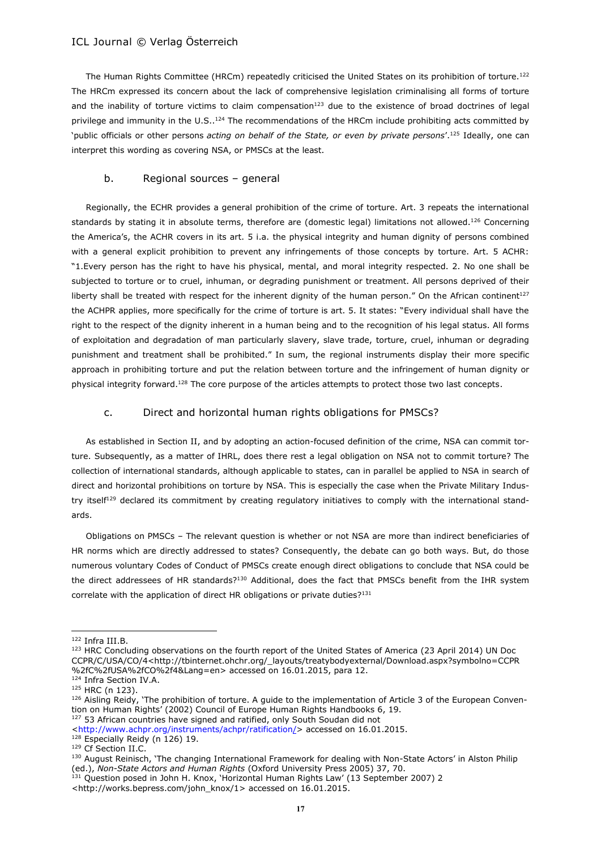The Human Rights Committee (HRCm) repeatedly criticised the United States on its prohibition of torture.<sup>122</sup> The HRCm expressed its concern about the lack of comprehensive legislation criminalising all forms of torture and the inability of torture victims to claim compensation $123$  due to the existence of broad doctrines of legal privilege and immunity in the U.S..<sup>124</sup> The recommendations of the HRCm include prohibiting acts committed by 'public officials or other persons *acting on behalf of the State, or even by private persons*'.<sup>125</sup> Ideally, one can interpret this wording as covering NSA, or PMSCs at the least.

## b. Regional sources – general

Regionally, the ECHR provides a general prohibition of the crime of torture. Art. 3 repeats the international standards by stating it in absolute terms, therefore are (domestic legal) limitations not allowed.<sup>126</sup> Concerning the America's, the ACHR covers in its art. 5 i.a. the physical integrity and human dignity of persons combined with a general explicit prohibition to prevent any infringements of those concepts by torture. Art. 5 ACHR: "1.Every person has the right to have his physical, mental, and moral integrity respected. 2. No one shall be subjected to torture or to cruel, inhuman, or degrading punishment or treatment. All persons deprived of their liberty shall be treated with respect for the inherent dignity of the human person." On the African continent<sup>127</sup> the ACHPR applies, more specifically for the crime of torture is art. 5. It states: "Every individual shall have the right to the respect of the dignity inherent in a human being and to the recognition of his legal status. All forms of exploitation and degradation of man particularly slavery, slave trade, torture, cruel, inhuman or degrading punishment and treatment shall be prohibited." In sum, the regional instruments display their more specific approach in prohibiting torture and put the relation between torture and the infringement of human dignity or physical integrity forward.<sup>128</sup> The core purpose of the articles attempts to protect those two last concepts.

## c. Direct and horizontal human rights obligations for PMSCs?

As established in Section II, and by adopting an action-focused definition of the crime, NSA can commit torture. Subsequently, as a matter of IHRL, does there rest a legal obligation on NSA not to commit torture? The collection of international standards, although applicable to states, can in parallel be applied to NSA in search of direct and horizontal prohibitions on torture by NSA. This is especially the case when the Private Military Industry itself<sup>129</sup> declared its commitment by creating regulatory initiatives to comply with the international standards.

Obligations on PMSCs – The relevant question is whether or not NSA are more than indirect beneficiaries of HR norms which are directly addressed to states? Consequently, the debate can go both ways. But, do those numerous voluntary Codes of Conduct of PMSCs create enough direct obligations to conclude that NSA could be the direct addressees of HR standards?<sup>130</sup> Additional, does the fact that PMSCs benefit from the IHR system correlate with the application of direct HR obligations or private duties?<sup>131</sup>

<sup>122</sup> Infra III.B.

<sup>123</sup> HRC Concluding observations on the fourth report of the United States of America (23 April 2014) UN Doc CCPR/C/USA/CO/4<http://tbinternet.ohchr.org/\_layouts/treatybodyexternal/Download.aspx?symbolno=CCPR %2fC%2fUSA%2fCO%2f4&Lang=en> accessed on 16.01.2015, para 12.

<sup>124</sup> Infra Section IV.A.

<sup>125</sup> HRC (n 123).

 $126$  Aisling Reidy, 'The prohibition of torture. A guide to the implementation of Article 3 of the European Convention on Human Rights' (2002) Council of Europe Human Rights Handbooks 6, 19.

<sup>&</sup>lt;sup>127</sup> 53 African countries have signed and ratified, only South Soudan did not

[<sup>&</sup>lt;http://www.achpr.org/instruments/achpr/ratification/>](http://www.achpr.org/instruments/achpr/ratification/) accessed on 16.01.2015.

<sup>128</sup> Especially Reidy (n 126) 19. <sup>129</sup> Cf Section II.C.

<sup>130</sup> August Reinisch, 'The changing International Framework for dealing with Non-State Actors' in Alston Philip (ed.), *Non-State Actors and Human Rights* (Oxford University Press 2005) 37, 70.

<sup>&</sup>lt;sup>131</sup> Question posed in John H. Knox, 'Horizontal Human Rights Law' (13 September 2007) 2

<sup>&</sup>lt;http://works.bepress.com/john\_knox/1> accessed on 16.01.2015.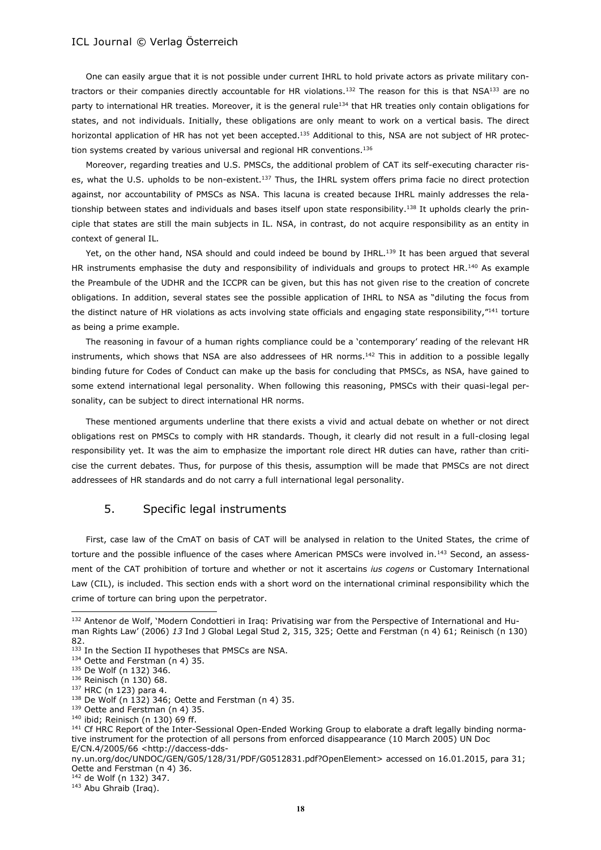One can easily argue that it is not possible under current IHRL to hold private actors as private military contractors or their companies directly accountable for HR violations.<sup>132</sup> The reason for this is that NSA<sup>133</sup> are no party to international HR treaties. Moreover, it is the general rule<sup>134</sup> that HR treaties only contain obligations for states, and not individuals. Initially, these obligations are only meant to work on a vertical basis. The direct horizontal application of HR has not yet been accepted.<sup>135</sup> Additional to this, NSA are not subject of HR protection systems created by various universal and regional HR conventions.<sup>136</sup>

Moreover, regarding treaties and U.S. PMSCs, the additional problem of CAT its self-executing character rises, what the U.S. upholds to be non-existent.<sup>137</sup> Thus, the IHRL system offers prima facie no direct protection against, nor accountability of PMSCs as NSA. This lacuna is created because IHRL mainly addresses the relationship between states and individuals and bases itself upon state responsibility.<sup>138</sup> It upholds clearly the principle that states are still the main subjects in IL. NSA, in contrast, do not acquire responsibility as an entity in context of general IL.

Yet, on the other hand, NSA should and could indeed be bound by IHRL.<sup>139</sup> It has been argued that several HR instruments emphasise the duty and responsibility of individuals and groups to protect HR.<sup>140</sup> As example the Preambule of the UDHR and the ICCPR can be given, but this has not given rise to the creation of concrete obligations. In addition, several states see the possible application of IHRL to NSA as "diluting the focus from the distinct nature of HR violations as acts involving state officials and engaging state responsibility,"<sup>141</sup> torture as being a prime example.

The reasoning in favour of a human rights compliance could be a 'contemporary' reading of the relevant HR instruments, which shows that NSA are also addressees of HR norms.<sup>142</sup> This in addition to a possible legally binding future for Codes of Conduct can make up the basis for concluding that PMSCs, as NSA, have gained to some extend international legal personality. When following this reasoning, PMSCs with their quasi-legal personality, can be subject to direct international HR norms.

These mentioned arguments underline that there exists a vivid and actual debate on whether or not direct obligations rest on PMSCs to comply with HR standards. Though, it clearly did not result in a full-closing legal responsibility yet. It was the aim to emphasize the important role direct HR duties can have, rather than criticise the current debates. Thus, for purpose of this thesis, assumption will be made that PMSCs are not direct addressees of HR standards and do not carry a full international legal personality.

## 5. Specific legal instruments

First, case law of the CmAT on basis of CAT will be analysed in relation to the United States, the crime of torture and the possible influence of the cases where American PMSCs were involved in.<sup>143</sup> Second, an assessment of the CAT prohibition of torture and whether or not it ascertains *ius cogens* or Customary International Law (CIL), is included. This section ends with a short word on the international criminal responsibility which the crime of torture can bring upon the perpetrator.

l

<sup>142</sup> de Wolf (n 132) 347.

<sup>143</sup> Abu Ghraib (Iraq).

<sup>132</sup> Antenor de Wolf, 'Modern Condottieri in Iraq: Privatising war from the Perspective of International and Human Rights Law' (2006) *13* Ind J Global Legal Stud 2, 315, 325; Oette and Ferstman (n 4) 61; Reinisch (n 130) 82.

<sup>133</sup> In the Section II hypotheses that PMSCs are NSA.

<sup>134</sup> Oette and Ferstman (n 4) 35.

<sup>135</sup> De Wolf (n 132) 346.

<sup>136</sup> Reinisch (n 130) 68.

<sup>137</sup> HRC (n 123) para 4.

<sup>138</sup> De Wolf (n 132) 346; Oette and Ferstman (n 4) 35.

<sup>139</sup> Oette and Ferstman (n 4) 35.

<sup>140</sup> ibid; Reinisch (n 130) 69 ff.

<sup>&</sup>lt;sup>141</sup> Cf HRC Report of the Inter-Sessional Open-Ended Working Group to elaborate a draft legally binding normative instrument for the protection of all persons from enforced disappearance (10 March 2005) UN Doc E/CN.4/2005/66 <http://daccess-dds-

ny.un.org/doc/UNDOC/GEN/G05/128/31/PDF/G0512831.pdf?OpenElement> accessed on 16.01.2015, para 31; Oette and Ferstman (n 4) 36.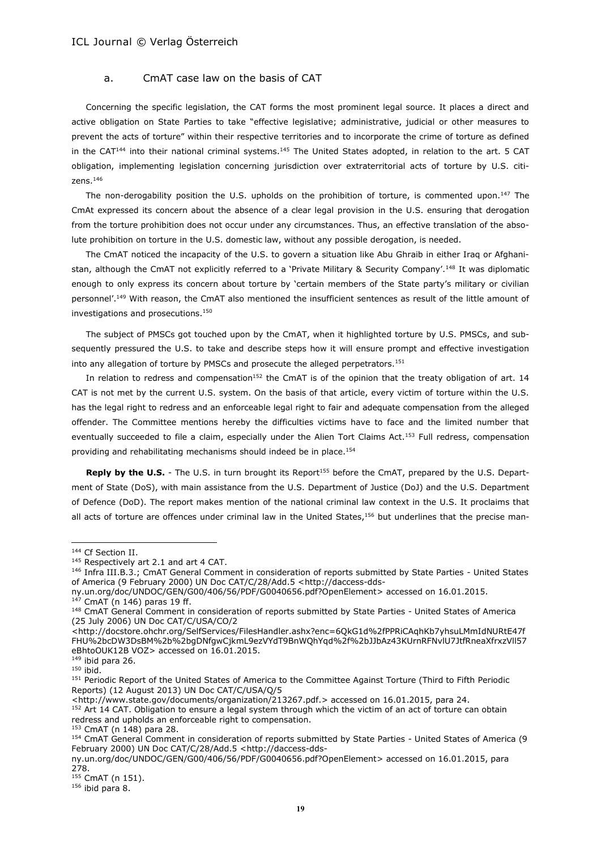### a. CmAT case law on the basis of CAT

Concerning the specific legislation, the CAT forms the most prominent legal source. It places a direct and active obligation on State Parties to take "effective legislative; administrative, judicial or other measures to prevent the acts of torture" within their respective territories and to incorporate the crime of torture as defined in the CAT<sup>144</sup> into their national criminal systems.<sup>145</sup> The United States adopted, in relation to the art. 5 CAT obligation, implementing legislation concerning jurisdiction over extraterritorial acts of torture by U.S. citizens.<sup>146</sup>

The non-derogability position the U.S. upholds on the prohibition of torture, is commented upon.<sup>147</sup> The CmAt expressed its concern about the absence of a clear legal provision in the U.S. ensuring that derogation from the torture prohibition does not occur under any circumstances. Thus, an effective translation of the absolute prohibition on torture in the U.S. domestic law, without any possible derogation, is needed.

The CmAT noticed the incapacity of the U.S. to govern a situation like Abu Ghraib in either Iraq or Afghanistan, although the CmAT not explicitly referred to a 'Private Military & Security Company'.<sup>148</sup> It was diplomatic enough to only express its concern about torture by 'certain members of the State party's military or civilian personnel'.<sup>149</sup> With reason, the CmAT also mentioned the insufficient sentences as result of the little amount of investigations and prosecutions.<sup>150</sup>

The subject of PMSCs got touched upon by the CmAT, when it highlighted torture by U.S. PMSCs, and subsequently pressured the U.S. to take and describe steps how it will ensure prompt and effective investigation into any allegation of torture by PMSCs and prosecute the alleged perpetrators.<sup>151</sup>

In relation to redress and compensation<sup>152</sup> the CmAT is of the opinion that the treaty obligation of art. 14 CAT is not met by the current U.S. system. On the basis of that article, every victim of torture within the U.S. has the legal right to redress and an enforceable legal right to fair and adequate compensation from the alleged offender. The Committee mentions hereby the difficulties victims have to face and the limited number that eventually succeeded to file a claim, especially under the Alien Tort Claims Act.<sup>153</sup> Full redress, compensation providing and rehabilitating mechanisms should indeed be in place.<sup>154</sup>

**Reply by the U.S.** - The U.S. in turn brought its Report<sup>155</sup> before the CmAT, prepared by the U.S. Department of State (DoS), with main assistance from the U.S. Department of Justice (DoJ) and the U.S. Department of Defence (DoD). The report makes mention of the national criminal law context in the U.S. It proclaims that all acts of torture are offences under criminal law in the United States,<sup>156</sup> but underlines that the precise man-

 $\overline{a}$ 

<http://www.state.gov/documents/organization/213267.pdf.> accessed on 16.01.2015, para 24.

<sup>152</sup> Art 14 CAT. Obligation to ensure a legal system through which the victim of an act of torture can obtain redress and upholds an enforceable right to compensation.

 $155$  CmAT (n 151).

 $156$  ibid para 8.

<sup>144</sup> Cf Section II.

<sup>145</sup> Respectively art 2.1 and art 4 CAT.

<sup>146</sup> Infra III.B.3.; CmAT General Comment in consideration of reports submitted by State Parties - United States of America (9 February 2000) UN Doc CAT/C/28/Add.5 [<http://daccess-dds-](http://daccess-dds-ny.un.org/doc/UNDOC/GEN/G00/406/56/PDF/G0040656.pdf?OpenElement)

[ny.un.org/doc/UNDOC/GEN/G00/406/56/PDF/G0040656.pdf?OpenElement>](http://daccess-dds-ny.un.org/doc/UNDOC/GEN/G00/406/56/PDF/G0040656.pdf?OpenElement) accessed on 16.01.2015.  $147$  CmAT (n 146) paras 19 ff.

<sup>&</sup>lt;sup>148</sup> CmAT General Comment in consideration of reports submitted by State Parties - United States of America (25 July 2006) UN Doc CAT/C/USA/CO/2

<sup>&</sup>lt;http://docstore.ohchr.org/SelfServices/FilesHandler.ashx?enc=6QkG1d%2fPPRiCAqhKb7yhsuLMmIdNURtE47f FHU%2bcDW3DsBM%2b%2bgDNfgwCjkmL9ezVYdT9BnWQhYqd%2f%2bJJbAz43KUrnRFNvlU7JtfRneaXfrxzVll57 eBhtoOUK12B VOZ> accessed on 16.01.2015.

 $149$  ibid para 26.

<sup>150</sup> ibid.

<sup>151</sup> Periodic Report of the United States of America to the Committee Against Torture (Third to Fifth Periodic Reports) (12 August 2013) UN Doc CAT/C/USA/Q/5

<sup>153</sup> CmAT (n 148) para 28.

<sup>154</sup> CmAT General Comment in consideration of reports submitted by State Parties - United States of America (9 February 2000) UN Doc CAT/C/28/Add.5 [<http://daccess-dds-](http://daccess-dds-ny.un.org/doc/UNDOC/GEN/G00/406/56/PDF/G0040656.pdf?OpenElement)

[ny.un.org/doc/UNDOC/GEN/G00/406/56/PDF/G0040656.pdf?OpenElement>](http://daccess-dds-ny.un.org/doc/UNDOC/GEN/G00/406/56/PDF/G0040656.pdf?OpenElement) accessed on 16.01.2015, para 278.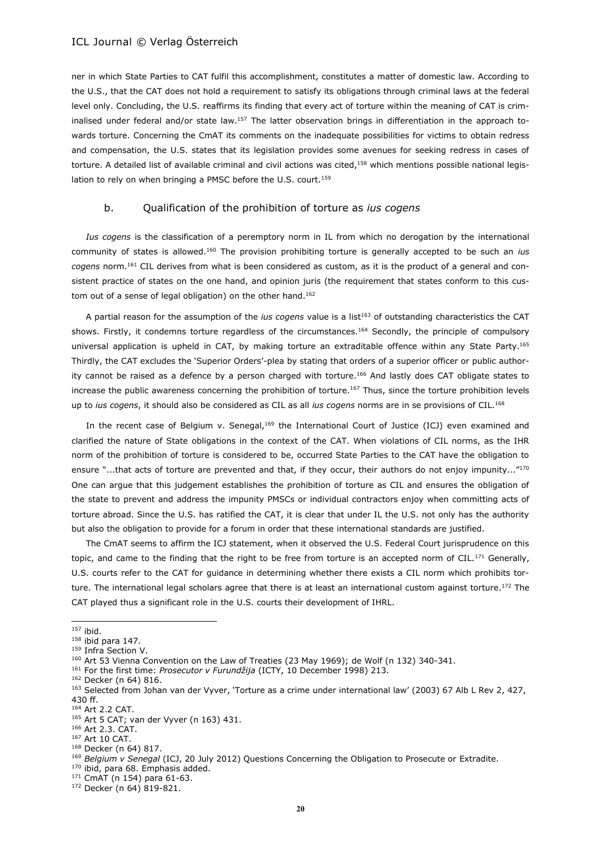ner in which State Parties to CAT fulfil this accomplishment, constitutes a matter of domestic law. According to the U.S., that the CAT does not hold a requirement to satisfy its obligations through criminal laws at the federal level only. Concluding, the U.S. reaffirms its finding that every act of torture within the meaning of CAT is criminalised under federal and/or state law.<sup>157</sup> The latter observation brings in differentiation in the approach towards torture. Concerning the CmAT its comments on the inadequate possibilities for victims to obtain redress and compensation, the U.S. states that its legislation provides some avenues for seeking redress in cases of torture. A detailed list of available criminal and civil actions was cited, $158$  which mentions possible national legislation to rely on when bringing a PMSC before the U.S. court.<sup>159</sup>

#### b. Qualification of the prohibition of torture as *ius cogens*

*Ius cogens* is the classification of a peremptory norm in IL from which no derogation by the international community of states is allowed.<sup>160</sup> The provision prohibiting torture is generally accepted to be such an *ius cogens* norm.<sup>161</sup> CIL derives from what is been considered as custom, as it is the product of a general and consistent practice of states on the one hand, and opinion juris (the requirement that states conform to this custom out of a sense of legal obligation) on the other hand.<sup>162</sup>

A partial reason for the assumption of the *ius cogens* value is a list<sup>163</sup> of outstanding characteristics the CAT shows. Firstly, it condemns torture regardless of the circumstances.<sup>164</sup> Secondly, the principle of compulsory universal application is upheld in CAT, by making torture an extraditable offence within any State Party.<sup>165</sup> Thirdly, the CAT excludes the 'Superior Orders'-plea by stating that orders of a superior officer or public authority cannot be raised as a defence by a person charged with torture.<sup>166</sup> And lastly does CAT obligate states to increase the public awareness concerning the prohibition of torture.<sup>167</sup> Thus, since the torture prohibition levels up to *ius cogens*, it should also be considered as CIL as all *ius cogens* norms are in se provisions of CIL.<sup>168</sup>

In the recent case of Belgium v. Senegal,<sup>169</sup> the International Court of Justice (ICJ) even examined and clarified the nature of State obligations in the context of the CAT. When violations of CIL norms, as the IHR norm of the prohibition of torture is considered to be, occurred State Parties to the CAT have the obligation to ensure "...that acts of torture are prevented and that, if they occur, their authors do not enjoy impunity..."170 One can argue that this judgement establishes the prohibition of torture as CIL and ensures the obligation of the state to prevent and address the impunity PMSCs or individual contractors enjoy when committing acts of torture abroad. Since the U.S. has ratified the CAT, it is clear that under IL the U.S. not only has the authority but also the obligation to provide for a forum in order that these international standards are justified.

The CmAT seems to affirm the ICJ statement, when it observed the U.S. Federal Court jurisprudence on this topic, and came to the finding that the right to be free from torture is an accepted norm of CIL.<sup>171</sup> Generally, U.S. courts refer to the CAT for guidance in determining whether there exists a CIL norm which prohibits torture. The international legal scholars agree that there is at least an international custom against torture.<sup>172</sup> The CAT played thus a significant role in the U.S. courts their development of IHRL.

<sup>157</sup> ibid.

 $158$  ibid para 147.

<sup>159</sup> Infra Section V.

<sup>&</sup>lt;sup>160</sup> Art 53 Vienna Convention on the Law of Treaties (23 May 1969); de Wolf (n 132) 340-341.

<sup>161</sup> For the first time: *Prosecutor v Furundžija* (ICTY, 10 December 1998) 213.

<sup>162</sup> Decker (n 64) 816.

<sup>163</sup> Selected from Johan van der Vyver, 'Torture as a crime under international law' (2003) 67 Alb L Rev 2, 427, 430 ff.

<sup>164</sup> Art 2.2 CAT.

<sup>165</sup> Art 5 CAT; van der Vyver (n 163) 431.

<sup>166</sup> Art 2.3. CAT.

<sup>167</sup> Art 10 CAT.

<sup>168</sup> Decker (n 64) 817.

<sup>169</sup> *Belgium v Senegal* (ICJ, 20 July 2012) Questions Concerning the Obligation to Prosecute or Extradite.

<sup>170</sup> ibid. para 68. Emphasis added.

<sup>171</sup> CmAT (n 154) para 61-63.

<sup>172</sup> Decker (n 64) 819-821.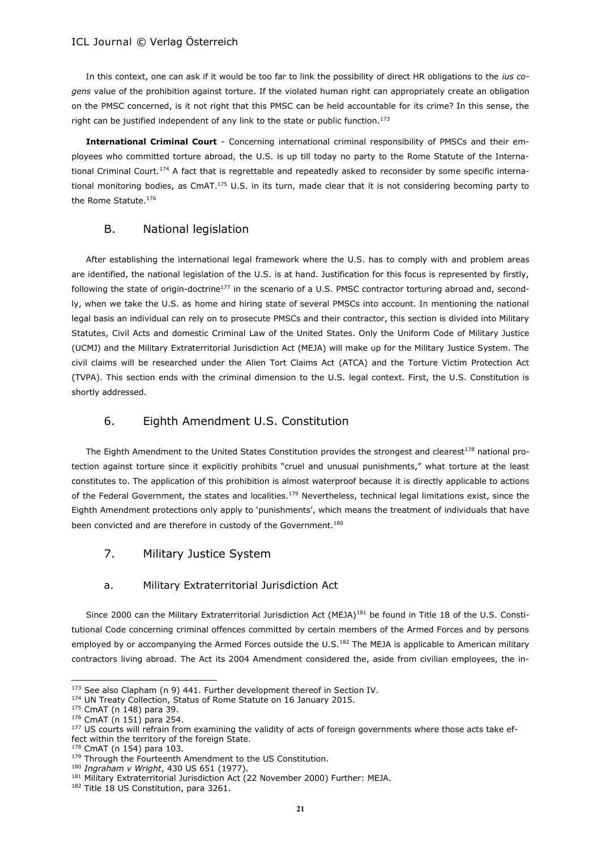In this context, one can ask if it would be too far to link the possibility of direct HR obligations to the *ius cogens* value of the prohibition against torture. If the violated human right can appropriately create an obligation on the PMSC concerned, is it not right that this PMSC can be held accountable for its crime? In this sense, the right can be justified independent of any link to the state or public function.<sup>173</sup>

**International Criminal Court** - Concerning international criminal responsibility of PMSCs and their employees who committed torture abroad, the U.S. is up till today no party to the Rome Statute of the International Criminal Court.<sup>174</sup> A fact that is regrettable and repeatedly asked to reconsider by some specific international monitoring bodies, as CmAT.<sup>175</sup> U.S. in its turn, made clear that it is not considering becoming party to the Rome Statute.<sup>176</sup>

## B. National legislation

After establishing the international legal framework where the U.S. has to comply with and problem areas are identified, the national legislation of the U.S. is at hand. Justification for this focus is represented by firstly, following the state of origin-doctrine<sup>177</sup> in the scenario of a U.S. PMSC contractor torturing abroad and, secondly, when we take the U.S. as home and hiring state of several PMSCs into account. In mentioning the national legal basis an individual can rely on to prosecute PMSCs and their contractor, this section is divided into Military Statutes, Civil Acts and domestic Criminal Law of the United States. Only the Uniform Code of Military Justice (UCMJ) and the Military Extraterritorial Jurisdiction Act (MEJA) will make up for the Military Justice System. The civil claims will be researched under the Alien Tort Claims Act (ATCA) and the Torture Victim Protection Act (TVPA). This section ends with the criminal dimension to the U.S. legal context. First, the U.S. Constitution is shortly addressed.

## 6. Eighth Amendment U.S. Constitution

The Eighth Amendment to the United States Constitution provides the strongest and clearest<sup>178</sup> national protection against torture since it explicitly prohibits "cruel and unusual punishments," what torture at the least constitutes to. The application of this prohibition is almost waterproof because it is directly applicable to actions of the Federal Government, the states and localities.<sup>179</sup> Nevertheless, technical legal limitations exist, since the Eighth Amendment protections only apply to 'punishments', which means the treatment of individuals that have been convicted and are therefore in custody of the Government.<sup>180</sup>

7. Military Justice System

## a. Military Extraterritorial Jurisdiction Act

Since 2000 can the Military Extraterritorial Jurisdiction Act (MEJA)<sup>181</sup> be found in Title 18 of the U.S. Constitutional Code concerning criminal offences committed by certain members of the Armed Forces and by persons employed by or accompanying the Armed Forces outside the U.S.<sup>182</sup> The MEJA is applicable to American military contractors living abroad. The Act its 2004 Amendment considered the, aside from civilian employees, the in-

<sup>173</sup> See also Clapham (n 9) 441. Further development thereof in Section IV.

<sup>174</sup> UN Treaty Collection, Status of Rome Statute on 16 January 2015.

<sup>175</sup> CmAT (n 148) para 39.

<sup>176</sup> CmAT (n 151) para 254.

<sup>177</sup> US courts will refrain from examining the validity of acts of foreign governments where those acts take effect within the territory of the foreign State.

CmAT (n 154) para 103.

<sup>&</sup>lt;sup>179</sup> Through the Fourteenth Amendment to the US Constitution.

<sup>180</sup> *Ingraham v Wright*, 430 US 651 (1977).

<sup>181</sup> Military Extraterritorial Jurisdiction Act (22 November 2000) Further: MEJA.

<sup>&</sup>lt;sup>182</sup> Title 18 US Constitution, para 3261.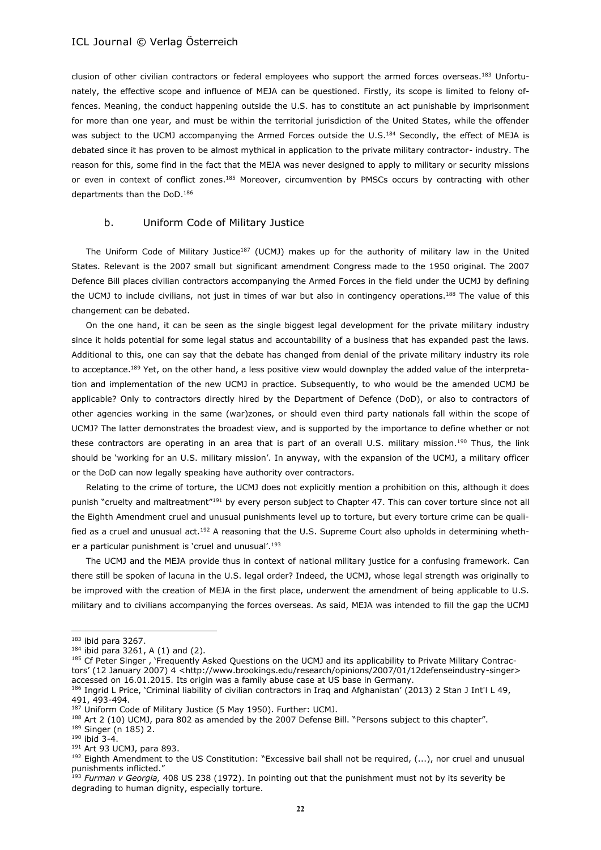clusion of other civilian contractors or federal employees who support the armed forces overseas.<sup>183</sup> Unfortunately, the effective scope and influence of MEJA can be questioned. Firstly, its scope is limited to felony offences. Meaning, the conduct happening outside the U.S. has to constitute an act punishable by imprisonment for more than one year, and must be within the territorial jurisdiction of the United States, while the offender was subject to the UCMJ accompanying the Armed Forces outside the U.S.<sup>184</sup> Secondly, the effect of MEJA is debated since it has proven to be almost mythical in application to the private military contractor- industry. The reason for this, some find in the fact that the MEJA was never designed to apply to military or security missions or even in context of conflict zones.<sup>185</sup> Moreover, circumvention by PMSCs occurs by contracting with other departments than the DoD.<sup>186</sup>

#### b. Uniform Code of Military Justice

The Uniform Code of Military Justice<sup>187</sup> (UCMJ) makes up for the authority of military law in the United States. Relevant is the 2007 small but significant amendment Congress made to the 1950 original. The 2007 Defence Bill places civilian contractors accompanying the Armed Forces in the field under the UCMJ by defining the UCMJ to include civilians, not just in times of war but also in contingency operations.<sup>188</sup> The value of this changement can be debated.

On the one hand, it can be seen as the single biggest legal development for the private military industry since it holds potential for some legal status and accountability of a business that has expanded past the laws. Additional to this, one can say that the debate has changed from denial of the private military industry its role to acceptance.<sup>189</sup> Yet, on the other hand, a less positive view would downplay the added value of the interpretation and implementation of the new UCMJ in practice. Subsequently, to who would be the amended UCMJ be applicable? Only to contractors directly hired by the Department of Defence (DoD), or also to contractors of other agencies working in the same (war)zones, or should even third party nationals fall within the scope of UCMJ? The latter demonstrates the broadest view, and is supported by the importance to define whether or not these contractors are operating in an area that is part of an overall U.S. military mission.<sup>190</sup> Thus, the link should be 'working for an U.S. military mission'. In anyway, with the expansion of the UCMJ, a military officer or the DoD can now legally speaking have authority over contractors.

Relating to the crime of torture, the UCMJ does not explicitly mention a prohibition on this, although it does punish "cruelty and maltreatment"<sup>191</sup> by every person subject to Chapter 47. This can cover torture since not all the Eighth Amendment cruel and unusual punishments level up to torture, but every torture crime can be qualified as a cruel and unusual act.<sup>192</sup> A reasoning that the U.S. Supreme Court also upholds in determining whether a particular punishment is 'cruel and unusual'.<sup>193</sup>

The UCMJ and the MEJA provide thus in context of national military justice for a confusing framework. Can there still be spoken of lacuna in the U.S. legal order? Indeed, the UCMJ, whose legal strength was originally to be improved with the creation of MEJA in the first place, underwent the amendment of being applicable to U.S. military and to civilians accompanying the forces overseas. As said, MEJA was intended to fill the gap the UCMJ

 $183$  ibid para 3267.

 $184$  ibid para 3261, A (1) and (2).

<sup>&</sup>lt;sup>185</sup> Cf Peter Singer, 'Frequently Asked Questions on the UCMJ and its applicability to Private Military Contractors' (12 January 2007) 4 <http://www.brookings.edu/research/opinions/2007/01/12defenseindustry-singer> accessed on 16.01.2015. Its origin was a family abuse case at US base in Germany.

<sup>&</sup>lt;sup>186</sup> Ingrid L Price, 'Criminal liability of civilian contractors in Iraq and Afghanistan' (2013) 2 Stan J Int'l L 49, 491, 493-494.

<sup>187</sup> Uniform Code of Military Justice (5 May 1950). Further: UCMJ.

<sup>188</sup> Art 2 (10) UCMJ, para 802 as amended by the 2007 Defense Bill. "Persons subject to this chapter".

<sup>189</sup> Singer (n 185) 2.

 $190$  ibid 3-4.

<sup>191</sup> Art 93 UCMJ, para 893.

<sup>&</sup>lt;sup>192</sup> Eighth Amendment to the US Constitution: "Excessive bail shall not be required, (...), nor cruel and unusual punishments inflicted."

<sup>193</sup> *Furman v Georgia,* 408 US 238 (1972). In pointing out that the punishment must not by its severity be degrading to human dignity, especially torture.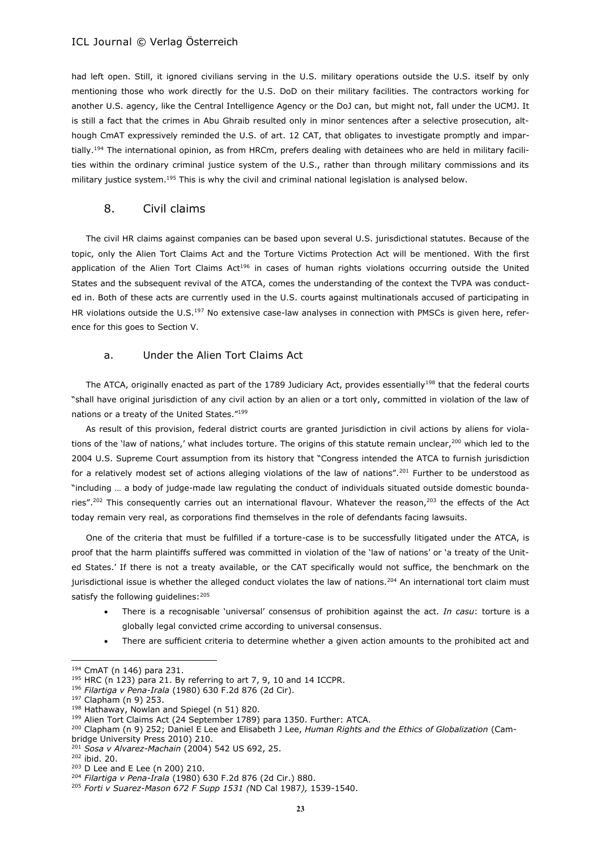had left open. Still, it ignored civilians serving in the U.S. military operations outside the U.S. itself by only mentioning those who work directly for the U.S. DoD on their military facilities. The contractors working for another U.S. agency, like the Central Intelligence Agency or the DoJ can, but might not, fall under the UCMJ. It is still a fact that the crimes in Abu Ghraib resulted only in minor sentences after a selective prosecution, although CmAT expressively reminded the U.S. of art. 12 CAT, that obligates to investigate promptly and impartially.<sup>194</sup> The international opinion, as from HRCm, prefers dealing with detainees who are held in military facilities within the ordinary criminal justice system of the U.S., rather than through military commissions and its military justice system.<sup>195</sup> This is why the civil and criminal national legislation is analysed below.

### 8. Civil claims

The civil HR claims against companies can be based upon several U.S. jurisdictional statutes. Because of the topic, only the Alien Tort Claims Act and the Torture Victims Protection Act will be mentioned. With the first application of the Alien Tort Claims Act<sup>196</sup> in cases of human rights violations occurring outside the United States and the subsequent revival of the ATCA, comes the understanding of the context the TVPA was conducted in. Both of these acts are currently used in the U.S. courts against multinationals accused of participating in HR violations outside the U.S.<sup>197</sup> No extensive case-law analyses in connection with PMSCs is given here, reference for this goes to Section V.

#### a. Under the Alien Tort Claims Act

The ATCA, originally enacted as part of the 1789 Judiciary Act, provides essentially<sup>198</sup> that the federal courts "shall have original jurisdiction of any civil action by an alien or a tort only, committed in violation of the law of nations or a treaty of the United States."<sup>199</sup>

As result of this provision, federal district courts are granted jurisdiction in civil actions by aliens for violations of the 'law of nations,' what includes torture. The origins of this statute remain unclear, $200$  which led to the 2004 U.S. Supreme Court assumption from its history that "Congress intended the ATCA to furnish jurisdiction for a relatively modest set of actions alleging violations of the law of nations".<sup>201</sup> Further to be understood as "including … a body of judge-made law regulating the conduct of individuals situated outside domestic boundaries".<sup>202</sup> This consequently carries out an international flavour. Whatever the reason,<sup>203</sup> the effects of the Act today remain very real, as corporations find themselves in the role of defendants facing lawsuits.

One of the criteria that must be fulfilled if a torture-case is to be successfully litigated under the ATCA, is proof that the harm plaintiffs suffered was committed in violation of the 'law of nations' or 'a treaty of the United States.' If there is not a treaty available, or the CAT specifically would not suffice, the benchmark on the jurisdictional issue is whether the alleged conduct violates the law of nations.<sup>204</sup> An international tort claim must satisfy the following guidelines: 205

- There is a recognisable 'universal' consensus of prohibition against the act. *In casu*: torture is a globally legal convicted crime according to universal consensus.
- There are sufficient criteria to determine whether a given action amounts to the prohibited act and

<sup>194</sup> CmAT (n 146) para 231.

 $195$  HRC (n 123) para 21. By referring to art 7, 9, 10 and 14 ICCPR.

<sup>196</sup> *Filartiga v Pena-Irala* (1980) 630 F.2d 876 (2d Cir).

<sup>197</sup> Clapham (n 9) 253.

<sup>198</sup> Hathaway, Nowlan and Spiegel (n 51) 820.

<sup>&</sup>lt;sup>199</sup> Alien Tort Claims Act (24 September 1789) para 1350. Further: ATCA.

<sup>200</sup> Clapham (n 9) 252; Daniel E Lee and Elisabeth J Lee, *Human Rights and the Ethics of Globalization* (Cambridge University Press 2010) 210.

<sup>201</sup> *Sosa v Alvarez-Machain* (2004) 542 US 692, 25.

<sup>202</sup> ibid. 20.

<sup>203</sup> D Lee and E Lee (n 200) 210.

<sup>204</sup> *Filartiga v Pena-Irala* (1980) 630 F.2d 876 (2d Cir.) 880.

<sup>205</sup> *Forti v Suarez-Mason 672 F Supp 1531 (*ND Cal 1987*),* 1539-1540.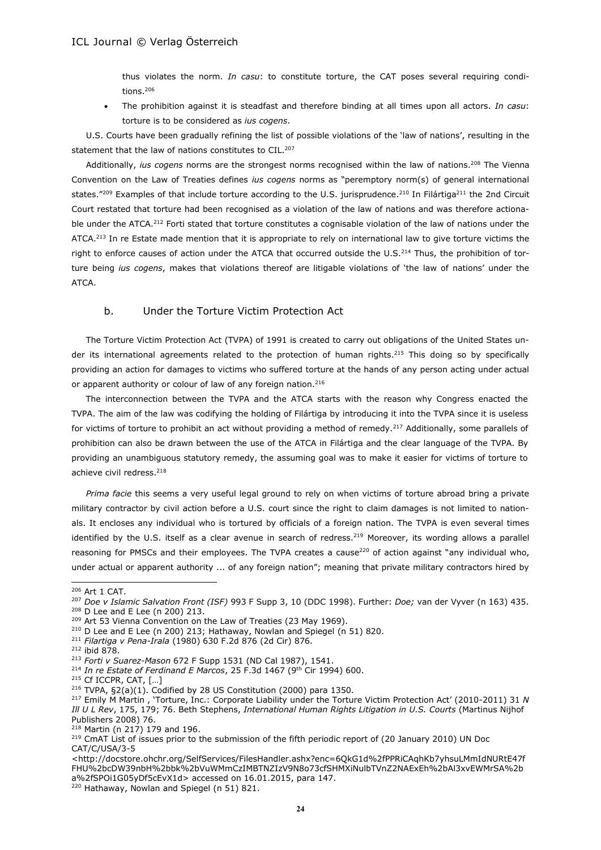thus violates the norm. *In casu*: to constitute torture, the CAT poses several requiring conditions.<sup>206</sup>

 The prohibition against it is steadfast and therefore binding at all times upon all actors. *In casu*: torture is to be considered as *ius cogens*.

U.S. Courts have been gradually refining the list of possible violations of the 'law of nations', resulting in the statement that the law of nations constitutes to CIL.<sup>207</sup>

Additionally, *ius cogens* norms are the strongest norms recognised within the law of nations.<sup>208</sup> The Vienna Convention on the Law of Treaties defines *ius cogens* norms as "peremptory norm(s) of general international states."<sup>209</sup> Examples of that include torture according to the U.S. jurisprudence.<sup>210</sup> In Filártiga<sup>211</sup> the 2nd Circuit Court restated that torture had been recognised as a violation of the law of nations and was therefore actionable under the ATCA.<sup>212</sup> Forti stated that torture constitutes a cognisable violation of the law of nations under the ATCA.<sup>213</sup> In re Estate made mention that it is appropriate to rely on international law to give torture victims the right to enforce causes of action under the ATCA that occurred outside the U.S.<sup>214</sup> Thus, the prohibition of torture being *ius cogens*, makes that violations thereof are litigable violations of 'the law of nations' under the ATCA.

## b. Under the Torture Victim Protection Act

The Torture Victim Protection Act (TVPA) of 1991 is created to carry out obligations of the United States under its international agreements related to the protection of human rights.<sup>215</sup> This doing so by specifically providing an action for damages to victims who suffered torture at the hands of any person acting under actual or apparent authority or colour of law of any foreign nation.<sup>216</sup>

The interconnection between the TVPA and the ATCA starts with the reason why Congress enacted the TVPA. The aim of the law was codifying the holding of Filártiga by introducing it into the TVPA since it is useless for victims of torture to prohibit an act without providing a method of remedy.<sup>217</sup> Additionally, some parallels of prohibition can also be drawn between the use of the ATCA in Filártiga and the clear language of the TVPA. By providing an unambiguous statutory remedy, the assuming goal was to make it easier for victims of torture to achieve civil redress.<sup>218</sup>

*Prima facie* this seems a very useful legal ground to rely on when victims of torture abroad bring a private military contractor by civil action before a U.S. court since the right to claim damages is not limited to nationals. It encloses any individual who is tortured by officials of a foreign nation. The TVPA is even several times identified by the U.S. itself as a clear avenue in search of redress.<sup>219</sup> Moreover, its wording allows a parallel reasoning for PMSCs and their employees. The TVPA creates a cause<sup>220</sup> of action against "any individual who, under actual or apparent authority ... of any foreign nation"; meaning that private military contractors hired by

 $\overline{a}$ 

- <sup>211</sup> *Filartiga v Pena-Irala* (1980) 630 F.2d 876 (2d Cir) 876.
- <sup>212</sup> ibid 878.

<sup>214</sup> In re Estate of Ferdinand E Marcos, 25 F.3d 1467 (9<sup>th</sup> Cir 1994) 600.

<sup>218</sup> Martin (n 217) 179 and 196.

<sup>206</sup> Art 1 CAT.

<sup>207</sup> *Doe v Islamic Salvation Front (ISF)* 993 F Supp 3, 10 (DDC 1998). Further: *Doe;* van der Vyver (n 163) 435. <sup>208</sup> D Lee and E Lee (n 200) 213.

<sup>&</sup>lt;sup>209</sup> Art 53 Vienna Convention on the Law of Treaties (23 May 1969).

<sup>210</sup> D Lee and E Lee (n 200) 213; Hathaway, Nowlan and Spiegel (n 51) 820.

<sup>213</sup> *Forti v Suarez-Mason* 672 F Supp 1531 (ND Cal 1987), 1541.

<sup>215</sup> Cf ICCPR, CAT, […]

<sup>216</sup> TVPA, §2(a)(1). Codified by 28 US Constitution (2000) para 1350.

<sup>217</sup> Emily M Martin , 'Torture, Inc.: Corporate Liability under the Torture Victim Protection Act' (2010-2011) 31 *N Ill U L Rev*, 175, 179; 76. Beth Stephens, *International Human Rights Litigation in U.S. Courts* (Martinus Nijhof Publishers 2008) 76.

<sup>&</sup>lt;sup>219</sup> CmAT List of issues prior to the submission of the fifth periodic report of (20 January 2010) UN Doc CAT/C/USA/3-5

<sup>&</sup>lt;http://docstore.ohchr.org/SelfServices/FilesHandler.ashx?enc=6QkG1d%2fPPRiCAqhKb7yhsuLMmIdNURtE47f FHU%2bcDW39nbH%2bbk%2bVuWMmCzIMBTNZIzV9N8o73cfSHMXiNulbTVnZ2NAExEh%2bAl3xvEWMrSA%2b a%2fSPOi1G05yDf5cEvX1d> accessed on 16.01.2015, para 147.

<sup>&</sup>lt;sup>220</sup> Hathaway, Nowlan and Spiegel (n 51) 821.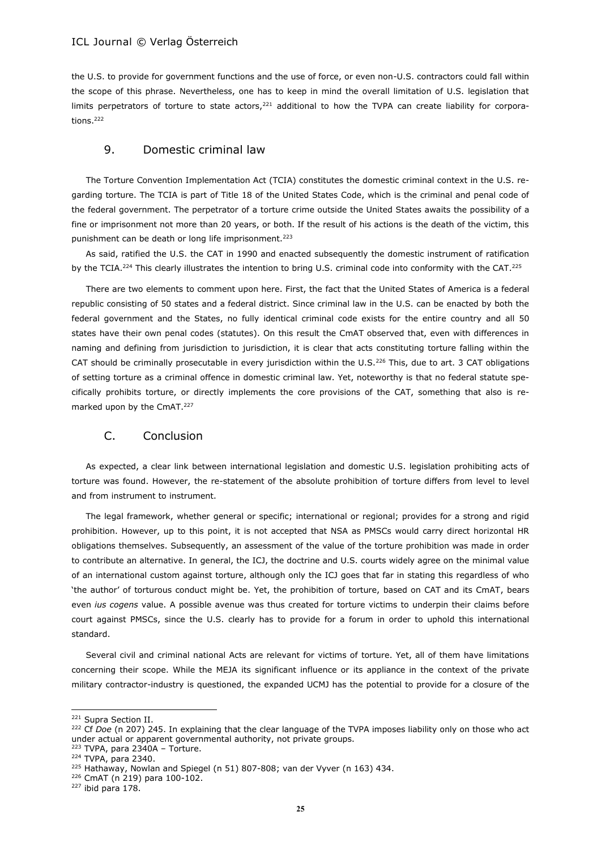the U.S. to provide for government functions and the use of force, or even non-U.S. contractors could fall within the scope of this phrase. Nevertheless, one has to keep in mind the overall limitation of U.S. legislation that limits perpetrators of torture to state actors, $221$  additional to how the TVPA can create liability for corporations.<sup>222</sup>

## 9. Domestic criminal law

The Torture Convention Implementation Act (TCIA) constitutes the domestic criminal context in the U.S. regarding torture. The TCIA is part of Title 18 of the United States Code, which is the criminal and penal code of the federal government. The perpetrator of a torture crime outside the United States awaits the possibility of a fine or imprisonment not more than 20 years, or both. If the result of his actions is the death of the victim, this punishment can be death or long life imprisonment.<sup>223</sup>

As said, ratified the U.S. the CAT in 1990 and enacted subsequently the domestic instrument of ratification by the TCIA.<sup>224</sup> This clearly illustrates the intention to bring U.S. criminal code into conformity with the CAT.<sup>225</sup>

There are two elements to comment upon here. First, the fact that the United States of America is a federal republic consisting of 50 states and a federal district. Since criminal law in the U.S. can be enacted by both the federal government and the States, no fully identical criminal code exists for the entire country and all 50 states have their own penal codes (statutes). On this result the CmAT observed that, even with differences in naming and defining from jurisdiction to jurisdiction, it is clear that acts constituting torture falling within the CAT should be criminally prosecutable in every jurisdiction within the U.S.<sup>226</sup> This, due to art. 3 CAT obligations of setting torture as a criminal offence in domestic criminal law. Yet, noteworthy is that no federal statute specifically prohibits torture, or directly implements the core provisions of the CAT, something that also is remarked upon by the CmAT.<sup>227</sup>

## C. Conclusion

As expected, a clear link between international legislation and domestic U.S. legislation prohibiting acts of torture was found. However, the re-statement of the absolute prohibition of torture differs from level to level and from instrument to instrument.

The legal framework, whether general or specific; international or regional; provides for a strong and rigid prohibition. However, up to this point, it is not accepted that NSA as PMSCs would carry direct horizontal HR obligations themselves. Subsequently, an assessment of the value of the torture prohibition was made in order to contribute an alternative. In general, the ICJ, the doctrine and U.S. courts widely agree on the minimal value of an international custom against torture, although only the ICJ goes that far in stating this regardless of who 'the author' of torturous conduct might be. Yet, the prohibition of torture, based on CAT and its CmAT, bears even *ius cogens* value. A possible avenue was thus created for torture victims to underpin their claims before court against PMSCs, since the U.S. clearly has to provide for a forum in order to uphold this international standard.

Several civil and criminal national Acts are relevant for victims of torture. Yet, all of them have limitations concerning their scope. While the MEJA its significant influence or its appliance in the context of the private military contractor-industry is questioned, the expanded UCMJ has the potential to provide for a closure of the

<sup>&</sup>lt;sup>221</sup> Supra Section II.

<sup>&</sup>lt;sup>222</sup> Cf *Doe* (n 207) 245. In explaining that the clear language of the TVPA imposes liability only on those who act under actual or apparent governmental authority, not private groups.

TVPA, para 2340A - Torture.

<sup>224</sup> TVPA, para 2340.

<sup>&</sup>lt;sup>225</sup> Hathaway, Nowlan and Spiegel (n 51) 807-808; van der Vyver (n 163) 434.

<sup>226</sup> CmAT (n 219) para 100-102.

 $227$  ibid para 178.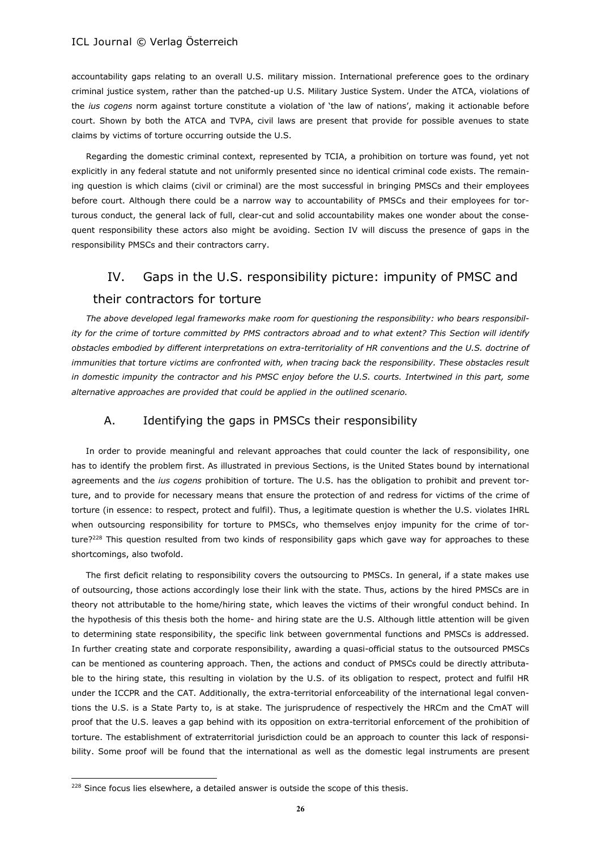accountability gaps relating to an overall U.S. military mission. International preference goes to the ordinary criminal justice system, rather than the patched-up U.S. Military Justice System. Under the ATCA, violations of the *ius cogens* norm against torture constitute a violation of 'the law of nations', making it actionable before court. Shown by both the ATCA and TVPA, civil laws are present that provide for possible avenues to state claims by victims of torture occurring outside the U.S.

Regarding the domestic criminal context, represented by TCIA, a prohibition on torture was found, yet not explicitly in any federal statute and not uniformly presented since no identical criminal code exists. The remaining question is which claims (civil or criminal) are the most successful in bringing PMSCs and their employees before court. Although there could be a narrow way to accountability of PMSCs and their employees for torturous conduct, the general lack of full, clear-cut and solid accountability makes one wonder about the consequent responsibility these actors also might be avoiding. Section IV will discuss the presence of gaps in the responsibility PMSCs and their contractors carry.

# IV. Gaps in the U.S. responsibility picture: impunity of PMSC and

## their contractors for torture

*The above developed legal frameworks make room for questioning the responsibility: who bears responsibility for the crime of torture committed by PMS contractors abroad and to what extent? This Section will identify obstacles embodied by different interpretations on extra-territoriality of HR conventions and the U.S. doctrine of immunities that torture victims are confronted with, when tracing back the responsibility. These obstacles result in domestic impunity the contractor and his PMSC enjoy before the U.S. courts. Intertwined in this part, some alternative approaches are provided that could be applied in the outlined scenario.*

## A. Identifying the gaps in PMSCs their responsibility

In order to provide meaningful and relevant approaches that could counter the lack of responsibility, one has to identify the problem first. As illustrated in previous Sections, is the United States bound by international agreements and the *ius cogens* prohibition of torture. The U.S. has the obligation to prohibit and prevent torture, and to provide for necessary means that ensure the protection of and redress for victims of the crime of torture (in essence: to respect, protect and fulfil). Thus, a legitimate question is whether the U.S. violates IHRL when outsourcing responsibility for torture to PMSCs, who themselves enjoy impunity for the crime of torture?<sup>228</sup> This question resulted from two kinds of responsibility gaps which gave way for approaches to these shortcomings, also twofold.

The first deficit relating to responsibility covers the outsourcing to PMSCs. In general, if a state makes use of outsourcing, those actions accordingly lose their link with the state. Thus, actions by the hired PMSCs are in theory not attributable to the home/hiring state, which leaves the victims of their wrongful conduct behind. In the hypothesis of this thesis both the home- and hiring state are the U.S. Although little attention will be given to determining state responsibility, the specific link between governmental functions and PMSCs is addressed. In further creating state and corporate responsibility, awarding a quasi-official status to the outsourced PMSCs can be mentioned as countering approach. Then, the actions and conduct of PMSCs could be directly attributable to the hiring state, this resulting in violation by the U.S. of its obligation to respect, protect and fulfil HR under the ICCPR and the CAT. Additionally, the extra-territorial enforceability of the international legal conventions the U.S. is a State Party to, is at stake. The jurisprudence of respectively the HRCm and the CmAT will proof that the U.S. leaves a gap behind with its opposition on extra-territorial enforcement of the prohibition of torture. The establishment of extraterritorial jurisdiction could be an approach to counter this lack of responsibility. Some proof will be found that the international as well as the domestic legal instruments are present

<sup>&</sup>lt;sup>228</sup> Since focus lies elsewhere, a detailed answer is outside the scope of this thesis.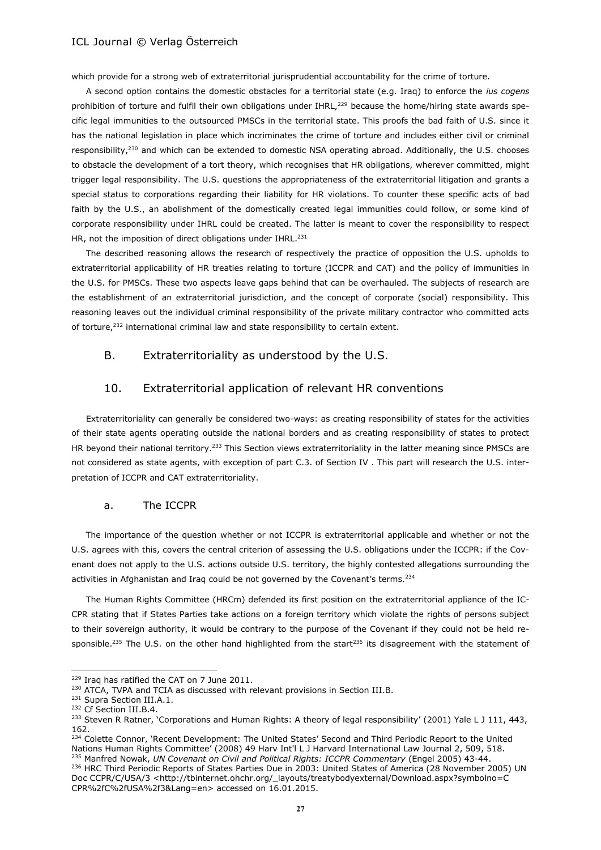which provide for a strong web of extraterritorial jurisprudential accountability for the crime of torture.

A second option contains the domestic obstacles for a territorial state (e.g. Iraq) to enforce the *ius cogens* prohibition of torture and fulfil their own obligations under IHRL,<sup>229</sup> because the home/hiring state awards specific legal immunities to the outsourced PMSCs in the territorial state. This proofs the bad faith of U.S. since it has the national legislation in place which incriminates the crime of torture and includes either civil or criminal responsibility, $230$  and which can be extended to domestic NSA operating abroad. Additionally, the U.S. chooses to obstacle the development of a tort theory, which recognises that HR obligations, wherever committed, might trigger legal responsibility. The U.S. questions the appropriateness of the extraterritorial litigation and grants a special status to corporations regarding their liability for HR violations. To counter these specific acts of bad faith by the U.S., an abolishment of the domestically created legal immunities could follow, or some kind of corporate responsibility under IHRL could be created. The latter is meant to cover the responsibility to respect HR, not the imposition of direct obligations under IHRL.<sup>231</sup>

The described reasoning allows the research of respectively the practice of opposition the U.S. upholds to extraterritorial applicability of HR treaties relating to torture (ICCPR and CAT) and the policy of immunities in the U.S. for PMSCs. These two aspects leave gaps behind that can be overhauled. The subjects of research are the establishment of an extraterritorial jurisdiction, and the concept of corporate (social) responsibility. This reasoning leaves out the individual criminal responsibility of the private military contractor who committed acts of torture,<sup>232</sup> international criminal law and state responsibility to certain extent.

## B. Extraterritoriality as understood by the U.S.

#### 10. Extraterritorial application of relevant HR conventions

Extraterritoriality can generally be considered two-ways: as creating responsibility of states for the activities of their state agents operating outside the national borders and as creating responsibility of states to protect HR beyond their national territory.<sup>233</sup> This Section views extraterritoriality in the latter meaning since PMSCs are not considered as state agents, with exception of part C.3. of Section IV . This part will research the U.S. interpretation of ICCPR and CAT extraterritoriality.

#### a. The ICCPR

The importance of the question whether or not ICCPR is extraterritorial applicable and whether or not the U.S. agrees with this, covers the central criterion of assessing the U.S. obligations under the ICCPR: if the Covenant does not apply to the U.S. actions outside U.S. territory, the highly contested allegations surrounding the activities in Afghanistan and Iraq could be not governed by the Covenant's terms.<sup>234</sup>

The Human Rights Committee (HRCm) defended its first position on the extraterritorial appliance of the IC-CPR stating that if States Parties take actions on a foreign territory which violate the rights of persons subject to their sovereign authority, it would be contrary to the purpose of the Covenant if they could not be held responsible.<sup>235</sup> The U.S. on the other hand highlighted from the start<sup>236</sup> its disagreement with the statement of

<sup>&</sup>lt;sup>229</sup> Iraq has ratified the CAT on 7 June 2011.

<sup>&</sup>lt;sup>230</sup> ATCA, TVPA and TCIA as discussed with relevant provisions in Section III.B.

<sup>231</sup> Supra Section III.A.1.

<sup>232</sup> Cf Section III.B.4.

<sup>&</sup>lt;sup>233</sup> Steven R Ratner, 'Corporations and Human Rights: A theory of legal responsibility' (2001) Yale L J 111, 443, 162.

<sup>&</sup>lt;sup>234</sup> Colette Connor, 'Recent Development: The United States' Second and Third Periodic Report to the United Nations Human Rights Committee' (2008) 49 Harv Int'l L J Harvard International Law Journal 2, 509, 518. <sup>235</sup> Manfred Nowak, *UN Covenant on Civil and Political Rights: ICCPR Commentary* (Engel 2005) 43-44.

<sup>&</sup>lt;sup>236</sup> HRC Third Periodic Reports of States Parties Due in 2003: United States of America (28 November 2005) UN Doc CCPR/C/USA/3 <http://tbinternet.ohchr.org/\_layouts/treatybodyexternal/Download.aspx?symbolno=C CPR%2fC%2fUSA%2f3&Lang=en> accessed on 16.01.2015.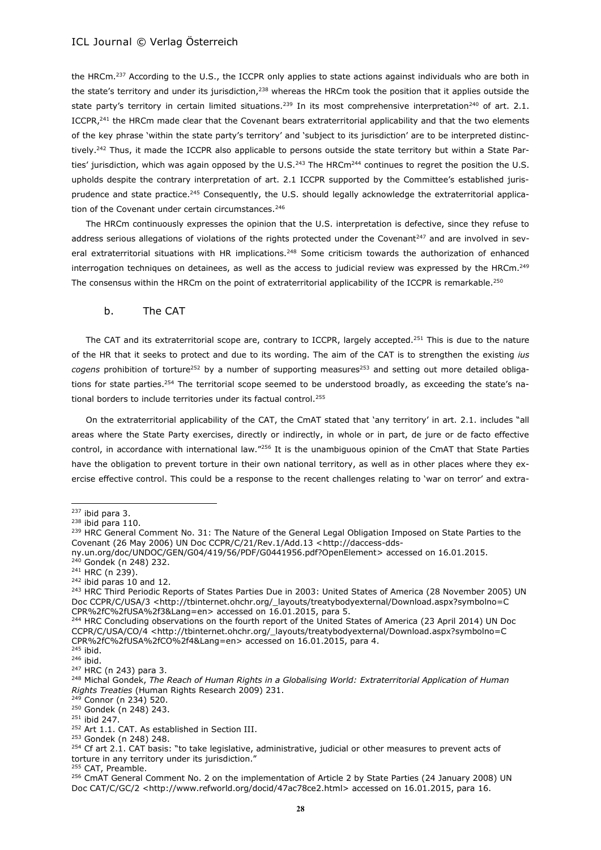the HRCm.<sup>237</sup> According to the U.S., the ICCPR only applies to state actions against individuals who are both in the state's territory and under its jurisdiction,<sup>238</sup> whereas the HRCm took the position that it applies outside the state party's territory in certain limited situations.<sup>239</sup> In its most comprehensive interpretation<sup>240</sup> of art. 2.1. ICCPR,<sup>241</sup> the HRCm made clear that the Covenant bears extraterritorial applicability and that the two elements of the key phrase 'within the state party's territory' and 'subject to its jurisdiction' are to be interpreted distinctively.<sup>242</sup> Thus, it made the ICCPR also applicable to persons outside the state territory but within a State Parties' jurisdiction, which was again opposed by the U.S. $^{243}$  The HRCm<sup>244</sup> continues to regret the position the U.S. upholds despite the contrary interpretation of art. 2.1 ICCPR supported by the Committee's established jurisprudence and state practice.<sup>245</sup> Consequently, the U.S. should legally acknowledge the extraterritorial application of the Covenant under certain circumstances.<sup>246</sup>

The HRCm continuously expresses the opinion that the U.S. interpretation is defective, since they refuse to address serious allegations of violations of the rights protected under the Covenant<sup>247</sup> and are involved in several extraterritorial situations with HR implications.<sup>248</sup> Some criticism towards the authorization of enhanced interrogation techniques on detainees, as well as the access to judicial review was expressed by the HRCm.<sup>249</sup> The consensus within the HRCm on the point of extraterritorial applicability of the ICCPR is remarkable.<sup>250</sup>

#### b. The CAT

The CAT and its extraterritorial scope are, contrary to ICCPR, largely accepted.<sup>251</sup> This is due to the nature of the HR that it seeks to protect and due to its wording. The aim of the CAT is to strengthen the existing *ius*  cogens prohibition of torture<sup>252</sup> by a number of supporting measures<sup>253</sup> and setting out more detailed obligations for state parties.<sup>254</sup> The territorial scope seemed to be understood broadly, as exceeding the state's national borders to include territories under its factual control.<sup>255</sup>

On the extraterritorial applicability of the CAT, the CmAT stated that 'any territory' in art. 2.1. includes "all areas where the State Party exercises, directly or indirectly, in whole or in part, de jure or de facto effective control, in accordance with international law."<sup>256</sup> It is the unambiguous opinion of the CmAT that State Parties have the obligation to prevent torture in their own national territory, as well as in other places where they exercise effective control. This could be a response to the recent challenges relating to 'war on terror' and extra-

 $\overline{a}$ 

<sup>251</sup> ibid 247.

 $237$  ibid para 3.

 $238$  ibid para 110.

<sup>&</sup>lt;sup>239</sup> HRC General Comment No. 31: The Nature of the General Legal Obligation Imposed on State Parties to the Covenant (26 May 2006) UN Doc CCPR/C/21/Rev.1/Add.13 [<http://daccess-dds-](http://daccess-dds-ny.un.org/doc/UNDOC/GEN/G04/419/56/PDF/G0441956.pdf?OpenElement)

[ny.un.org/doc/UNDOC/GEN/G04/419/56/PDF/G0441956.pdf?OpenElement>](http://daccess-dds-ny.un.org/doc/UNDOC/GEN/G04/419/56/PDF/G0441956.pdf?OpenElement) accessed on 16.01.2015.

<sup>&</sup>lt;sup>240</sup> Gondek (n 248) 232.

 $241$  HRC (n 239).

<sup>242</sup> ibid paras 10 and 12.

<sup>&</sup>lt;sup>243</sup> HRC Third Periodic Reports of States Parties Due in 2003: United States of America (28 November 2005) UN Doc CCPR/C/USA/3 <http://tbinternet.ohchr.org/\_layouts/treatybodyexternal/Download.aspx?symbolno=C CPR%2fC%2fUSA%2f3&Lang=en> accessed on 16.01.2015, para 5.

<sup>&</sup>lt;sup>244</sup> HRC Concluding observations on the fourth report of the United States of America (23 April 2014) UN Doc CCPR/C/USA/CO/4 <http://tbinternet.ohchr.org/\_layouts/treatybodyexternal/Download.aspx?symbolno=C CPR%2fC%2fUSA%2fCO%2f4&Lang=en> accessed on 16.01.2015, para 4.

<sup>245</sup> ibid. <sup>246</sup> ibid.

<sup>247</sup> HRC (n 243) para 3.

<sup>248</sup> Michal Gondek, *The Reach of Human Rights in a Globalising World: Extraterritorial Application of Human Rights Treaties* (Human Rights Research 2009) 231.

<sup>249</sup> Connor (n 234) 520.

<sup>250</sup> Gondek (n 248) 243.

<sup>&</sup>lt;sup>252</sup> Art 1.1. CAT. As established in Section III.

<sup>253</sup> Gondek (n 248) 248.

 $254$  Cf art 2.1. CAT basis: "to take legislative, administrative, judicial or other measures to prevent acts of torture in any territory under its jurisdiction."

<sup>&</sup>lt;sup>255</sup> CAT, Preamble.

<sup>&</sup>lt;sup>256</sup> CmAT General Comment No. 2 on the implementation of Article 2 by State Parties (24 January 2008) UN Doc CAT/C/GC/2 <http://www.refworld.org/docid/47ac78ce2.html> accessed on 16.01.2015, para 16.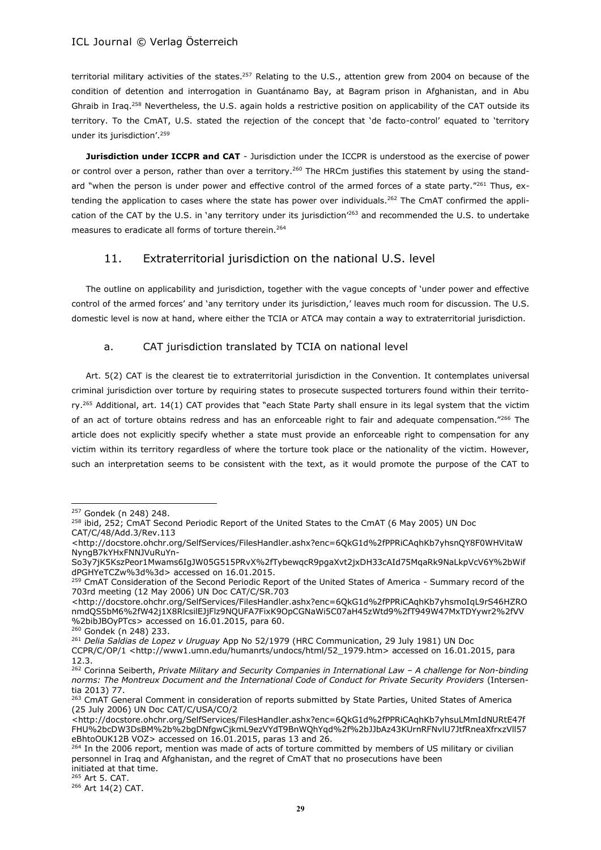territorial military activities of the states.<sup>257</sup> Relating to the U.S., attention grew from 2004 on because of the condition of detention and interrogation in Guantánamo Bay, at Bagram prison in Afghanistan, and in Abu Ghraib in Iraq.<sup>258</sup> Nevertheless, the U.S. again holds a restrictive position on applicability of the CAT outside its territory. To the CmAT, U.S. stated the rejection of the concept that 'de facto-control' equated to 'territory under its jurisdiction'.<sup>259</sup>

**Jurisdiction under ICCPR and CAT** - Jurisdiction under the ICCPR is understood as the exercise of power or control over a person, rather than over a territory.<sup>260</sup> The HRCm justifies this statement by using the standard "when the person is under power and effective control of the armed forces of a state party."<sup>261</sup> Thus, extending the application to cases where the state has power over individuals.<sup>262</sup> The CmAT confirmed the application of the CAT by the U.S. in 'any territory under its jurisdiction<sup>263</sup> and recommended the U.S. to undertake measures to eradicate all forms of torture therein.<sup>264</sup>

## 11. Extraterritorial jurisdiction on the national U.S. level

The outline on applicability and jurisdiction, together with the vague concepts of 'under power and effective control of the armed forces' and 'any territory under its jurisdiction,' leaves much room for discussion. The U.S. domestic level is now at hand, where either the TCIA or ATCA may contain a way to extraterritorial jurisdiction.

## a. CAT jurisdiction translated by TCIA on national level

Art. 5(2) CAT is the clearest tie to extraterritorial jurisdiction in the Convention. It contemplates universal criminal jurisdiction over torture by requiring states to prosecute suspected torturers found within their territory.<sup>265</sup> Additional, art. 14(1) CAT provides that "each State Party shall ensure in its legal system that the victim of an act of torture obtains redress and has an enforceable right to fair and adequate compensation."266 The article does not explicitly specify whether a state must provide an enforceable right to compensation for any victim within its territory regardless of where the torture took place or the nationality of the victim. However, such an interpretation seems to be consistent with the text, as it would promote the purpose of the CAT to

 $\overline{a}$ <sup>257</sup> Gondek (n 248) 248.

<sup>&</sup>lt;sup>258</sup> ibid, 252; CmAT Second Periodic Report of the United States to the CmAT (6 May 2005) UN Doc

CAT/C/48/Add.3/Rev.113

<sup>&</sup>lt;http://docstore.ohchr.org/SelfServices/FilesHandler.ashx?enc=6QkG1d%2fPPRiCAqhKb7yhsnQY8F0WHVitaW NyngB7kYHxFNNJVuRuYn-

So3y7jK5KszPeor1Mwams6IgJW05G515PRvX%2fTybewqcR9pgaXvt2jxDH33cAId75MqaRk9NaLkpVcV6Y%2bWif dPGHYeTCZw%3d%3d> accessed on 16.01.2015.

<sup>&</sup>lt;sup>259</sup> CmAT Consideration of the Second Periodic Report of the United States of America - Summary record of the 703rd meeting (12 May 2006) UN Doc CAT/C/SR.703

[<sup>&</sup>lt;http://docstore.ohchr.org/SelfServices/FilesHandler.ashx?enc=6QkG1d%2fPPRiCAqhKb7yhsmoIqL9rS46HZRO](http://docstore.ohchr.org/SelfServices/FilesHandler.ashx?enc=6QkG1d%2fPPRiCAqhKb7yhsmoIqL9rS46HZROnmdQS5bM6%2fW42j1X8RlcsilEJjFlz9NQUFA7FixK9OpCGNaWi5C07aH45zWtd9%2fT949W47MxTDYywr2%2fVV%2bibJBOyPTcs) [nmdQS5bM6%2fW42j1X8RlcsilEJjFlz9NQUFA7FixK9OpCGNaWi5C07aH45zWtd9%2fT949W47MxTDYywr2%2fVV](http://docstore.ohchr.org/SelfServices/FilesHandler.ashx?enc=6QkG1d%2fPPRiCAqhKb7yhsmoIqL9rS46HZROnmdQS5bM6%2fW42j1X8RlcsilEJjFlz9NQUFA7FixK9OpCGNaWi5C07aH45zWtd9%2fT949W47MxTDYywr2%2fVV%2bibJBOyPTcs) [%2bibJBOyPTcs>](http://docstore.ohchr.org/SelfServices/FilesHandler.ashx?enc=6QkG1d%2fPPRiCAqhKb7yhsmoIqL9rS46HZROnmdQS5bM6%2fW42j1X8RlcsilEJjFlz9NQUFA7FixK9OpCGNaWi5C07aH45zWtd9%2fT949W47MxTDYywr2%2fVV%2bibJBOyPTcs) accessed on 16.01.2015, para 60.

<sup>260</sup> Gondek (n 248) 233.

<sup>261</sup> *Delia Saldias de Lopez v Uruguay* App No 52/1979 (HRC Communication, 29 July 1981) UN Doc

CCPR/C/OP/1 <http://www1.umn.edu/humanrts/undocs/html/52\_1979.htm> accessed on 16.01.2015, para 12.3.

<sup>262</sup> Corinna Seiberth, *Private Military and Security Companies in International Law – A challenge for Non-binding norms: The Montreux Document and the International Code of Conduct for Private Security Providers* (Intersentia 2013) 77.

<sup>&</sup>lt;sup>263</sup> CmAT General Comment in consideration of reports submitted by State Parties, United States of America (25 July 2006) UN Doc CAT/C/USA/CO/2

<sup>&</sup>lt;http://docstore.ohchr.org/SelfServices/FilesHandler.ashx?enc=6QkG1d%2fPPRiCAqhKb7yhsuLMmIdNURtE47f FHU%2bcDW3DsBM%2b%2bgDNfgwCjkmL9ezVYdT9BnWQhYqd%2f%2bJJbAz43KUrnRFNvlU7JtfRneaXfrxzVll57 eBhtoOUK12B VOZ> accessed on 16.01.2015, paras 13 and 26.

<sup>&</sup>lt;sup>264</sup> In the 2006 report, mention was made of acts of torture committed by members of US military or civilian personnel in Iraq and Afghanistan, and the regret of CmAT that no prosecutions have been initiated at that time.

<sup>265</sup> Art 5. CAT.

<sup>266</sup> Art 14(2) CAT.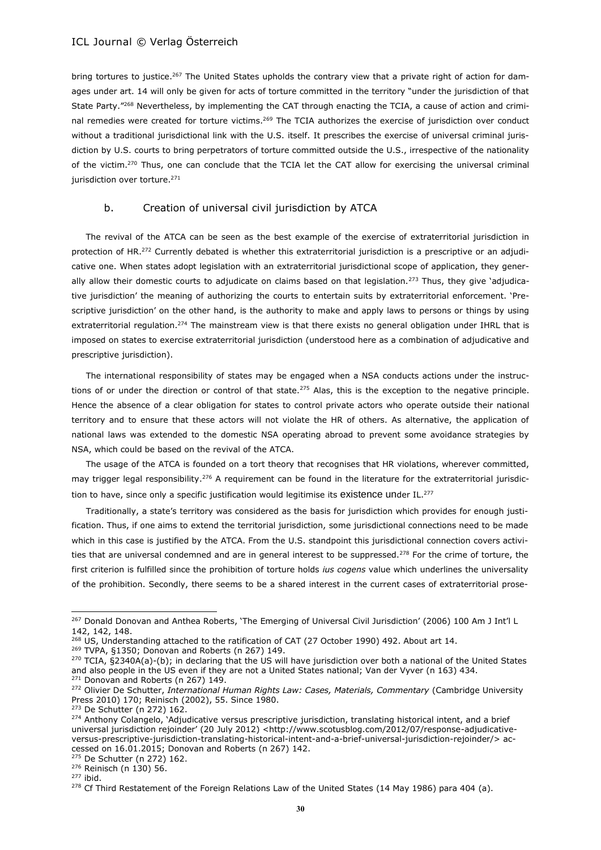bring tortures to justice.<sup>267</sup> The United States upholds the contrary view that a private right of action for damages under art. 14 will only be given for acts of torture committed in the territory "under the jurisdiction of that State Party."<sup>268</sup> Nevertheless, by implementing the CAT through enacting the TCIA, a cause of action and criminal remedies were created for torture victims.<sup>269</sup> The TCIA authorizes the exercise of jurisdiction over conduct without a traditional jurisdictional link with the U.S. itself. It prescribes the exercise of universal criminal jurisdiction by U.S. courts to bring perpetrators of torture committed outside the U.S., irrespective of the nationality of the victim.<sup>270</sup> Thus, one can conclude that the TCIA let the CAT allow for exercising the universal criminal jurisdiction over torture.<sup>271</sup>

## b. Creation of universal civil jurisdiction by ATCA

The revival of the ATCA can be seen as the best example of the exercise of extraterritorial jurisdiction in protection of HR.<sup>272</sup> Currently debated is whether this extraterritorial jurisdiction is a prescriptive or an adjudicative one. When states adopt legislation with an extraterritorial jurisdictional scope of application, they generally allow their domestic courts to adjudicate on claims based on that legislation.<sup>273</sup> Thus, they give 'adjudicative jurisdiction' the meaning of authorizing the courts to entertain suits by extraterritorial enforcement. 'Prescriptive jurisdiction' on the other hand, is the authority to make and apply laws to persons or things by using extraterritorial regulation.<sup>274</sup> The mainstream view is that there exists no general obligation under IHRL that is imposed on states to exercise extraterritorial jurisdiction (understood here as a combination of adjudicative and prescriptive jurisdiction).

The international responsibility of states may be engaged when a NSA conducts actions under the instructions of or under the direction or control of that state.<sup>275</sup> Alas, this is the exception to the negative principle. Hence the absence of a clear obligation for states to control private actors who operate outside their national territory and to ensure that these actors will not violate the HR of others. As alternative, the application of national laws was extended to the domestic NSA operating abroad to prevent some avoidance strategies by NSA, which could be based on the revival of the ATCA.

The usage of the ATCA is founded on a tort theory that recognises that HR violations, wherever committed, may trigger legal responsibility.<sup>276</sup> A requirement can be found in the literature for the extraterritorial jurisdiction to have, since only a specific justification would legitimise its existence under IL.<sup>277</sup>

Traditionally, a state's territory was considered as the basis for jurisdiction which provides for enough justification. Thus, if one aims to extend the territorial jurisdiction, some jurisdictional connections need to be made which in this case is justified by the ATCA. From the U.S. standpoint this jurisdictional connection covers activities that are universal condemned and are in general interest to be suppressed.<sup>278</sup> For the crime of torture, the first criterion is fulfilled since the prohibition of torture holds *ius cogens* value which underlines the universality of the prohibition. Secondly, there seems to be a shared interest in the current cases of extraterritorial prose-

l

<sup>&</sup>lt;sup>267</sup> Donald Donovan and Anthea Roberts, 'The Emerging of Universal Civil Jurisdiction' (2006) 100 Am J Int'l L 142, 142, 148.

<sup>268</sup> US, Understanding attached to the ratification of CAT (27 October 1990) 492. About art 14.

<sup>&</sup>lt;sup>269</sup> TVPA, §1350; Donovan and Roberts (n 267) 149.

 $270$  TCIA, §2340A(a)-(b); in declaring that the US will have jurisdiction over both a national of the United States and also people in the US even if they are not a United States national; Van der Vyver (n 163) 434. <sup>271</sup> Donovan and Roberts (n 267) 149.

<sup>&</sup>lt;sup>272</sup> Olivier De Schutter, *International Human Rights Law: Cases, Materials, Commentary* (Cambridge University Press 2010) 170; Reinisch (2002), 55. Since 1980.

<sup>273</sup> De Schutter (n 272) 162.

<sup>&</sup>lt;sup>274</sup> Anthony Colangelo, 'Adjudicative versus prescriptive jurisdiction, translating historical intent, and a brief universal jurisdiction rejoinder' (20 July 2012) <http://www.scotusblog.com/2012/07/response-adjudicativeversus-prescriptive-jurisdiction-translating-historical-intent-and-a-brief-universal-jurisdiction-rejoinder/> accessed on 16.01.2015; Donovan and Roberts (n 267) 142.

<sup>275</sup> De Schutter (n 272) 162.

<sup>276</sup> Reinisch (n 130) 56.

<sup>277</sup> ibid.

<sup>&</sup>lt;sup>278</sup> Cf Third Restatement of the Foreign Relations Law of the United States (14 May 1986) para 404 (a).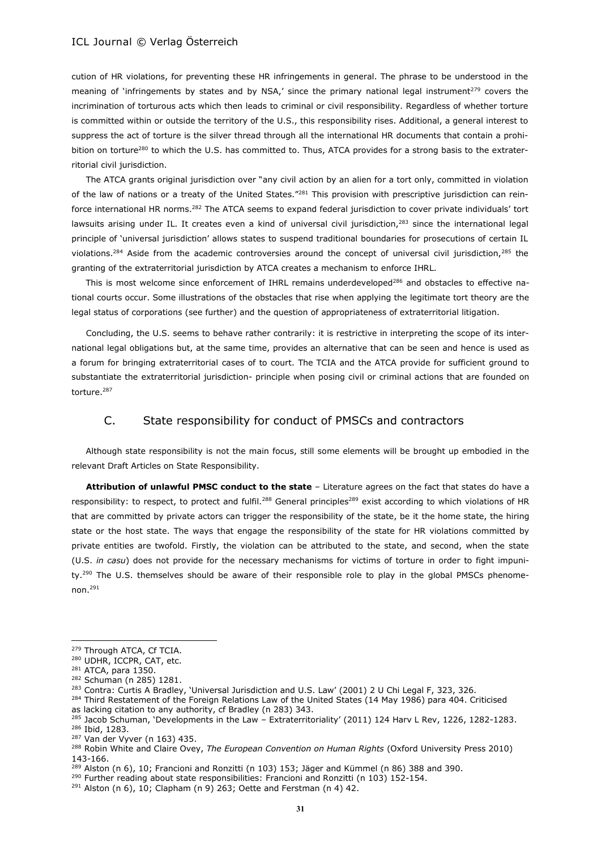cution of HR violations, for preventing these HR infringements in general. The phrase to be understood in the meaning of 'infringements by states and by NSA,' since the primary national legal instrument<sup>279</sup> covers the incrimination of torturous acts which then leads to criminal or civil responsibility. Regardless of whether torture is committed within or outside the territory of the U.S., this responsibility rises. Additional, a general interest to suppress the act of torture is the silver thread through all the international HR documents that contain a prohibition on torture<sup>280</sup> to which the U.S. has committed to. Thus, ATCA provides for a strong basis to the extraterritorial civil jurisdiction.

The ATCA grants original jurisdiction over "any civil action by an alien for a tort only, committed in violation of the law of nations or a treaty of the United States."<sup>281</sup> This provision with prescriptive jurisdiction can reinforce international HR norms.<sup>282</sup> The ATCA seems to expand federal jurisdiction to cover private individuals' tort lawsuits arising under IL. It creates even a kind of universal civil jurisdiction, $283$  since the international legal principle of 'universal jurisdiction' allows states to suspend traditional boundaries for prosecutions of certain IL violations.<sup>284</sup> Aside from the academic controversies around the concept of universal civil jurisdiction,<sup>285</sup> the granting of the extraterritorial jurisdiction by ATCA creates a mechanism to enforce IHRL.

This is most welcome since enforcement of IHRL remains underdeveloped<sup>286</sup> and obstacles to effective national courts occur. Some illustrations of the obstacles that rise when applying the legitimate tort theory are the legal status of corporations (see further) and the question of appropriateness of extraterritorial litigation.

Concluding, the U.S. seems to behave rather contrarily: it is restrictive in interpreting the scope of its international legal obligations but, at the same time, provides an alternative that can be seen and hence is used as a forum for bringing extraterritorial cases of to court. The TCIA and the ATCA provide for sufficient ground to substantiate the extraterritorial jurisdiction- principle when posing civil or criminal actions that are founded on torture.<sup>287</sup>

## C. State responsibility for conduct of PMSCs and contractors

Although state responsibility is not the main focus, still some elements will be brought up embodied in the relevant Draft Articles on State Responsibility.

**Attribution of unlawful PMSC conduct to the state** – Literature agrees on the fact that states do have a responsibility: to respect, to protect and fulfil.<sup>288</sup> General principles<sup>289</sup> exist according to which violations of HR that are committed by private actors can trigger the responsibility of the state, be it the home state, the hiring state or the host state. The ways that engage the responsibility of the state for HR violations committed by private entities are twofold. Firstly, the violation can be attributed to the state, and second, when the state (U.S. *in casu*) does not provide for the necessary mechanisms for victims of torture in order to fight impunity.<sup>290</sup> The U.S. themselves should be aware of their responsible role to play in the global PMSCs phenomenon.<sup>291</sup>

<sup>279</sup> Through ATCA, Cf TCIA.

<sup>280</sup> UDHR, ICCPR, CAT, etc.

<sup>281</sup> ATCA, para 1350.

<sup>282</sup> Schuman (n 285) 1281.

<sup>&</sup>lt;sup>283</sup> Contra: Curtis A Bradley, 'Universal Jurisdiction and U.S. Law' (2001) 2 U Chi Legal F, 323, 326.

<sup>&</sup>lt;sup>284</sup> Third Restatement of the Foreign Relations Law of the United States (14 May 1986) para 404. Criticised as lacking citation to any authority, cf Bradley (n 283) 343.

<sup>&</sup>lt;sup>285</sup> Jacob Schuman, 'Developments in the Law - Extraterritoriality' (2011) 124 Harv L Rev, 1226, 1282-1283. <sup>286</sup> Ibid, 1283.

<sup>287</sup> Van der Vyver (n 163) 435.

<sup>288</sup> Robin White and Claire Ovey, *The European Convention on Human Rights* (Oxford University Press 2010) 143-166.

 $^{289}$  Alston (n 6), 10; Francioni and Ronzitti (n 103) 153; Jäger and Kümmel (n 86) 388 and 390.

<sup>&</sup>lt;sup>290</sup> Further reading about state responsibilities: Francioni and Ronzitti (n 103) 152-154.

 $291$  Alston (n 6), 10; Clapham (n 9) 263; Oette and Ferstman (n 4) 42.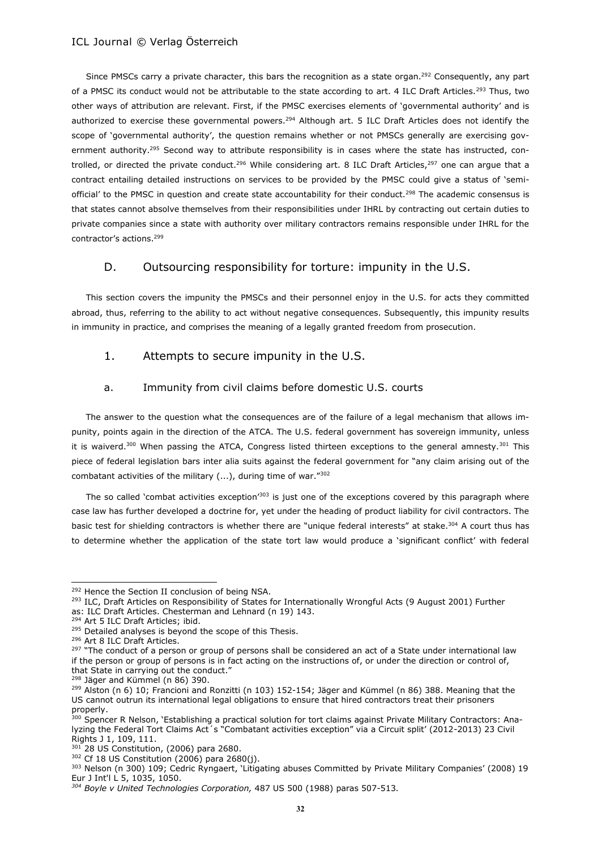Since PMSCs carry a private character, this bars the recognition as a state organ.<sup>292</sup> Consequently, any part of a PMSC its conduct would not be attributable to the state according to art. 4 ILC Draft Articles.<sup>293</sup> Thus, two other ways of attribution are relevant. First, if the PMSC exercises elements of 'governmental authority' and is authorized to exercise these governmental powers.<sup>294</sup> Although art. 5 ILC Draft Articles does not identify the scope of 'governmental authority', the question remains whether or not PMSCs generally are exercising government authority.<sup>295</sup> Second way to attribute responsibility is in cases where the state has instructed, controlled, or directed the private conduct.<sup>296</sup> While considering art. 8 ILC Draft Articles,<sup>297</sup> one can argue that a contract entailing detailed instructions on services to be provided by the PMSC could give a status of 'semiofficial' to the PMSC in question and create state accountability for their conduct.<sup>298</sup> The academic consensus is that states cannot absolve themselves from their responsibilities under IHRL by contracting out certain duties to private companies since a state with authority over military contractors remains responsible under IHRL for the contractor's actions.<sup>299</sup>

## D. Outsourcing responsibility for torture: impunity in the U.S.

This section covers the impunity the PMSCs and their personnel enjoy in the U.S. for acts they committed abroad, thus, referring to the ability to act without negative consequences. Subsequently, this impunity results in immunity in practice, and comprises the meaning of a legally granted freedom from prosecution.

## 1. Attempts to secure impunity in the U.S.

## a. Immunity from civil claims before domestic U.S. courts

The answer to the question what the consequences are of the failure of a legal mechanism that allows impunity, points again in the direction of the ATCA. The U.S. federal government has sovereign immunity, unless it is waiverd.<sup>300</sup> When passing the ATCA, Congress listed thirteen exceptions to the general amnesty.<sup>301</sup> This piece of federal legislation bars inter alia suits against the federal government for "any claim arising out of the combatant activities of the military (...), during time of war."<sup>302</sup>

The so called 'combat activities exception'<sup>303</sup> is just one of the exceptions covered by this paragraph where case law has further developed a doctrine for, yet under the heading of product liability for civil contractors. The basic test for shielding contractors is whether there are "unique federal interests" at stake.<sup>304</sup> A court thus has to determine whether the application of the state tort law would produce a 'significant conflict' with federal

<sup>&</sup>lt;sup>292</sup> Hence the Section II conclusion of being NSA.

<sup>&</sup>lt;sup>293</sup> ILC, Draft Articles on Responsibility of States for Internationally Wrongful Acts (9 August 2001) Further as: ILC Draft Articles. Chesterman and Lehnard (n 19) 143.

<sup>294</sup> Art 5 ILC Draft Articles; ibid.

<sup>&</sup>lt;sup>295</sup> Detailed analyses is beyond the scope of this Thesis.

<sup>296</sup> Art 8 ILC Draft Articles.

<sup>&</sup>lt;sup>297</sup> "The conduct of a person or group of persons shall be considered an act of a State under international law if the person or group of persons is in fact acting on the instructions of, or under the direction or control of, that State in carrying out the conduct."

<sup>298</sup> Jäger and Kümmel (n 86) 390.

<sup>&</sup>lt;sup>299</sup> Alston (n 6) 10; Francioni and Ronzitti (n 103) 152-154; Jäger and Kümmel (n 86) 388. Meaning that the US cannot outrun its international legal obligations to ensure that hired contractors treat their prisoners properly.

<sup>&</sup>lt;sup>300</sup> Spencer R Nelson, 'Establishing a practical solution for tort claims against Private Military Contractors: Analyzing the Federal Tort Claims Act´s "Combatant activities exception" via a Circuit split' (2012-2013) 23 Civil Rights J 1, 109, 111.

 $\sim$  28 US Constitution, (2006) para 2680.

<sup>302</sup> Cf 18 US Constitution (2006) para 2680(j).

<sup>303</sup> Nelson (n 300) 109; Cedric Ryngaert, 'Litigating abuses Committed by Private Military Companies' (2008) 19 Eur J Int'l L 5, 1035, 1050.

*<sup>304</sup> Boyle v United Technologies Corporation,* 487 US 500 (1988) paras 507-513*.*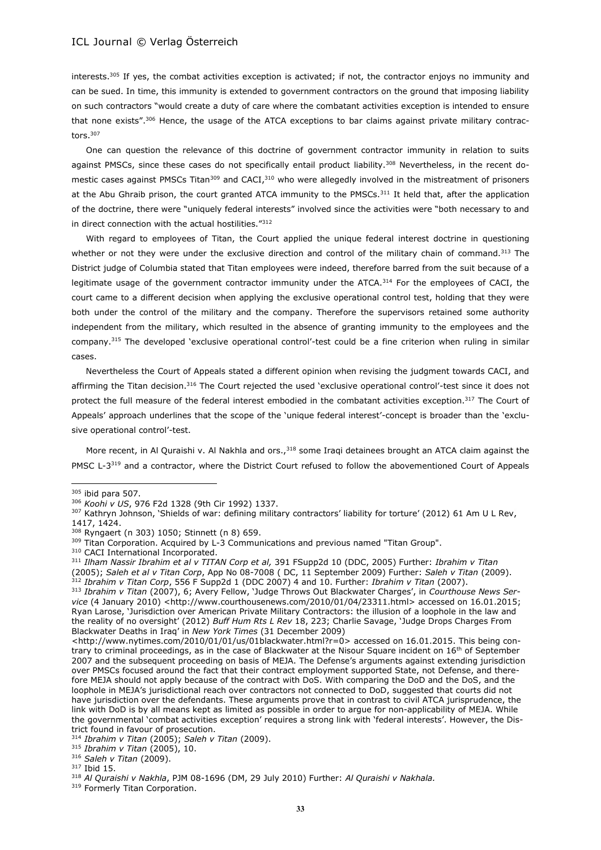interests.<sup>305</sup> If yes, the combat activities exception is activated; if not, the contractor enjoys no immunity and can be sued. In time, this immunity is extended to government contractors on the ground that imposing liability on such contractors "would create a duty of care where the combatant activities exception is intended to ensure that none exists".<sup>306</sup> Hence, the usage of the ATCA exceptions to bar claims against private military contractors.<sup>307</sup>

One can question the relevance of this doctrine of government contractor immunity in relation to suits against PMSCs, since these cases do not specifically entail product liability.<sup>308</sup> Nevertheless, in the recent domestic cases against PMSCs Titan<sup>309</sup> and CACI,<sup>310</sup> who were allegedly involved in the mistreatment of prisoners at the Abu Ghraib prison, the court granted ATCA immunity to the PMSCs.<sup>311</sup> It held that, after the application of the doctrine, there were "uniquely federal interests" involved since the activities were "both necessary to and in direct connection with the actual hostilities."<sup>312</sup>

With regard to employees of Titan, the Court applied the unique federal interest doctrine in questioning whether or not they were under the exclusive direction and control of the military chain of command.<sup>313</sup> The District judge of Columbia stated that Titan employees were indeed, therefore barred from the suit because of a legitimate usage of the government contractor immunity under the ATCA.<sup>314</sup> For the employees of CACI, the court came to a different decision when applying the exclusive operational control test, holding that they were both under the control of the military and the company. Therefore the supervisors retained some authority independent from the military, which resulted in the absence of granting immunity to the employees and the company.<sup>315</sup> The developed 'exclusive operational control'-test could be a fine criterion when ruling in similar cases.

Nevertheless the Court of Appeals stated a different opinion when revising the judgment towards CACI, and affirming the Titan decision.<sup>316</sup> The Court rejected the used 'exclusive operational control'-test since it does not protect the full measure of the federal interest embodied in the combatant activities exception.<sup>317</sup> The Court of Appeals' approach underlines that the scope of the 'unique federal interest'-concept is broader than the 'exclusive operational control'-test.

More recent, in Al Quraishi v. Al Nakhla and ors., $318$  some Iraqi detainees brought an ATCA claim against the PMSC L-3<sup>319</sup> and a contractor, where the District Court refused to follow the abovementioned Court of Appeals

 $\overline{a}$ 

<sup>315</sup> *Ibrahim v Titan* (2005), 10.

<sup>305</sup> ibid para 507.

<sup>306</sup> *Koohi v US*, 976 F2d 1328 (9th Cir 1992) 1337.

<sup>307</sup> Kathryn Johnson, 'Shields of war: defining military contractors' liability for torture' (2012) 61 Am U L Rev, 1417, 1424.

<sup>308</sup> Ryngaert (n 303) 1050; Stinnett (n 8) 659.

<sup>&</sup>lt;sup>309</sup> Titan Corporation. Acquired by L-3 Communications and previous named "Titan Group".

<sup>310</sup> CACI International Incorporated.

<sup>311</sup> *Ilham Nassir Ibrahim et al v TITAN Corp et al,* 391 FSupp2d 10 (DDC, 2005) Further: *Ibrahim v Titan* (2005); *Saleh et al v Titan Corp*, App No 08-7008 ( DC, 11 September 2009) Further: *Saleh v Titan* (2009). <sup>312</sup> *Ibrahim v Titan Corp*, 556 F Supp2d 1 (DDC 2007) 4 and 10. Further: *Ibrahim v Titan* (2007).

<sup>313</sup> *Ibrahim v Titan* (2007), 6; Avery Fellow, 'Judge Throws Out Blackwater Charges', in *Courthouse News Service* (4 January 2010) <http://www.courthousenews.com/2010/01/04/23311.html> accessed on 16.01.2015;

Ryan Larose, 'Jurisdiction over American Private Military Contractors: the illusion of a loophole in the law and the reality of no oversight' (2012) *Buff Hum Rts L Rev* 18, 223; Charlie Savage, 'Judge Drops Charges From Blackwater Deaths in Iraq' in *New York Times* (31 December 2009)

<sup>&</sup>lt;http://www.nytimes.com/2010/01/01/us/01blackwater.html?r=0> accessed on 16.01.2015. This being contrary to criminal proceedings, as in the case of Blackwater at the Nisour Square incident on  $16<sup>th</sup>$  of September 2007 and the subsequent proceeding on basis of MEJA. The Defense's arguments against extending jurisdiction over PMSCs focused around the fact that their contract employment supported State, not Defense, and therefore MEJA should not apply because of the contract with DoS. With comparing the DoD and the DoS, and the loophole in MEJA's jurisdictional reach over contractors not connected to DoD, suggested that courts did not have jurisdiction over the defendants. These arguments prove that in contrast to civil ATCA jurisprudence, the link with DoD is by all means kept as limited as possible in order to argue for non-applicability of MEJA. While the governmental 'combat activities exception' requires a strong link with 'federal interests'. However, the District found in favour of prosecution.

<sup>314</sup> *Ibrahim v Titan* (2005); *Saleh v Titan* (2009).

<sup>316</sup> *Saleh v Titan* (2009).

<sup>317</sup> Ibid 15.

<sup>318</sup> *Al Quraishi v Nakhla*, PJM 08-1696 (DM, 29 July 2010) Further: *Al Quraishi v Nakhala.*

<sup>&</sup>lt;sup>319</sup> Formerly Titan Corporation.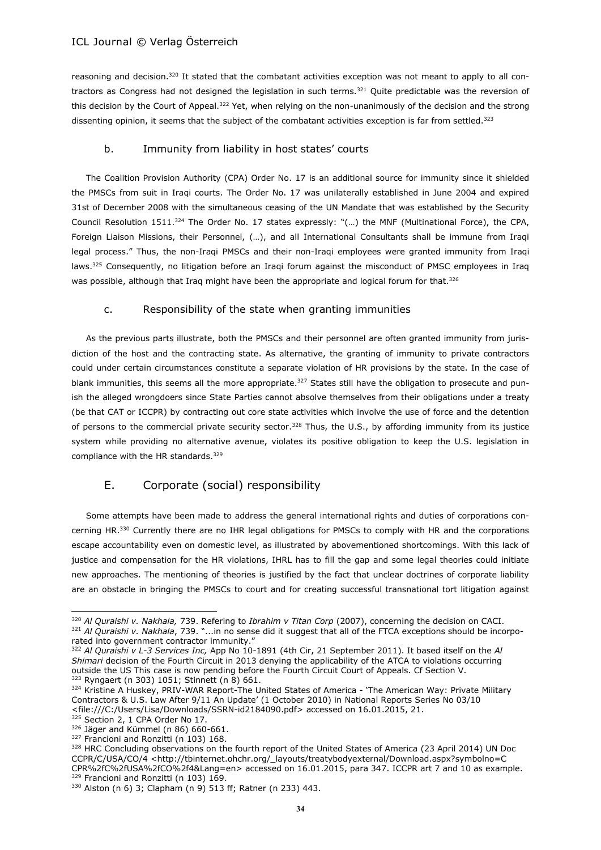reasoning and decision.<sup>320</sup> It stated that the combatant activities exception was not meant to apply to all contractors as Congress had not designed the legislation in such terms.<sup>321</sup> Quite predictable was the reversion of this decision by the Court of Appeal.<sup>322</sup> Yet, when relying on the non-unanimously of the decision and the strong dissenting opinion, it seems that the subject of the combatant activities exception is far from settled.<sup>323</sup>

## b. Immunity from liability in host states' courts

The Coalition Provision Authority (CPA) Order No. 17 is an additional source for immunity since it shielded the PMSCs from suit in Iraqi courts. The Order No. 17 was unilaterally established in June 2004 and expired 31st of December 2008 with the simultaneous ceasing of the UN Mandate that was established by the Security Council Resolution 1511.<sup>324</sup> The Order No. 17 states expressly: "(…) the MNF (Multinational Force), the CPA, Foreign Liaison Missions, their Personnel, (…), and all International Consultants shall be immune from Iraqi legal process." Thus, the non-Iraqi PMSCs and their non-Iraqi employees were granted immunity from Iraqi laws.<sup>325</sup> Consequently, no litigation before an Iraqi forum against the misconduct of PMSC employees in Iraq was possible, although that Iraq might have been the appropriate and logical forum for that.<sup>326</sup>

## c. Responsibility of the state when granting immunities

As the previous parts illustrate, both the PMSCs and their personnel are often granted immunity from jurisdiction of the host and the contracting state. As alternative, the granting of immunity to private contractors could under certain circumstances constitute a separate violation of HR provisions by the state. In the case of blank immunities, this seems all the more appropriate.<sup>327</sup> States still have the obligation to prosecute and punish the alleged wrongdoers since State Parties cannot absolve themselves from their obligations under a treaty (be that CAT or ICCPR) by contracting out core state activities which involve the use of force and the detention of persons to the commercial private security sector.<sup>328</sup> Thus, the U.S., by affording immunity from its justice system while providing no alternative avenue, violates its positive obligation to keep the U.S. legislation in compliance with the HR standards.<sup>329</sup>

## E. Corporate (social) responsibility

Some attempts have been made to address the general international rights and duties of corporations concerning HR.<sup>330</sup> Currently there are no IHR legal obligations for PMSCs to comply with HR and the corporations escape accountability even on domestic level, as illustrated by abovementioned shortcomings. With this lack of justice and compensation for the HR violations, IHRL has to fill the gap and some legal theories could initiate new approaches. The mentioning of theories is justified by the fact that unclear doctrines of corporate liability are an obstacle in bringing the PMSCs to court and for creating successful transnational tort litigation against

325 Section 2, 1 CPA Order No 17.

l

<sup>320</sup> *Al Quraishi v. Nakhala,* 739. Refering to *Ibrahim v Titan Corp* (2007), concerning the decision on CACI. <sup>321</sup> *Al Quraishi v. Nakhala*, 739. "...in no sense did it suggest that all of the FTCA exceptions should be incorporated into government contractor immunity."

<sup>322</sup> *Al Quraishi v L-3 Services Inc,* App No 10-1891 (4th Cir, 21 September 2011). It based itself on the *Al Shimari* decision of the Fourth Circuit in 2013 denying the applicability of the ATCA to violations occurring outside the US This case is now pending before the Fourth Circuit Court of Appeals. Cf Section V. <sup>323</sup> Ryngaert (n 303) 1051; Stinnett (n 8) 661.

<sup>324</sup> Kristine A Huskey, PRIV-WAR Report-The United States of America - 'The American Way: Private Military Contractors & U.S. Law After 9/11 An Update' (1 October 2010) in National Reports Series No 03/10 <file:///C:/Users/Lisa/Downloads/SSRN-id2184090.pdf> accessed on 16.01.2015, 21.

<sup>326</sup> Jäger and Kümmel (n 86) 660-661. 327 Francioni and Ronzitti (n 103) 168.

<sup>&</sup>lt;sup>328</sup> HRC Concluding observations on the fourth report of the United States of America (23 April 2014) UN Doc CCPR/C/USA/CO/4 <http://tbinternet.ohchr.org/\_layouts/treatybodyexternal/Download.aspx?symbolno=C CPR%2fC%2fUSA%2fCO%2f4&Lang=en> accessed on 16.01.2015, para 347. ICCPR art 7 and 10 as example. <sup>329</sup> Francioni and Ronzitti (n 103) 169.

<sup>330</sup> Alston (n 6) 3; Clapham (n 9) 513 ff; Ratner (n 233) 443.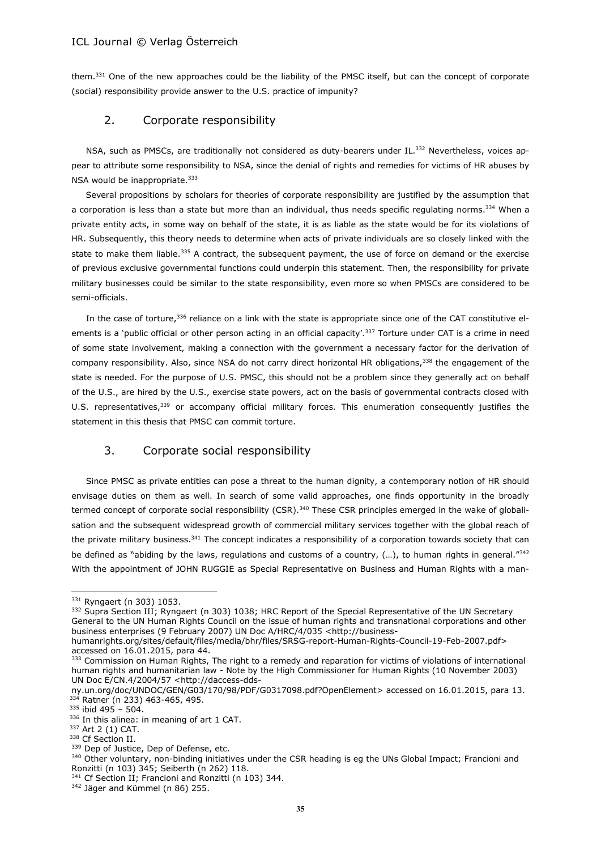them.<sup>331</sup> One of the new approaches could be the liability of the PMSC itself, but can the concept of corporate (social) responsibility provide answer to the U.S. practice of impunity?

## 2. Corporate responsibility

NSA, such as PMSCs, are traditionally not considered as duty-bearers under IL.<sup>332</sup> Nevertheless, voices appear to attribute some responsibility to NSA, since the denial of rights and remedies for victims of HR abuses by NSA would be inappropriate.<sup>333</sup>

Several propositions by scholars for theories of corporate responsibility are justified by the assumption that a corporation is less than a state but more than an individual, thus needs specific regulating norms.<sup>334</sup> When a private entity acts, in some way on behalf of the state, it is as liable as the state would be for its violations of HR. Subsequently, this theory needs to determine when acts of private individuals are so closely linked with the state to make them liable.<sup>335</sup> A contract, the subsequent payment, the use of force on demand or the exercise of previous exclusive governmental functions could underpin this statement. Then, the responsibility for private military businesses could be similar to the state responsibility, even more so when PMSCs are considered to be semi-officials.

In the case of torture, 336 reliance on a link with the state is appropriate since one of the CAT constitutive elements is a 'public official or other person acting in an official capacity'.<sup>337</sup> Torture under CAT is a crime in need of some state involvement, making a connection with the government a necessary factor for the derivation of company responsibility. Also, since NSA do not carry direct horizontal HR obligations,<sup>338</sup> the engagement of the state is needed. For the purpose of U.S. PMSC, this should not be a problem since they generally act on behalf of the U.S., are hired by the U.S., exercise state powers, act on the basis of governmental contracts closed with U.S. representatives,<sup>339</sup> or accompany official military forces. This enumeration consequently justifies the statement in this thesis that PMSC can commit torture.

## 3. Corporate social responsibility

Since PMSC as private entities can pose a threat to the human dignity, a contemporary notion of HR should envisage duties on them as well. In search of some valid approaches, one finds opportunity in the broadly termed concept of corporate social responsibility (CSR).<sup>340</sup> These CSR principles emerged in the wake of globalisation and the subsequent widespread growth of commercial military services together with the global reach of the private military business.<sup>341</sup> The concept indicates a responsibility of a corporation towards society that can be defined as "abiding by the laws, regulations and customs of a country, (…), to human rights in general."<sup>342</sup> With the appointment of JOHN RUGGIE as Special Representative on Business and Human Rights with a man-

<sup>331</sup> Ryngaert (n 303) 1053.

<sup>332</sup> Supra Section III; Ryngaert (n 303) 1038; HRC Report of the Special Representative of the UN Secretary General to the UN Human Rights Council on the issue of human rights and transnational corporations and other business enterprises (9 February 2007) UN Doc A/HRC/4/035 <http://business-

humanrights.org/sites/default/files/media/bhr/files/SRSG-report-Human-Rights-Council-19-Feb-2007.pdf> accessed on 16.01.2015, para 44.

<sup>333</sup> Commission on Human Rights, The right to a remedy and reparation for victims of violations of international human rights and humanitarian law - Note by the High Commissioner for Human Rights (10 November 2003) UN Doc E/CN.4/2004/57 [<http://daccess-dds-](http://daccess-dds-ny.un.org/doc/UNDOC/GEN/G03/170/98/PDF/G0317098.pdf?OpenElement)

[ny.un.org/doc/UNDOC/GEN/G03/170/98/PDF/G0317098.pdf?OpenElement>](http://daccess-dds-ny.un.org/doc/UNDOC/GEN/G03/170/98/PDF/G0317098.pdf?OpenElement) accessed on 16.01.2015, para 13. 334 Ratner (n 233) 463-465, 495.

<sup>335</sup> ibid 495 – 504.

<sup>336</sup> In this alinea: in meaning of art 1 CAT.

<sup>337</sup> Art 2 (1) CAT.

<sup>338</sup> Cf Section II.

<sup>&</sup>lt;sup>339</sup> Dep of Justice, Dep of Defense, etc.

<sup>340</sup> Other voluntary, non-binding initiatives under the CSR heading is eg the UNs Global Impact; Francioni and Ronzitti (n 103) 345; Seiberth (n 262) 118.

<sup>341</sup> Cf Section II; Francioni and Ronzitti (n 103) 344.

<sup>&</sup>lt;sup>342</sup> Jäger and Kümmel (n 86) 255.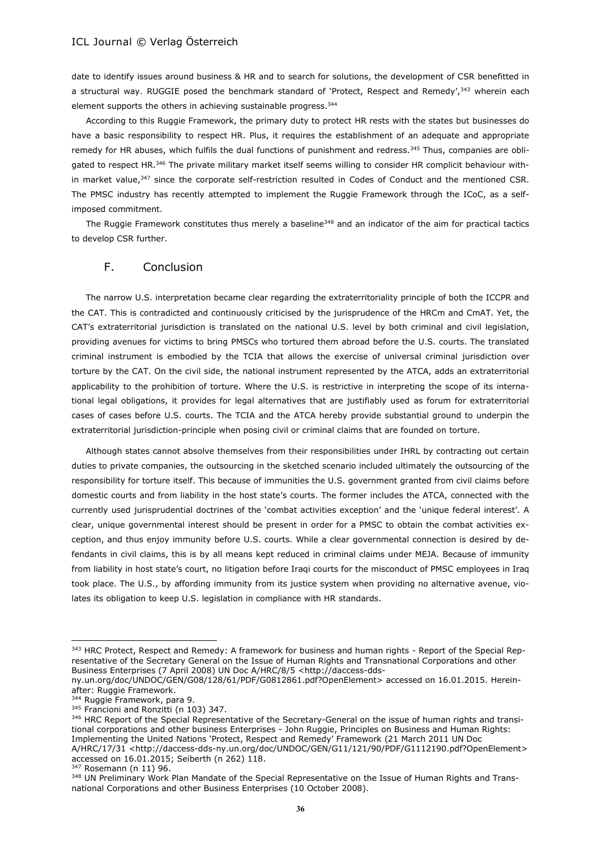date to identify issues around business & HR and to search for solutions, the development of CSR benefitted in a structural way. RUGGIE posed the benchmark standard of 'Protect, Respect and Remedy',<sup>343</sup> wherein each element supports the others in achieving sustainable progress.<sup>344</sup>

According to this Ruggie Framework, the primary duty to protect HR rests with the states but businesses do have a basic responsibility to respect HR. Plus, it requires the establishment of an adequate and appropriate remedy for HR abuses, which fulfils the dual functions of punishment and redress.<sup>345</sup> Thus, companies are obligated to respect HR.<sup>346</sup> The private military market itself seems willing to consider HR complicit behaviour within market value,<sup>347</sup> since the corporate self-restriction resulted in Codes of Conduct and the mentioned CSR. The PMSC industry has recently attempted to implement the Ruggie Framework through the ICoC, as a selfimposed commitment.

The Ruggie Framework constitutes thus merely a baseline<sup>348</sup> and an indicator of the aim for practical tactics to develop CSR further.

## F. Conclusion

The narrow U.S. interpretation became clear regarding the extraterritoriality principle of both the ICCPR and the CAT. This is contradicted and continuously criticised by the jurisprudence of the HRCm and CmAT. Yet, the CAT's extraterritorial jurisdiction is translated on the national U.S. level by both criminal and civil legislation, providing avenues for victims to bring PMSCs who tortured them abroad before the U.S. courts. The translated criminal instrument is embodied by the TCIA that allows the exercise of universal criminal jurisdiction over torture by the CAT. On the civil side, the national instrument represented by the ATCA, adds an extraterritorial applicability to the prohibition of torture. Where the U.S. is restrictive in interpreting the scope of its international legal obligations, it provides for legal alternatives that are justifiably used as forum for extraterritorial cases of cases before U.S. courts. The TCIA and the ATCA hereby provide substantial ground to underpin the extraterritorial jurisdiction-principle when posing civil or criminal claims that are founded on torture.

Although states cannot absolve themselves from their responsibilities under IHRL by contracting out certain duties to private companies, the outsourcing in the sketched scenario included ultimately the outsourcing of the responsibility for torture itself. This because of immunities the U.S. government granted from civil claims before domestic courts and from liability in the host state's courts. The former includes the ATCA, connected with the currently used jurisprudential doctrines of the 'combat activities exception' and the 'unique federal interest'. A clear, unique governmental interest should be present in order for a PMSC to obtain the combat activities exception, and thus enjoy immunity before U.S. courts. While a clear governmental connection is desired by defendants in civil claims, this is by all means kept reduced in criminal claims under MEJA. Because of immunity from liability in host state's court, no litigation before Iraqi courts for the misconduct of PMSC employees in Iraq took place. The U.S., by affording immunity from its justice system when providing no alternative avenue, violates its obligation to keep U.S. legislation in compliance with HR standards.

<sup>343</sup> HRC Protect, Respect and Remedy: A framework for business and human rights - Report of the Special Representative of the Secretary General on the Issue of Human Rights and Transnational Corporations and other Business Enterprises (7 April 2008) UN Doc A/HRC/8/5 <http://daccess-dds-

ny.un.org/doc/UNDOC/GEN/G08/128/61/PDF/G0812861.pdf?OpenElement> accessed on 16.01.2015. Hereinafter: Ruggie Framework.

<sup>&</sup>lt;sup>344</sup> Ruggie Framework, para 9.

<sup>345</sup> Francioni and Ronzitti (n 103) 347.

<sup>&</sup>lt;sup>346</sup> HRC Report of the Special Representative of the Secretary-General on the issue of human rights and transitional corporations and other business Enterprises - John Ruggie, Principles on Business and Human Rights: Implementing the United Nations 'Protect, Respect and Remedy' Framework (21 March 2011 UN Doc A/HRC/17/31 <http://daccess-dds-ny.un.org/doc/UNDOC/GEN/G11/121/90/PDF/G1112190.pdf?OpenElement> accessed on 16.01.2015; Seiberth (n 262) 118.

<sup>347</sup> Rosemann (n 11) 96.

<sup>348</sup> UN Preliminary Work Plan Mandate of the Special Representative on the Issue of Human Rights and Transnational Corporations and other Business Enterprises (10 October 2008).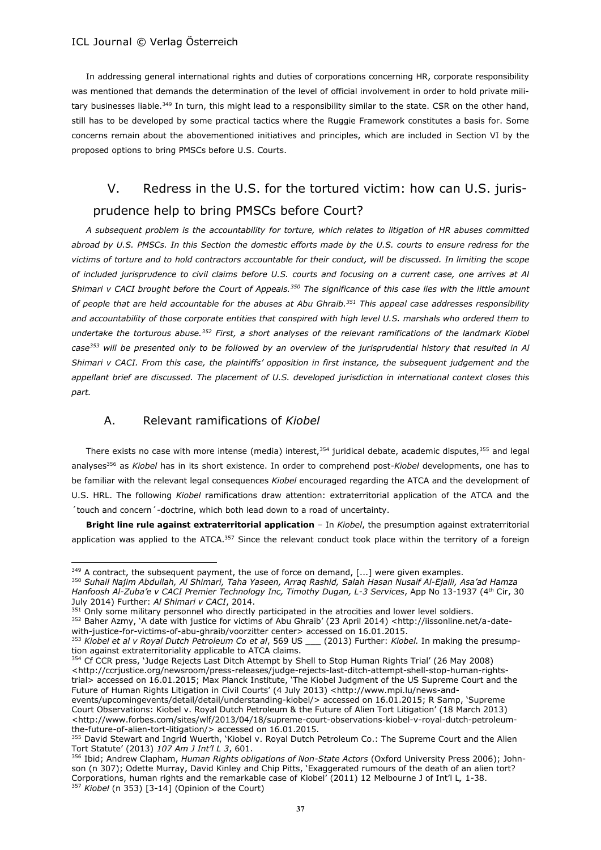In addressing general international rights and duties of corporations concerning HR, corporate responsibility was mentioned that demands the determination of the level of official involvement in order to hold private military businesses liable.<sup>349</sup> In turn, this might lead to a responsibility similar to the state. CSR on the other hand, still has to be developed by some practical tactics where the Ruggie Framework constitutes a basis for. Some concerns remain about the abovementioned initiatives and principles, which are included in Section VI by the proposed options to bring PMSCs before U.S. Courts.

## V. Redress in the U.S. for the tortured victim: how can U.S. jurisprudence help to bring PMSCs before Court?

*A subsequent problem is the accountability for torture, which relates to litigation of HR abuses committed abroad by U.S. PMSCs. In this Section the domestic efforts made by the U.S. courts to ensure redress for the victims of torture and to hold contractors accountable for their conduct, will be discussed. In limiting the scope of included jurisprudence to civil claims before U.S. courts and focusing on a current case, one arrives at Al Shimari v CACI brought before the Court of Appeals.<sup>350</sup> The significance of this case lies with the little amount of people that are held accountable for the abuses at Abu Ghraib.<sup>351</sup> This appeal case addresses responsibility and accountability of those corporate entities that conspired with high level U.S. marshals who ordered them to undertake the torturous abuse.<sup>352</sup> First, a short analyses of the relevant ramifications of the landmark Kiobel case<sup>353</sup> will be presented only to be followed by an overview of the jurisprudential history that resulted in Al Shimari v CACI. From this case, the plaintiffs' opposition in first instance, the subsequent judgement and the appellant brief are discussed. The placement of U.S. developed jurisdiction in international context closes this part.*

## A. Relevant ramifications of *Kiobel*

 $\overline{a}$ 

There exists no case with more intense (media) interest,<sup>354</sup> juridical debate, academic disputes,<sup>355</sup> and legal analyses<sup>356</sup> as *Kiobel* has in its short existence. In order to comprehend post-*Kiobel* developments, one has to be familiar with the relevant legal consequences *Kiobel* encouraged regarding the ATCA and the development of U.S. HRL. The following *Kiobel* ramifications draw attention: extraterritorial application of the ATCA and the ´touch and concern´-doctrine, which both lead down to a road of uncertainty.

**Bright line rule against extraterritorial application** – In *Kiobel*, the presumption against extraterritorial application was applied to the ATCA.<sup>357</sup> Since the relevant conduct took place within the territory of a foreign

 $349$  A contract, the subsequent payment, the use of force on demand, [...] were given examples.

<sup>350</sup> *Suhail Najim Abdullah, Al Shimari, Taha Yaseen, Arraq Rashid, Salah Hasan Nusaif Al-Ejaili, Asa'ad Hamza Hanfoosh Al-Zuba'e v CACI Premier Technology Inc, Timothy Dugan, L-3 Services*, App No 13-1937 (4th Cir, 30 July 2014) Further: *Al Shimari v CACI*, 2014.

<sup>&</sup>lt;sup>351</sup> Only some military personnel who directly participated in the atrocities and lower level soldiers.

<sup>352</sup> Baher Azmy, 'A date with justice for victims of Abu Ghraib' (23 April 2014) <http://iissonline.net/a-datewith-justice-for-victims-of-abu-ghraib/voorzitter center> accessed on 16.01.2015.

<sup>353</sup> *Kiobel et al v Royal Dutch Petroleum Co et al*, 569 US \_\_\_ (2013) Further: *Kiobel.* In making the presumption against extraterritoriality applicable to ATCA claims.

<sup>354</sup> Cf CCR press, 'Judge Rejects Last Ditch Attempt by Shell to Stop Human Rights Trial' (26 May 2008) <http://ccrjustice.org/newsroom/press-releases/judge-rejects-last-ditch-attempt-shell-stop-human-rightstrial> accessed on 16.01.2015; Max Planck Institute, 'The Kiobel Judgment of the US Supreme Court and the Future of Human Rights Litigation in Civil Courts' (4 July 2013) <http://www.mpi.lu/news-and-

events/upcomingevents/detail/detail/understanding-kiobel/> accessed on 16.01.2015; R Samp, 'Supreme Court Observations: Kiobel v. Royal Dutch Petroleum & the Future of Alien Tort Litigation' (18 March 2013) <http://www.forbes.com/sites/wlf/2013/04/18/supreme-court-observations-kiobel-v-royal-dutch-petroleumthe-future-of-alien-tort-litigation/> accessed on 16.01.2015.

<sup>355</sup> David Stewart and Ingrid Wuerth, 'Kiobel v. Royal Dutch Petroleum Co.: The Supreme Court and the Alien Tort Statute' (2013) *107 Am J Int'l L 3*, 601.

<sup>356</sup> Ibid; Andrew Clapham, *Human Rights obligations of Non-State Actors* (Oxford University Press 2006); Johnson (n 307); Odette Murray, David Kinley and Chip Pitts, 'Exaggerated rumours of the death of an alien tort? Corporations, human rights and the remarkable case of Kiobel' (2011) 12 Melbourne J of Int'l L*,* 1-38. <sup>357</sup> *Kiobel* (n 353) [3-14] (Opinion of the Court)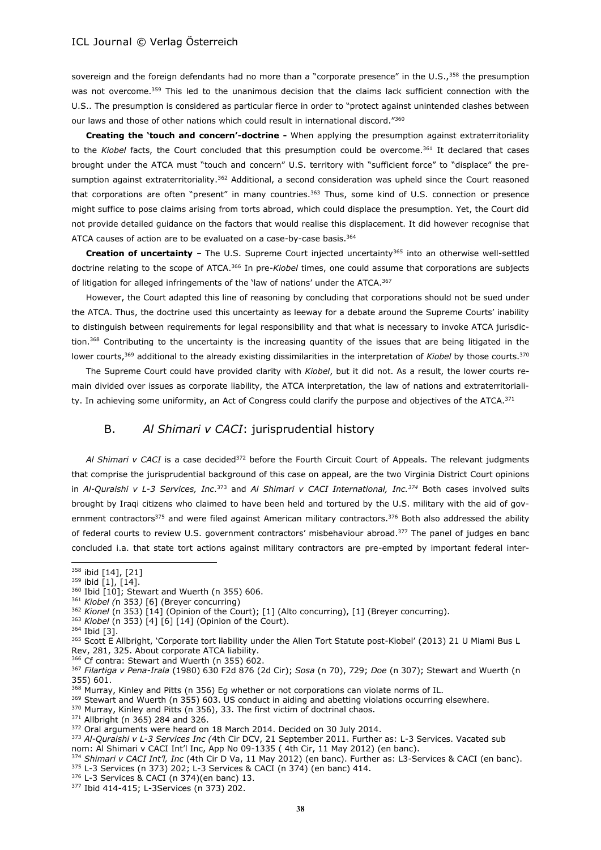sovereign and the foreign defendants had no more than a "corporate presence" in the U.S.,<sup>358</sup> the presumption was not overcome.<sup>359</sup> This led to the unanimous decision that the claims lack sufficient connection with the U.S.. The presumption is considered as particular fierce in order to "protect against unintended clashes between our laws and those of other nations which could result in international discord."<sup>360</sup>

**Creating the 'touch and concern'-doctrine -** When applying the presumption against extraterritoriality to the *Kiobel* facts, the Court concluded that this presumption could be overcome.<sup>361</sup> It declared that cases brought under the ATCA must "touch and concern" U.S. territory with "sufficient force" to "displace" the presumption against extraterritoriality.<sup>362</sup> Additional, a second consideration was upheld since the Court reasoned that corporations are often "present" in many countries.<sup>363</sup> Thus, some kind of U.S. connection or presence might suffice to pose claims arising from torts abroad, which could displace the presumption. Yet, the Court did not provide detailed guidance on the factors that would realise this displacement. It did however recognise that ATCA causes of action are to be evaluated on a case-by-case basis.<sup>364</sup>

Creation of uncertainty - The U.S. Supreme Court injected uncertainty<sup>365</sup> into an otherwise well-settled doctrine relating to the scope of ATCA.<sup>366</sup> In pre-*Kiobel* times, one could assume that corporations are subjects of litigation for alleged infringements of the 'law of nations' under the ATCA.<sup>367</sup>

However, the Court adapted this line of reasoning by concluding that corporations should not be sued under the ATCA. Thus, the doctrine used this uncertainty as leeway for a debate around the Supreme Courts' inability to distinguish between requirements for legal responsibility and that what is necessary to invoke ATCA jurisdiction.<sup>368</sup> Contributing to the uncertainty is the increasing quantity of the issues that are being litigated in the lower courts,<sup>369</sup> additional to the already existing dissimilarities in the interpretation of *Kiobel* by those courts.<sup>370</sup>

The Supreme Court could have provided clarity with *Kiobel*, but it did not. As a result, the lower courts remain divided over issues as corporate liability, the ATCA interpretation, the law of nations and extraterritoriality. In achieving some uniformity, an Act of Congress could clarify the purpose and objectives of the ATCA.<sup>371</sup>

## B. *Al Shimari v CACI*: jurisprudential history

AI Shimari v CACI is a case decided<sup>372</sup> before the Fourth Circuit Court of Appeals. The relevant judgments that comprise the jurisprudential background of this case on appeal, are the two Virginia District Court opinions in *Al-Quraishi v L-3 Services, Inc*. <sup>373</sup> and *Al Shimari v CACI International, Inc.<sup>374</sup>* Both cases involved suits brought by Iraqi citizens who claimed to have been held and tortured by the U.S. military with the aid of government contractors<sup>375</sup> and were filed against American military contractors.<sup>376</sup> Both also addressed the ability of federal courts to review U.S. government contractors' misbehaviour abroad.<sup>377</sup> The panel of judges en banc concluded i.a. that state tort actions against military contractors are pre-empted by important federal inter-

<sup>358</sup> ibid [14], [21]

<sup>359</sup> ibid [1], [14].

<sup>360</sup> Ibid [10]; Stewart and Wuerth (n 355) 606.

<sup>361</sup> *Kiobel (*n 353*)* [6] (Breyer concurring)

<sup>&</sup>lt;sup>362</sup> Kionel (n 353) [14] (Opinion of the Court); [1] (Alto concurring), [1] (Breyer concurring).

<sup>363</sup> *Kiobel* (n 353) [4] [6] [14] (Opinion of the Court).

<sup>364</sup> Ibid [3].

<sup>365</sup> Scott E Allbright, 'Corporate tort liability under the Alien Tort Statute post-Kiobel' (2013) 21 U Miami Bus L Rev, 281, 325. About corporate ATCA liability.

<sup>366</sup> Cf contra: Stewart and Wuerth (n 355) 602.

<sup>367</sup> *Filartiga v Pena-Irala* (1980) 630 F2d 876 (2d Cir); *Sosa* (n 70), 729; *Doe* (n 307); Stewart and Wuerth (n 355) 601.

<sup>368</sup> Murray, Kinley and Pitts (n 356) Eg whether or not corporations can violate norms of IL.

<sup>&</sup>lt;sup>369</sup> Stewart and Wuerth (n 355) 603. US conduct in aiding and abetting violations occurring elsewhere.

<sup>370</sup> Murray, Kinley and Pitts (n 356), 33. The first victim of doctrinal chaos.

<sup>371</sup> Allbright (n 365) 284 and 326.

<sup>372</sup> Oral arguments were heard on 18 March 2014. Decided on 30 July 2014.

<sup>373</sup> *Al-Quraishi v L-3 Services Inc (*4th Cir DCV, 21 September 2011. Further as: L-3 Services. Vacated sub nom: Al Shimari v CACI Int'l Inc, App No 09-1335 ( 4th Cir, 11 May 2012) (en banc).

<sup>374</sup> *Shimari v CACI Int'l, Inc* (4th Cir D Va, 11 May 2012) (en banc). Further as: L3-Services & CACI (en banc).

<sup>375</sup> L-3 Services (n 373) 202; L-3 Services & CACI (n 374) (en banc) 414.

 $376$  L-3 Services & CACI (n 374)(en banc) 13.

<sup>377</sup> Ibid 414-415; L-3Services (n 373) 202.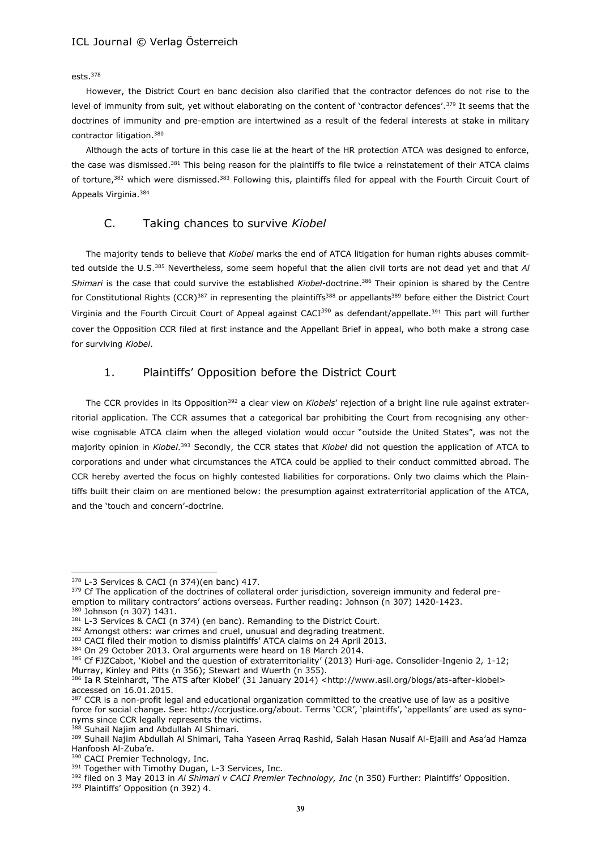#### ests.<sup>378</sup>

However, the District Court en banc decision also clarified that the contractor defences do not rise to the level of immunity from suit, yet without elaborating on the content of 'contractor defences'.<sup>379</sup> It seems that the doctrines of immunity and pre-emption are intertwined as a result of the federal interests at stake in military contractor litigation.<sup>380</sup>

Although the acts of torture in this case lie at the heart of the HR protection ATCA was designed to enforce, the case was dismissed.<sup>381</sup> This being reason for the plaintiffs to file twice a reinstatement of their ATCA claims of torture,<sup>382</sup> which were dismissed.<sup>383</sup> Following this, plaintiffs filed for appeal with the Fourth Circuit Court of Appeals Virginia.<sup>384</sup>

## C. Taking chances to survive *Kiobel*

The majority tends to believe that *Kiobel* marks the end of ATCA litigation for human rights abuses committed outside the U.S.<sup>385</sup> Nevertheless, some seem hopeful that the alien civil torts are not dead yet and that *Al Shimari* is the case that could survive the established *Kiobel*-doctrine.<sup>386</sup> Their opinion is shared by the Centre for Constitutional Rights (CCR)<sup>387</sup> in representing the plaintiffs<sup>388</sup> or appellants<sup>389</sup> before either the District Court Virginia and the Fourth Circuit Court of Appeal against CACI<sup>390</sup> as defendant/appellate.<sup>391</sup> This part will further cover the Opposition CCR filed at first instance and the Appellant Brief in appeal, who both make a strong case for surviving *Kiobel*.

## 1. Plaintiffs' Opposition before the District Court

The CCR provides in its Opposition<sup>392</sup> a clear view on *Kiobels*' rejection of a bright line rule against extraterritorial application. The CCR assumes that a categorical bar prohibiting the Court from recognising any otherwise cognisable ATCA claim when the alleged violation would occur "outside the United States", was not the majority opinion in *Kiobel*. <sup>393</sup> Secondly, the CCR states that *Kiobel* did not question the application of ATCA to corporations and under what circumstances the ATCA could be applied to their conduct committed abroad. The CCR hereby averted the focus on highly contested liabilities for corporations. Only two claims which the Plaintiffs built their claim on are mentioned below: the presumption against extraterritorial application of the ATCA, and the 'touch and concern'-doctrine.

 $\overline{a}$ 

393 Plaintiffs' Opposition (n 392) 4.

<sup>378</sup> L-3 Services & CACI (n 374)(en banc) 417.

<sup>&</sup>lt;sup>379</sup> Cf The application of the doctrines of collateral order jurisdiction, sovereign immunity and federal preemption to military contractors' actions overseas. Further reading: Johnson (n 307) 1420-1423. <sup>380</sup> Johnson (n 307) 1431.

<sup>381</sup> L-3 Services & CACI (n 374) (en banc). Remanding to the District Court. 382 Amongst others: war crimes and cruel, unusual and degrading treatment.

<sup>&</sup>lt;sup>383</sup> CACI filed their motion to dismiss plaintiffs' ATCA claims on 24 April 2013.

<sup>384</sup> On 29 October 2013. Oral arguments were heard on 18 March 2014.

<sup>385</sup> Cf FJZCabot, 'Kiobel and the question of extraterritoriality' (2013) Huri-age. Consolider-Ingenio 2*,* 1-12; Murray, Kinley and Pitts (n 356); Stewart and Wuerth (n 355).

<sup>386</sup> Ia R Steinhardt, 'The ATS after Kiobel' (31 January 2014) <http://www.asil.org/blogs/ats-after-kiobel> accessed on 16.01.2015.

<sup>&</sup>lt;sup>387</sup> CCR is a non-profit legal and educational organization committed to the creative use of law as a positive force for social change. See: http://ccrjustice.org/about. Terms 'CCR', 'plaintiffs', 'appellants' are used as synonyms since CCR legally represents the victims.

<sup>&</sup>lt;sup>388</sup> Suhail Najim and Abdullah Al Shimari.

<sup>389</sup> Suhail Najim Abdullah Al Shimari, Taha Yaseen Arraq Rashid, Salah Hasan Nusaif Al-Ejaili and Asa'ad Hamza Hanfoosh Al-Zuba'e.

<sup>390</sup> CACI Premier Technology, Inc.

<sup>&</sup>lt;sup>391</sup> Together with Timothy Dugan, L-3 Services, Inc.

<sup>392</sup> filed on 3 May 2013 in Al Shimari v CACI Premier Technology, Inc (n 350) Further: Plaintiffs' Opposition.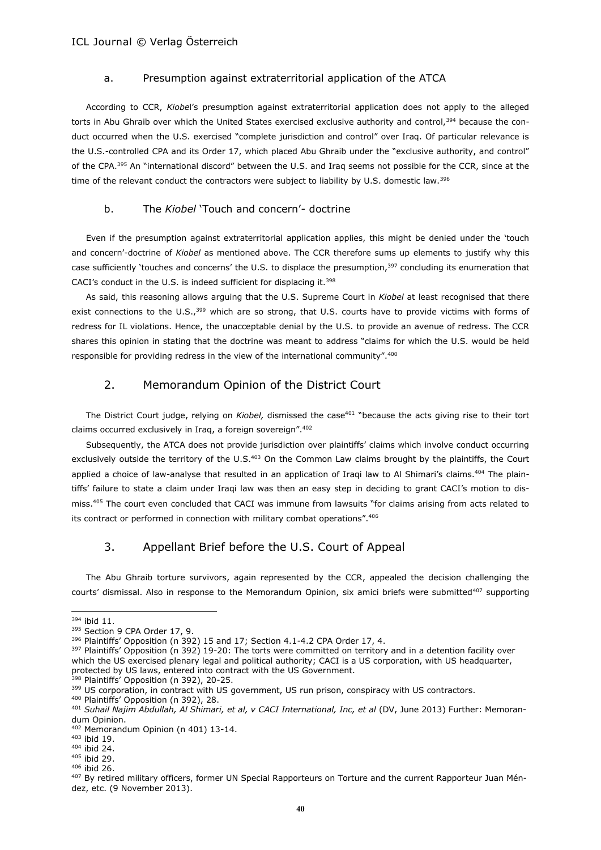### a. Presumption against extraterritorial application of the ATCA

According to CCR, *Kiobe*l's presumption against extraterritorial application does not apply to the alleged torts in Abu Ghraib over which the United States exercised exclusive authority and control,<sup>394</sup> because the conduct occurred when the U.S. exercised "complete jurisdiction and control" over Iraq. Of particular relevance is the U.S.-controlled CPA and its Order 17, which placed Abu Ghraib under the "exclusive authority, and control" of the CPA.<sup>395</sup> An "international discord" between the U.S. and Iraq seems not possible for the CCR, since at the time of the relevant conduct the contractors were subject to liability by U.S. domestic law.<sup>396</sup>

#### b. The *Kiobel* 'Touch and concern'- doctrine

Even if the presumption against extraterritorial application applies, this might be denied under the 'touch and concern'-doctrine of *Kiobel* as mentioned above. The CCR therefore sums up elements to justify why this case sufficiently 'touches and concerns' the U.S. to displace the presumption,<sup>397</sup> concluding its enumeration that CACI's conduct in the U.S. is indeed sufficient for displacing it.<sup>398</sup>

As said, this reasoning allows arguing that the U.S. Supreme Court in *Kiobel* at least recognised that there exist connections to the U.S.,<sup>399</sup> which are so strong, that U.S. courts have to provide victims with forms of redress for IL violations. Hence, the unacceptable denial by the U.S. to provide an avenue of redress. The CCR shares this opinion in stating that the doctrine was meant to address "claims for which the U.S. would be held responsible for providing redress in the view of the international community".<sup>400</sup>

## 2. Memorandum Opinion of the District Court

The District Court judge, relying on *Kiobel*, dismissed the case<sup>401</sup> "because the acts giving rise to their tort claims occurred exclusively in Iraq, a foreign sovereign".<sup>402</sup>

Subsequently, the ATCA does not provide jurisdiction over plaintiffs' claims which involve conduct occurring exclusively outside the territory of the U.S.<sup>403</sup> On the Common Law claims brought by the plaintiffs, the Court applied a choice of law-analyse that resulted in an application of Iraqi law to Al Shimari's claims.<sup>404</sup> The plaintiffs' failure to state a claim under Iraqi law was then an easy step in deciding to grant CACI's motion to dismiss.<sup>405</sup> The court even concluded that CACI was immune from lawsuits "for claims arising from acts related to its contract or performed in connection with military combat operations".<sup>406</sup>

## 3. Appellant Brief before the U.S. Court of Appeal

The Abu Ghraib torture survivors, again represented by the CCR, appealed the decision challenging the courts' dismissal. Also in response to the Memorandum Opinion, six amici briefs were submitted<sup>407</sup> supporting

l

397 Plaintiffs' Opposition (n 392) 19-20: The torts were committed on territory and in a detention facility over which the US exercised plenary legal and political authority; CACI is a US corporation, with US headquarter, protected by US laws, entered into contract with the US Government.

<sup>398</sup> Plaintiffs<sup>'</sup> Opposition (n 392), 20-25.

<sup>&</sup>lt;sup>394</sup> ibid 11.

<sup>395</sup> Section 9 CPA Order 17, 9.

<sup>396</sup> Plaintiffs' Opposition (n 392) 15 and 17; Section 4.1-4.2 CPA Order 17, 4.

<sup>399</sup> US corporation, in contract with US government, US run prison, conspiracy with US contractors.

<sup>400</sup> Plaintiffs' Opposition (n 392), 28.

<sup>401</sup> *Suhail Najim Abdullah, Al Shimari, et al, v CACI International, Inc, et al* (DV, June 2013) Further: Memorandum Opinion.

<sup>402</sup> Memorandum Opinion (n 401) 13-14.

<sup>403</sup> ibid 19. <sup>404</sup> ibid 24.

<sup>405</sup> ibid 29.

<sup>406</sup> ibid 26.

<sup>&</sup>lt;sup>407</sup> By retired military officers, former UN Special Rapporteurs on Torture and the current Rapporteur Juan Méndez, etc. (9 November 2013).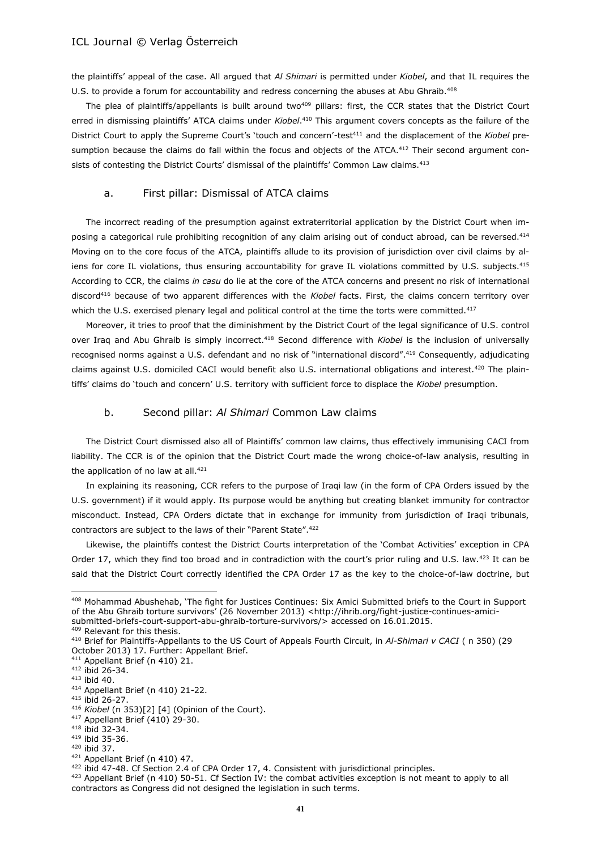the plaintiffs' appeal of the case. All argued that *Al Shimari* is permitted under *Kiobel*, and that IL requires the U.S. to provide a forum for accountability and redress concerning the abuses at Abu Ghraib.<sup>408</sup>

The plea of plaintiffs/appellants is built around two<sup>409</sup> pillars: first, the CCR states that the District Court erred in dismissing plaintiffs' ATCA claims under *Kiobel*. <sup>410</sup> This argument covers concepts as the failure of the District Court to apply the Supreme Court's 'touch and concern'-test<sup>411</sup> and the displacement of the *Kiobel* presumption because the claims do fall within the focus and objects of the ATCA. $412$  Their second argument consists of contesting the District Courts' dismissal of the plaintiffs' Common Law claims.<sup>413</sup>

#### a. First pillar: Dismissal of ATCA claims

The incorrect reading of the presumption against extraterritorial application by the District Court when imposing a categorical rule prohibiting recognition of any claim arising out of conduct abroad, can be reversed.<sup>414</sup> Moving on to the core focus of the ATCA, plaintiffs allude to its provision of jurisdiction over civil claims by aliens for core IL violations, thus ensuring accountability for grave IL violations committed by U.S. subjects.<sup>415</sup> According to CCR, the claims *in casu* do lie at the core of the ATCA concerns and present no risk of international discord<sup>416</sup> because of two apparent differences with the *Kiobel* facts. First, the claims concern territory over which the U.S. exercised plenary legal and political control at the time the torts were committed.<sup>417</sup>

Moreover, it tries to proof that the diminishment by the District Court of the legal significance of U.S. control over Iraq and Abu Ghraib is simply incorrect.<sup>418</sup> Second difference with *Kiobel* is the inclusion of universally recognised norms against a U.S. defendant and no risk of "international discord".<sup>419</sup> Consequently, adjudicating claims against U.S. domiciled CACI would benefit also U.S. international obligations and interest.<sup>420</sup> The plaintiffs' claims do 'touch and concern' U.S. territory with sufficient force to displace the *Kiobel* presumption.

#### b. Second pillar: *Al Shimari* Common Law claims

The District Court dismissed also all of Plaintiffs' common law claims, thus effectively immunising CACI from liability. The CCR is of the opinion that the District Court made the wrong choice-of-law analysis, resulting in the application of no law at all.<sup>421</sup>

In explaining its reasoning, CCR refers to the purpose of Iraqi law (in the form of CPA Orders issued by the U.S. government) if it would apply. Its purpose would be anything but creating blanket immunity for contractor misconduct. Instead, CPA Orders dictate that in exchange for immunity from jurisdiction of Iraqi tribunals, contractors are subject to the laws of their "Parent State".<sup>422</sup>

Likewise, the plaintiffs contest the District Courts interpretation of the 'Combat Activities' exception in CPA Order 17, which they find too broad and in contradiction with the court's prior ruling and U.S. law.<sup>423</sup> It can be said that the District Court correctly identified the CPA Order 17 as the key to the choice-of-law doctrine, but

 $\overline{a}$ 

<sup>422</sup> ibid 47-48. Cf Section 2.4 of CPA Order 17, 4. Consistent with jurisdictional principles.

<sup>408</sup> Mohammad Abushehab, 'The fight for Justices Continues: Six Amici Submitted briefs to the Court in Support of the Abu Ghraib torture survivors' (26 November 2013) <http://ihrib.org/fight-justice-continues-amicisubmitted-briefs-court-support-abu-ghraib-torture-survivors/> accessed on 16.01.2015. 409 Relevant for this thesis.

<sup>410</sup> Brief for Plaintiffs-Appellants to the US Court of Appeals Fourth Circuit, in *Al-Shimari v CACI* ( n 350) (29 October 2013) 17. Further: Appellant Brief.

<sup>411</sup> Appellant Brief (n 410) 21.

<sup>412</sup> ibid 26-34.

<sup>413</sup> ibid 40.

<sup>414</sup> Appellant Brief (n 410) 21-22.

<sup>415</sup> ibid 26-27.

<sup>416</sup> *Kiobel* (n 353)[2] [4] (Opinion of the Court).

<sup>417</sup> Appellant Brief (410) 29-30.

<sup>418</sup> ibid 32-34.

<sup>419</sup> ibid 35-36. <sup>420</sup> ibid 37.

<sup>421</sup> Appellant Brief (n 410) 47.

<sup>423</sup> Appellant Brief (n 410) 50-51. Cf Section IV: the combat activities exception is not meant to apply to all contractors as Congress did not designed the legislation in such terms.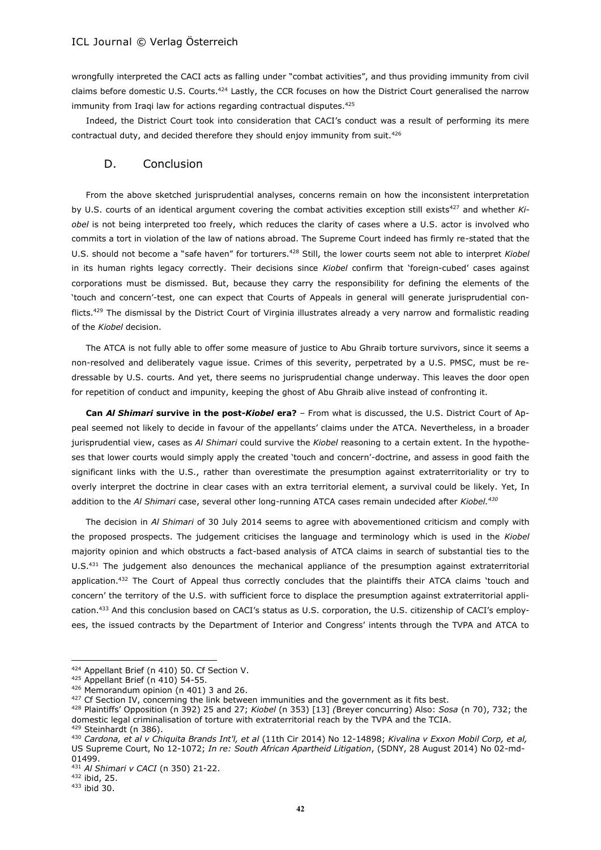wrongfully interpreted the CACI acts as falling under "combat activities", and thus providing immunity from civil claims before domestic U.S. Courts.<sup>424</sup> Lastly, the CCR focuses on how the District Court generalised the narrow immunity from Iraqi law for actions regarding contractual disputes.<sup>425</sup>

Indeed, the District Court took into consideration that CACI's conduct was a result of performing its mere contractual duty, and decided therefore they should enjoy immunity from suit.<sup>426</sup>

#### D. Conclusion

From the above sketched jurisprudential analyses, concerns remain on how the inconsistent interpretation by U.S. courts of an identical argument covering the combat activities exception still exists<sup>427</sup> and whether *Kiobel* is not being interpreted too freely, which reduces the clarity of cases where a U.S. actor is involved who commits a tort in violation of the law of nations abroad. The Supreme Court indeed has firmly re-stated that the U.S. should not become a "safe haven" for torturers.<sup>428</sup> Still, the lower courts seem not able to interpret *Kiobel* in its human rights legacy correctly. Their decisions since *Kiobel* confirm that 'foreign-cubed' cases against corporations must be dismissed. But, because they carry the responsibility for defining the elements of the 'touch and concern'-test, one can expect that Courts of Appeals in general will generate jurisprudential conflicts.<sup>429</sup> The dismissal by the District Court of Virginia illustrates already a very narrow and formalistic reading of the *Kiobel* decision.

The ATCA is not fully able to offer some measure of justice to Abu Ghraib torture survivors, since it seems a non-resolved and deliberately vague issue. Crimes of this severity, perpetrated by a U.S. PMSC, must be redressable by U.S. courts. And yet, there seems no jurisprudential change underway. This leaves the door open for repetition of conduct and impunity, keeping the ghost of Abu Ghraib alive instead of confronting it.

**Can** *Al Shimari* **survive in the post-***Kiobel* **era?** – From what is discussed, the U.S. District Court of Appeal seemed not likely to decide in favour of the appellants' claims under the ATCA. Nevertheless, in a broader jurisprudential view, cases as *Al Shimari* could survive the *Kiobel* reasoning to a certain extent. In the hypotheses that lower courts would simply apply the created 'touch and concern'-doctrine, and assess in good faith the significant links with the U.S., rather than overestimate the presumption against extraterritoriality or try to overly interpret the doctrine in clear cases with an extra territorial element, a survival could be likely. Yet, In addition to the *Al Shimari* case, several other long-running ATCA cases remain undecided after *Kiobel.<sup>430</sup>*

The decision in *Al Shimari* of 30 July 2014 seems to agree with abovementioned criticism and comply with the proposed prospects. The judgement criticises the language and terminology which is used in the *Kiobel* majority opinion and which obstructs a fact-based analysis of ATCA claims in search of substantial ties to the U.S.<sup>431</sup> The judgement also denounces the mechanical appliance of the presumption against extraterritorial application.<sup>432</sup> The Court of Appeal thus correctly concludes that the plaintiffs their ATCA claims 'touch and concern' the territory of the U.S. with sufficient force to displace the presumption against extraterritorial application.<sup>433</sup> And this conclusion based on CACI's status as U.S. corporation, the U.S. citizenship of CACI's employees, the issued contracts by the Department of Interior and Congress' intents through the TVPA and ATCA to

<sup>424</sup> Appellant Brief (n 410) 50. Cf Section V.

 $425$  Appellant Brief (n 410) 54-55.

<sup>426</sup> Memorandum opinion (n 401) 3 and 26.

 $427$  Cf Section IV, concerning the link between immunities and the government as it fits best.

<sup>428</sup> Plaintiffs' Opposition (n 392) 25 and 27; *Kiobel* (n 353) [13] *(*Breyer concurring) Also: *Sosa* (n 70), 732; the domestic legal criminalisation of torture with extraterritorial reach by the TVPA and the TCIA. <sup>429</sup> Steinhardt (n 386).

<sup>430</sup> *Cardona, et al v Chiquita Brands Int'l, et al* (11th Cir 2014) No 12-14898; *Kivalina v Exxon Mobil Corp, et al,* US Supreme Court, No 12-1072; *In re: South African Apartheid Litigation*, (SDNY, 28 August 2014) No 02-md-01499.

<sup>431</sup> *Al Shimari v CACI* (n 350) 21-22.

<sup>432</sup> ibid, 25.

 $433$  ibid 30.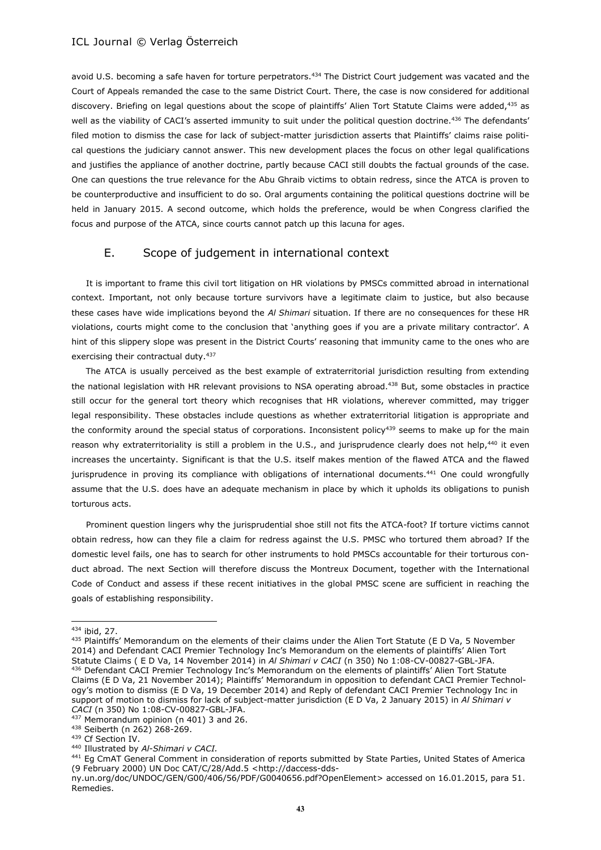avoid U.S. becoming a safe haven for torture perpetrators.<sup>434</sup> The District Court judgement was vacated and the Court of Appeals remanded the case to the same District Court. There, the case is now considered for additional discovery. Briefing on legal questions about the scope of plaintiffs' Alien Tort Statute Claims were added,<sup>435</sup> as well as the viability of CACI's asserted immunity to suit under the political question doctrine.<sup>436</sup> The defendants' filed motion to dismiss the case for lack of subject-matter jurisdiction asserts that Plaintiffs' claims raise political questions the judiciary cannot answer. This new development places the focus on other legal qualifications and justifies the appliance of another doctrine, partly because CACI still doubts the factual grounds of the case. One can questions the true relevance for the Abu Ghraib victims to obtain redress, since the ATCA is proven to be counterproductive and insufficient to do so. Oral arguments containing the political questions doctrine will be held in January 2015. A second outcome, which holds the preference, would be when Congress clarified the focus and purpose of the ATCA, since courts cannot patch up this lacuna for ages.

## E. Scope of judgement in international context

It is important to frame this civil tort litigation on HR violations by PMSCs committed abroad in international context. Important, not only because torture survivors have a legitimate claim to justice, but also because these cases have wide implications beyond the *Al Shimari* situation. If there are no consequences for these HR violations, courts might come to the conclusion that 'anything goes if you are a private military contractor'. A hint of this slippery slope was present in the District Courts' reasoning that immunity came to the ones who are exercising their contractual duty.<sup>437</sup>

The ATCA is usually perceived as the best example of extraterritorial jurisdiction resulting from extending the national legislation with HR relevant provisions to NSA operating abroad.<sup>438</sup> But, some obstacles in practice still occur for the general tort theory which recognises that HR violations, wherever committed, may trigger legal responsibility. These obstacles include questions as whether extraterritorial litigation is appropriate and the conformity around the special status of corporations. Inconsistent policy<sup>439</sup> seems to make up for the main reason why extraterritoriality is still a problem in the U.S., and jurisprudence clearly does not help,<sup>440</sup> it even increases the uncertainty. Significant is that the U.S. itself makes mention of the flawed ATCA and the flawed jurisprudence in proving its compliance with obligations of international documents.<sup>441</sup> One could wrongfully assume that the U.S. does have an adequate mechanism in place by which it upholds its obligations to punish torturous acts.

Prominent question lingers why the jurisprudential shoe still not fits the ATCA-foot? If torture victims cannot obtain redress, how can they file a claim for redress against the U.S. PMSC who tortured them abroad? If the domestic level fails, one has to search for other instruments to hold PMSCs accountable for their torturous conduct abroad. The next Section will therefore discuss the Montreux Document, together with the International Code of Conduct and assess if these recent initiatives in the global PMSC scene are sufficient in reaching the goals of establishing responsibility.

 $\overline{a}$ 

<sup>440</sup> Illustrated by *Al-Shimari v CACI.*

<sup>434</sup> ibid, 27.

<sup>&</sup>lt;sup>435</sup> Plaintiffs' Memorandum on the elements of their claims under the Alien Tort Statute (E D Va, 5 November 2014) and Defendant CACI Premier Technology Inc's Memorandum on the elements of plaintiffs' Alien Tort Statute Claims ( E D Va, 14 November 2014) in *Al Shimari v CACI* (n 350) No 1:08-CV-00827-GBL-JFA. <sup>436</sup> Defendant CACI Premier Technology Inc's Memorandum on the elements of plaintiffs' Alien Tort Statute Claims (E D Va, 21 November 2014); Plaintiffs' Memorandum in opposition to defendant CACI Premier Technology's motion to dismiss (E D Va, 19 December 2014) and Reply of defendant CACI Premier Technology Inc in support of motion to dismiss for lack of subject-matter jurisdiction (E D Va, 2 January 2015) in *Al Shimari v CACI* (n 350) No 1:08-CV-00827-GBL-JFA.

<sup>437</sup> Memorandum opinion (n 401) 3 and 26.

<sup>438</sup> Seiberth (n 262) 268-269.

<sup>439</sup> Cf Section IV.

<sup>441</sup> Eg CmAT General Comment in consideration of reports submitted by State Parties, United States of America (9 February 2000) UN Doc CAT/C/28/Add.5 [<http://daccess-dds-](http://daccess-dds-ny.un.org/doc/UNDOC/GEN/G00/406/56/PDF/G0040656.pdf?OpenElement)

[ny.un.org/doc/UNDOC/GEN/G00/406/56/PDF/G0040656.pdf?OpenElement>](http://daccess-dds-ny.un.org/doc/UNDOC/GEN/G00/406/56/PDF/G0040656.pdf?OpenElement) accessed on 16.01.2015, para 51. Remedies.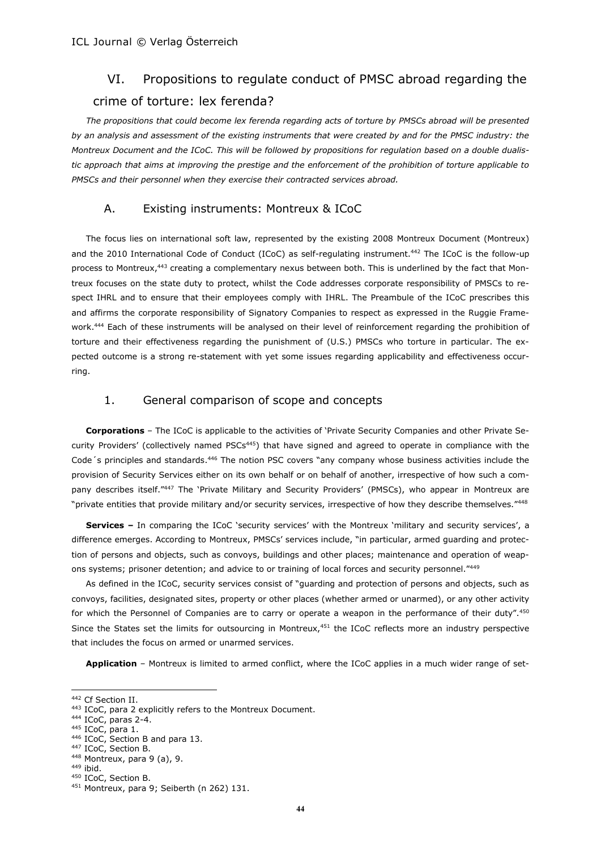## VI. Propositions to regulate conduct of PMSC abroad regarding the crime of torture: lex ferenda?

*The propositions that could become lex ferenda regarding acts of torture by PMSCs abroad will be presented by an analysis and assessment of the existing instruments that were created by and for the PMSC industry: the Montreux Document and the ICoC. This will be followed by propositions for regulation based on a double dualistic approach that aims at improving the prestige and the enforcement of the prohibition of torture applicable to PMSCs and their personnel when they exercise their contracted services abroad.*

## A. Existing instruments: Montreux & ICoC

The focus lies on international soft law, represented by the existing 2008 Montreux Document (Montreux) and the 2010 International Code of Conduct (ICoC) as self-regulating instrument.<sup>442</sup> The ICoC is the follow-up process to Montreux,<sup>443</sup> creating a complementary nexus between both. This is underlined by the fact that Montreux focuses on the state duty to protect, whilst the Code addresses corporate responsibility of PMSCs to respect IHRL and to ensure that their employees comply with IHRL. The Preambule of the ICoC prescribes this and affirms the corporate responsibility of Signatory Companies to respect as expressed in the Ruggie Framework.<sup>444</sup> Each of these instruments will be analysed on their level of reinforcement regarding the prohibition of torture and their effectiveness regarding the punishment of (U.S.) PMSCs who torture in particular. The expected outcome is a strong re-statement with yet some issues regarding applicability and effectiveness occurring.

## 1. General comparison of scope and concepts

**Corporations** – The ICoC is applicable to the activities of 'Private Security Companies and other Private Security Providers' (collectively named PSCs<sup>445</sup>) that have signed and agreed to operate in compliance with the Code's principles and standards.<sup>446</sup> The notion PSC covers "any company whose business activities include the provision of Security Services either on its own behalf or on behalf of another, irrespective of how such a company describes itself."447 The 'Private Military and Security Providers' (PMSCs), who appear in Montreux are "private entities that provide military and/or security services, irrespective of how they describe themselves."<sup>448</sup>

**Services –** In comparing the ICoC 'security services' with the Montreux 'military and security services', a difference emerges. According to Montreux, PMSCs' services include, "in particular, armed guarding and protection of persons and objects, such as convoys, buildings and other places; maintenance and operation of weapons systems; prisoner detention; and advice to or training of local forces and security personnel."449

As defined in the ICoC, security services consist of "guarding and protection of persons and objects, such as convoys, facilities, designated sites, property or other places (whether armed or unarmed), or any other activity for which the Personnel of Companies are to carry or operate a weapon in the performance of their duty".<sup>450</sup> Since the States set the limits for outsourcing in Montreux,<sup>451</sup> the ICoC reflects more an industry perspective that includes the focus on armed or unarmed services.

**Application** – Montreux is limited to armed conflict, where the ICoC applies in a much wider range of set-

<sup>442</sup> Cf Section II.

<sup>443</sup> ICoC, para 2 explicitly refers to the Montreux Document.

<sup>444</sup> ICoC, paras 2-4.

<sup>445</sup> ICoC, para 1.

<sup>446</sup> ICoC, Section B and para 13.

<sup>447</sup> ICoC, Section B.

<sup>448</sup> Montreux, para 9 (a), 9.

<sup>449</sup> ibid.

<sup>450</sup> ICoC, Section B.

<sup>451</sup> Montreux, para 9; Seiberth (n 262) 131.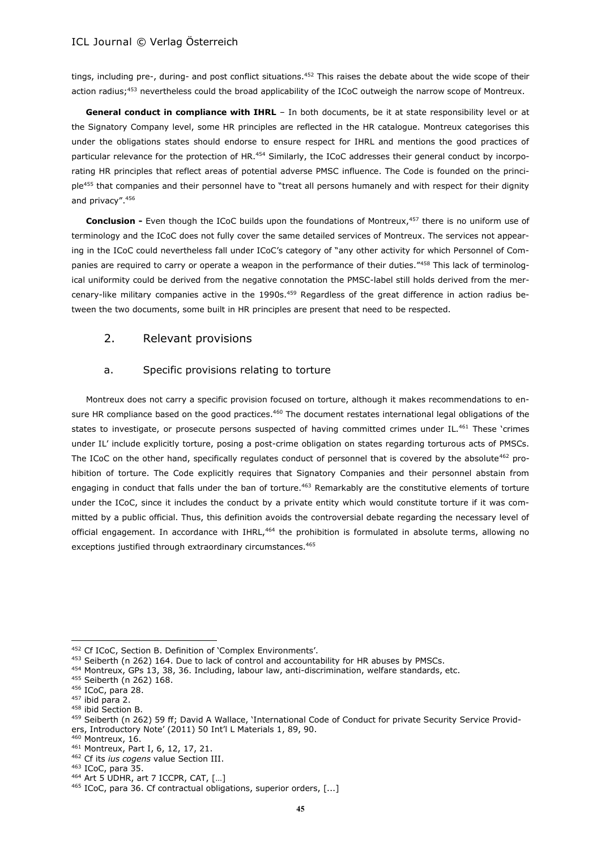tings, including pre-, during- and post conflict situations.<sup>452</sup> This raises the debate about the wide scope of their action radius;<sup>453</sup> nevertheless could the broad applicability of the ICoC outweigh the narrow scope of Montreux.

**General conduct in compliance with IHRL** – In both documents, be it at state responsibility level or at the Signatory Company level, some HR principles are reflected in the HR catalogue. Montreux categorises this under the obligations states should endorse to ensure respect for IHRL and mentions the good practices of particular relevance for the protection of HR.<sup>454</sup> Similarly, the ICoC addresses their general conduct by incorporating HR principles that reflect areas of potential adverse PMSC influence. The Code is founded on the principle<sup>455</sup> that companies and their personnel have to "treat all persons humanely and with respect for their dignity and privacy".<sup>456</sup>

**Conclusion -** Even though the ICoC builds upon the foundations of Montreux,<sup>457</sup> there is no uniform use of terminology and the ICoC does not fully cover the same detailed services of Montreux. The services not appearing in the ICoC could nevertheless fall under ICoC's category of "any other activity for which Personnel of Companies are required to carry or operate a weapon in the performance of their duties."458 This lack of terminological uniformity could be derived from the negative connotation the PMSC-label still holds derived from the mercenary-like military companies active in the 1990s.<sup>459</sup> Regardless of the great difference in action radius between the two documents, some built in HR principles are present that need to be respected.

## 2. Relevant provisions

## a. Specific provisions relating to torture

Montreux does not carry a specific provision focused on torture, although it makes recommendations to ensure HR compliance based on the good practices.<sup>460</sup> The document restates international legal obligations of the states to investigate, or prosecute persons suspected of having committed crimes under IL.<sup>461</sup> These 'crimes under IL' include explicitly torture, posing a post-crime obligation on states regarding torturous acts of PMSCs. The ICoC on the other hand, specifically regulates conduct of personnel that is covered by the absolute<sup>462</sup> prohibition of torture. The Code explicitly requires that Signatory Companies and their personnel abstain from engaging in conduct that falls under the ban of torture.<sup>463</sup> Remarkably are the constitutive elements of torture under the ICoC, since it includes the conduct by a private entity which would constitute torture if it was committed by a public official. Thus, this definition avoids the controversial debate regarding the necessary level of official engagement. In accordance with IHRL,<sup>464</sup> the prohibition is formulated in absolute terms, allowing no exceptions justified through extraordinary circumstances.<sup>465</sup>

<sup>452</sup> Cf ICoC, Section B. Definition of 'Complex Environments'.

<sup>453</sup> Seiberth (n 262) 164. Due to lack of control and accountability for HR abuses by PMSCs.

 $454$  Montreux, GPs 13, 38, 36. Including, labour law, anti-discrimination, welfare standards, etc.

<sup>455</sup> Seiberth (n 262) 168.

<sup>456</sup> ICoC, para 28.

<sup>457</sup> ibid para 2.

<sup>458</sup> ibid Section B.

<sup>459</sup> Seiberth (n 262) 59 ff; David A Wallace, 'International Code of Conduct for private Security Service Providers, Introductory Note' (2011) 50 Int'l L Materials 1, 89, 90.

<sup>460</sup> Montreux, 16.

<sup>461</sup> Montreux, Part I, 6, 12, 17, 21.

<sup>462</sup> Cf its *ius cogens* value Section III.

<sup>463</sup> ICoC, para 35.

<sup>464</sup> Art 5 UDHR, art 7 ICCPR, CAT, [...]

<sup>465</sup> ICoC, para 36. Cf contractual obligations, superior orders, [...]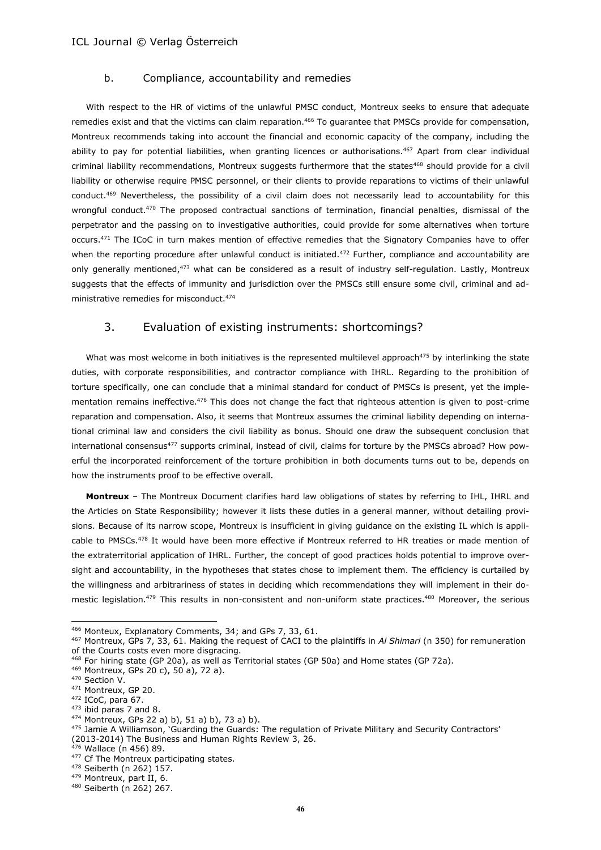#### b. Compliance, accountability and remedies

With respect to the HR of victims of the unlawful PMSC conduct, Montreux seeks to ensure that adequate remedies exist and that the victims can claim reparation.<sup>466</sup> To quarantee that PMSCs provide for compensation, Montreux recommends taking into account the financial and economic capacity of the company, including the ability to pay for potential liabilities, when granting licences or authorisations.<sup>467</sup> Apart from clear individual criminal liability recommendations, Montreux suggests furthermore that the states<sup>468</sup> should provide for a civil liability or otherwise require PMSC personnel, or their clients to provide reparations to victims of their unlawful conduct.<sup>469</sup> Nevertheless, the possibility of a civil claim does not necessarily lead to accountability for this wrongful conduct.<sup>470</sup> The proposed contractual sanctions of termination, financial penalties, dismissal of the perpetrator and the passing on to investigative authorities, could provide for some alternatives when torture occurs.<sup>471</sup> The ICoC in turn makes mention of effective remedies that the Signatory Companies have to offer when the reporting procedure after unlawful conduct is initiated.<sup>472</sup> Further, compliance and accountability are only generally mentioned,<sup>473</sup> what can be considered as a result of industry self-regulation. Lastly, Montreux suggests that the effects of immunity and jurisdiction over the PMSCs still ensure some civil, criminal and administrative remedies for misconduct.<sup>474</sup>

## 3. Evaluation of existing instruments: shortcomings?

What was most welcome in both initiatives is the represented multilevel approach<sup>475</sup> by interlinking the state duties, with corporate responsibilities, and contractor compliance with IHRL. Regarding to the prohibition of torture specifically, one can conclude that a minimal standard for conduct of PMSCs is present, yet the implementation remains ineffective.<sup>476</sup> This does not change the fact that righteous attention is given to post-crime reparation and compensation. Also, it seems that Montreux assumes the criminal liability depending on international criminal law and considers the civil liability as bonus. Should one draw the subsequent conclusion that international consensus<sup>477</sup> supports criminal, instead of civil, claims for torture by the PMSCs abroad? How powerful the incorporated reinforcement of the torture prohibition in both documents turns out to be, depends on how the instruments proof to be effective overall.

**Montreux** – The Montreux Document clarifies hard law obligations of states by referring to IHL, IHRL and the Articles on State Responsibility; however it lists these duties in a general manner, without detailing provisions. Because of its narrow scope, Montreux is insufficient in giving guidance on the existing IL which is applicable to PMSCs.<sup>478</sup> It would have been more effective if Montreux referred to HR treaties or made mention of the extraterritorial application of IHRL. Further, the concept of good practices holds potential to improve oversight and accountability, in the hypotheses that states chose to implement them. The efficiency is curtailed by the willingness and arbitrariness of states in deciding which recommendations they will implement in their domestic legislation.<sup>479</sup> This results in non-consistent and non-uniform state practices.<sup>480</sup> Moreover, the serious

<sup>466</sup> Monteux, Explanatory Comments, 34; and GPs 7, 33, 61.

<sup>467</sup> Montreux, GPs 7, 33, 61. Making the request of CACI to the plaintiffs in *Al Shimari* (n 350) for remuneration of the Courts costs even more disgracing.

<sup>468</sup> For hiring state (GP 20a), as well as Territorial states (GP 50a) and Home states (GP 72a).

<sup>469</sup> Montreux, GPs 20 c), 50 a), 72 a).

<sup>470</sup> Section V.

<sup>471</sup> Montreux, GP 20.

<sup>472</sup> ICoC, para 67.

<sup>473</sup> ibid paras 7 and 8.

 $474$  Montreux, GPs 22 a) b), 51 a) b), 73 a) b).

<sup>475</sup> Jamie A Williamson, 'Guarding the Guards: The regulation of Private Military and Security Contractors' (2013-2014) The Business and Human Rights Review 3, 26.

 $5$  Wallace (n 456) 89.

<sup>477</sup> Cf The Montreux participating states.

<sup>478</sup> Seiberth (n 262) 157.

<sup>479</sup> Montreux, part II, 6.

<sup>480</sup> Seiberth (n 262) 267.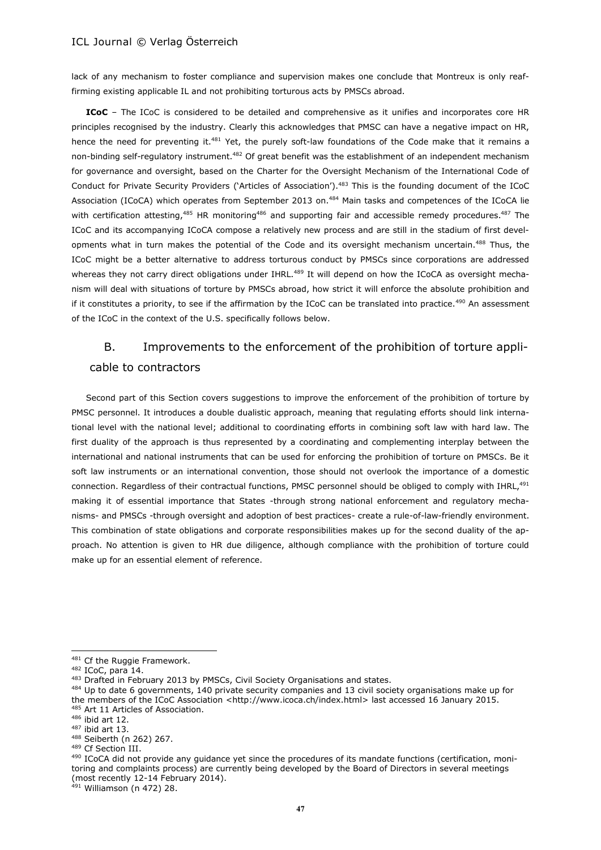lack of any mechanism to foster compliance and supervision makes one conclude that Montreux is only reaffirming existing applicable IL and not prohibiting torturous acts by PMSCs abroad.

**ICoC** – The ICoC is considered to be detailed and comprehensive as it unifies and incorporates core HR principles recognised by the industry. Clearly this acknowledges that PMSC can have a negative impact on HR, hence the need for preventing it.<sup>481</sup> Yet, the purely soft-law foundations of the Code make that it remains a non-binding self-regulatory instrument.<sup>482</sup> Of great benefit was the establishment of an independent mechanism for governance and oversight, based on the Charter for the Oversight Mechanism of the International Code of Conduct for Private Security Providers ('Articles of Association').<sup>483</sup> This is the founding document of the ICoC Association (ICoCA) which operates from September 2013 on.<sup>484</sup> Main tasks and competences of the ICoCA lie with certification attesting,<sup>485</sup> HR monitoring<sup>486</sup> and supporting fair and accessible remedy procedures.<sup>487</sup> The ICoC and its accompanying ICoCA compose a relatively new process and are still in the stadium of first developments what in turn makes the potential of the Code and its oversight mechanism uncertain.<sup>488</sup> Thus, the ICoC might be a better alternative to address torturous conduct by PMSCs since corporations are addressed whereas they not carry direct obligations under IHRL.<sup>489</sup> It will depend on how the ICoCA as oversight mechanism will deal with situations of torture by PMSCs abroad, how strict it will enforce the absolute prohibition and if it constitutes a priority, to see if the affirmation by the ICoC can be translated into practice.<sup>490</sup> An assessment of the ICoC in the context of the U.S. specifically follows below.

## B. Improvements to the enforcement of the prohibition of torture applicable to contractors

Second part of this Section covers suggestions to improve the enforcement of the prohibition of torture by PMSC personnel. It introduces a double dualistic approach, meaning that regulating efforts should link international level with the national level; additional to coordinating efforts in combining soft law with hard law. The first duality of the approach is thus represented by a coordinating and complementing interplay between the international and national instruments that can be used for enforcing the prohibition of torture on PMSCs. Be it soft law instruments or an international convention, those should not overlook the importance of a domestic connection. Regardless of their contractual functions, PMSC personnel should be obliged to comply with IHRL,<sup>491</sup> making it of essential importance that States -through strong national enforcement and regulatory mechanisms- and PMSCs -through oversight and adoption of best practices- create a rule-of-law-friendly environment. This combination of state obligations and corporate responsibilities makes up for the second duality of the approach. No attention is given to HR due diligence, although compliance with the prohibition of torture could make up for an essential element of reference.

 $\overline{a}$ 

 $491$  Williamson (n 472) 28.

<sup>481</sup> Cf the Ruggie Framework.

<sup>482</sup> ICoC, para 14.

<sup>483</sup> Drafted in February 2013 by PMSCs, Civil Society Organisations and states.

<sup>484</sup> Up to date 6 governments, 140 private security companies and 13 civil society organisations make up for the members of the ICoC Association [<http://www.icoca.ch/index.html>](http://www.icoca.ch/index.html) last accessed 16 January 2015. 485 Art 11 Articles of Association.

<sup>486</sup> ibid art 12.

<sup>487</sup> ibid art 13.

<sup>488</sup> Seiberth (n 262) 267.

<sup>489</sup> Cf Section III.

<sup>490</sup> ICoCA did not provide any quidance yet since the procedures of its mandate functions (certification, monitoring and complaints process) are currently being developed by the Board of Directors in several meetings (most recently 12-14 February 2014).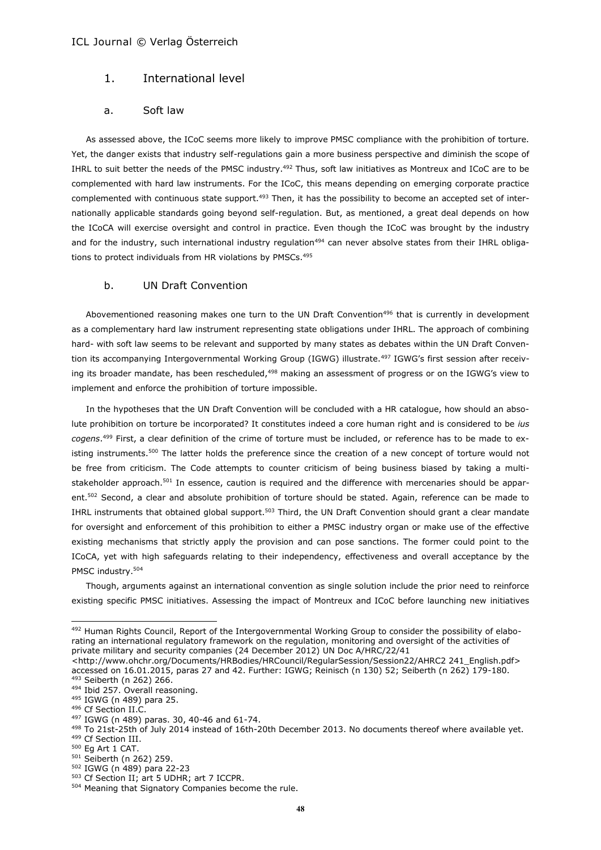## 1. International level

#### a. Soft law

As assessed above, the ICoC seems more likely to improve PMSC compliance with the prohibition of torture. Yet, the danger exists that industry self-regulations gain a more business perspective and diminish the scope of IHRL to suit better the needs of the PMSC industry.<sup>492</sup> Thus, soft law initiatives as Montreux and ICoC are to be complemented with hard law instruments. For the ICoC, this means depending on emerging corporate practice complemented with continuous state support.<sup>493</sup> Then, it has the possibility to become an accepted set of internationally applicable standards going beyond self-regulation. But, as mentioned, a great deal depends on how the ICoCA will exercise oversight and control in practice. Even though the ICoC was brought by the industry and for the industry, such international industry regulation<sup>494</sup> can never absolve states from their IHRL obligations to protect individuals from HR violations by PMSCs.<sup>495</sup>

#### b. UN Draft Convention

Abovementioned reasoning makes one turn to the UN Draft Convention<sup>496</sup> that is currently in development as a complementary hard law instrument representing state obligations under IHRL. The approach of combining hard- with soft law seems to be relevant and supported by many states as debates within the UN Draft Convention its accompanying Intergovernmental Working Group (IGWG) illustrate.<sup>497</sup> IGWG's first session after receiving its broader mandate, has been rescheduled,<sup>498</sup> making an assessment of progress or on the IGWG's view to implement and enforce the prohibition of torture impossible.

In the hypotheses that the UN Draft Convention will be concluded with a HR catalogue, how should an absolute prohibition on torture be incorporated? It constitutes indeed a core human right and is considered to be *ius cogens*. <sup>499</sup> First, a clear definition of the crime of torture must be included, or reference has to be made to existing instruments.<sup>500</sup> The latter holds the preference since the creation of a new concept of torture would not be free from criticism. The Code attempts to counter criticism of being business biased by taking a multistakeholder approach.<sup>501</sup> In essence, caution is required and the difference with mercenaries should be apparent.<sup>502</sup> Second, a clear and absolute prohibition of torture should be stated. Again, reference can be made to IHRL instruments that obtained global support.<sup>503</sup> Third, the UN Draft Convention should grant a clear mandate for oversight and enforcement of this prohibition to either a PMSC industry organ or make use of the effective existing mechanisms that strictly apply the provision and can pose sanctions. The former could point to the ICoCA, yet with high safeguards relating to their independency, effectiveness and overall acceptance by the PMSC industry.<sup>504</sup>

Though, arguments against an international convention as single solution include the prior need to reinforce existing specific PMSC initiatives. Assessing the impact of Montreux and ICoC before launching new initiatives

<sup>492</sup> Human Rights Council, Report of the Intergovernmental Working Group to consider the possibility of elaborating an international regulatory framework on the regulation, monitoring and oversight of the activities of private military and security companies (24 December 2012) UN Doc A/HRC/22/41 <http://www.ohchr.org/Documents/HRBodies/HRCouncil/RegularSession/Session22/AHRC2 241\_English.pdf>

accessed on 16.01.2015, paras 27 and 42. Further: IGWG; Reinisch (n 130) 52; Seiberth (n 262) 179-180. <sup>493</sup> Seiberth (n 262) 266.

<sup>494</sup> Ibid 257. Overall reasoning.

<sup>495</sup> IGWG (n 489) para 25.

<sup>496</sup> Cf Section II.C.

<sup>497</sup> IGWG (n 489) paras. 30, 40-46 and 61-74.

<sup>498</sup> To 21st-25th of July 2014 instead of 16th-20th December 2013. No documents thereof where available yet.

<sup>499</sup> Cf Section III. <sup>500</sup> Eg Art 1 CAT.

<sup>&</sup>lt;sup>501</sup> Seiberth (n 262) 259. <sup>502</sup> IGWG (n 489) para 22-23

<sup>503</sup> Cf Section II; art 5 UDHR; art 7 ICCPR.

<sup>504</sup> Meaning that Signatory Companies become the rule.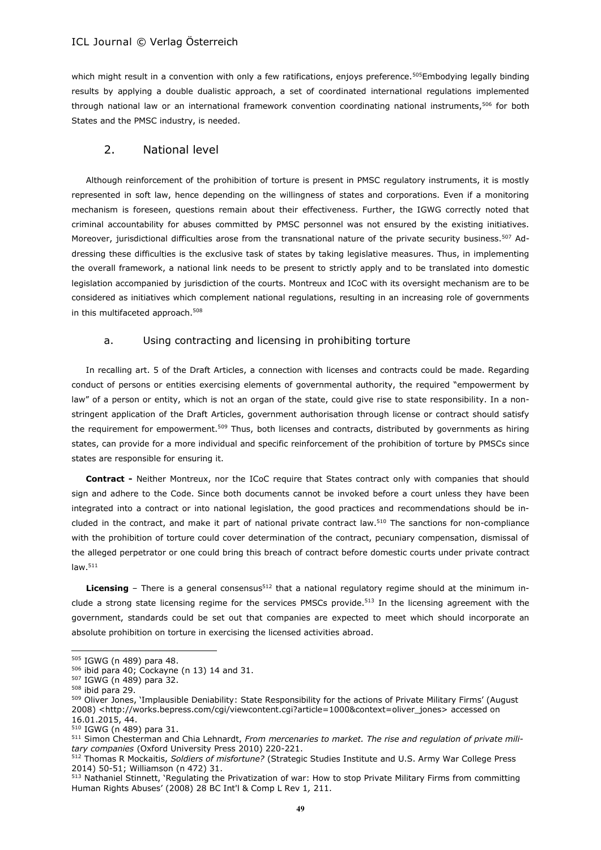which might result in a convention with only a few ratifications, enjoys preference.<sup>505</sup>Embodying legally binding results by applying a double dualistic approach, a set of coordinated international regulations implemented through national law or an international framework convention coordinating national instruments,<sup>506</sup> for both States and the PMSC industry, is needed.

## 2. National level

Although reinforcement of the prohibition of torture is present in PMSC regulatory instruments, it is mostly represented in soft law, hence depending on the willingness of states and corporations. Even if a monitoring mechanism is foreseen, questions remain about their effectiveness. Further, the IGWG correctly noted that criminal accountability for abuses committed by PMSC personnel was not ensured by the existing initiatives. Moreover, jurisdictional difficulties arose from the transnational nature of the private security business.<sup>507</sup> Addressing these difficulties is the exclusive task of states by taking legislative measures. Thus, in implementing the overall framework, a national link needs to be present to strictly apply and to be translated into domestic legislation accompanied by jurisdiction of the courts. Montreux and ICoC with its oversight mechanism are to be considered as initiatives which complement national regulations, resulting in an increasing role of governments in this multifaceted approach.<sup>508</sup>

## a. Using contracting and licensing in prohibiting torture

In recalling art. 5 of the Draft Articles, a connection with licenses and contracts could be made. Regarding conduct of persons or entities exercising elements of governmental authority, the required "empowerment by law" of a person or entity, which is not an organ of the state, could give rise to state responsibility. In a nonstringent application of the Draft Articles, government authorisation through license or contract should satisfy the requirement for empowerment.<sup>509</sup> Thus, both licenses and contracts, distributed by governments as hiring states, can provide for a more individual and specific reinforcement of the prohibition of torture by PMSCs since states are responsible for ensuring it.

**Contract -** Neither Montreux, nor the ICoC require that States contract only with companies that should sign and adhere to the Code. Since both documents cannot be invoked before a court unless they have been integrated into a contract or into national legislation, the good practices and recommendations should be included in the contract, and make it part of national private contract law.<sup>510</sup> The sanctions for non-compliance with the prohibition of torture could cover determination of the contract, pecuniary compensation, dismissal of the alleged perpetrator or one could bring this breach of contract before domestic courts under private contract law.<sup>511</sup>

Licensing - There is a general consensus<sup>512</sup> that a national regulatory regime should at the minimum include a strong state licensing regime for the services PMSCs provide.<sup>513</sup> In the licensing agreement with the government, standards could be set out that companies are expected to meet which should incorporate an absolute prohibition on torture in exercising the licensed activities abroad.

<sup>505</sup> IGWG (n 489) para 48.

<sup>506</sup> ibid para 40; Cockayne (n 13) 14 and 31.

<sup>507</sup> IGWG (n 489) para 32.

<sup>508</sup> ibid para 29.

<sup>509</sup> Oliver Jones, 'Implausible Deniability: State Responsibility for the actions of Private Military Firms' (August 2008) <http://works.bepress.com/cgi/viewcontent.cgi?article=1000&context=oliver\_jones> accessed on 16.01.2015, 44.

<sup>510</sup> IGWG (n 489) para 31.

<sup>511</sup> Simon Chesterman and Chia Lehnardt, *From mercenaries to market. The rise and regulation of private military companies* (Oxford University Press 2010) 220-221.

<sup>512</sup> Thomas R Mockaitis, *Soldiers of misfortune?* (Strategic Studies Institute and U.S. Army War College Press 2014) 50-51; Williamson (n 472) 31.

<sup>513</sup> Nathaniel Stinnett, 'Regulating the Privatization of war: How to stop Private Military Firms from committing Human Rights Abuses' (2008) 28 BC Int'l & Comp L Rev 1*,* 211.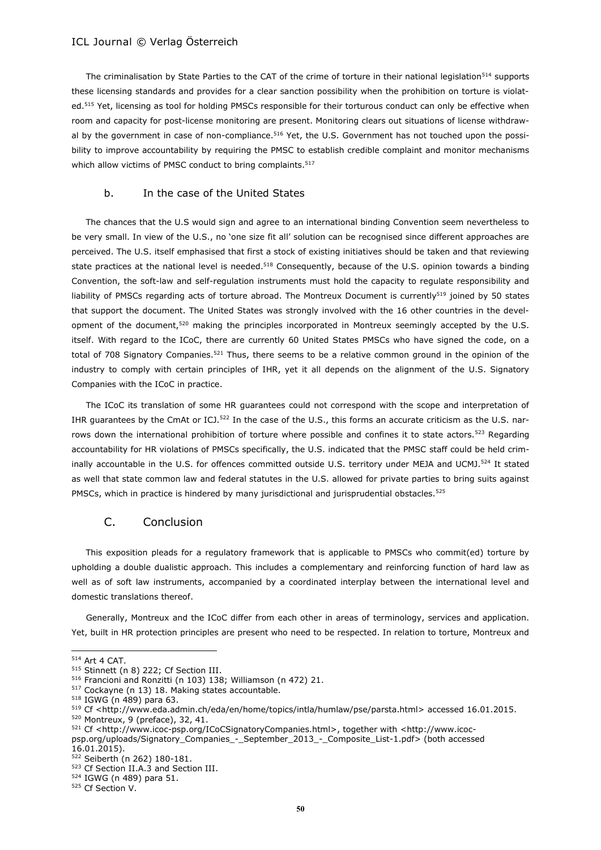The criminalisation by State Parties to the CAT of the crime of torture in their national legislation<sup>514</sup> supports these licensing standards and provides for a clear sanction possibility when the prohibition on torture is violated.<sup>515</sup> Yet, licensing as tool for holding PMSCs responsible for their torturous conduct can only be effective when room and capacity for post-license monitoring are present. Monitoring clears out situations of license withdrawal by the government in case of non-compliance.<sup>516</sup> Yet, the U.S. Government has not touched upon the possibility to improve accountability by requiring the PMSC to establish credible complaint and monitor mechanisms which allow victims of PMSC conduct to bring complaints.<sup>517</sup>

#### b. In the case of the United States

The chances that the U.S would sign and agree to an international binding Convention seem nevertheless to be very small. In view of the U.S., no 'one size fit all' solution can be recognised since different approaches are perceived. The U.S. itself emphasised that first a stock of existing initiatives should be taken and that reviewing state practices at the national level is needed.<sup>518</sup> Consequently, because of the U.S. opinion towards a binding Convention, the soft-law and self-regulation instruments must hold the capacity to regulate responsibility and liability of PMSCs regarding acts of torture abroad. The Montreux Document is currently<sup>519</sup> joined by 50 states that support the document. The United States was strongly involved with the 16 other countries in the development of the document,<sup>520</sup> making the principles incorporated in Montreux seemingly accepted by the U.S. itself. With regard to the ICoC, there are currently 60 United States PMSCs who have signed the code, on a total of 708 Signatory Companies.<sup>521</sup> Thus, there seems to be a relative common ground in the opinion of the industry to comply with certain principles of IHR, yet it all depends on the alignment of the U.S. Signatory Companies with the ICoC in practice.

The ICoC its translation of some HR guarantees could not correspond with the scope and interpretation of IHR guarantees by the CmAt or ICJ.<sup>522</sup> In the case of the U.S., this forms an accurate criticism as the U.S. narrows down the international prohibition of torture where possible and confines it to state actors.<sup>523</sup> Regarding accountability for HR violations of PMSCs specifically, the U.S. indicated that the PMSC staff could be held criminally accountable in the U.S. for offences committed outside U.S. territory under MEJA and UCMJ.<sup>524</sup> It stated as well that state common law and federal statutes in the U.S. allowed for private parties to bring suits against PMSCs, which in practice is hindered by many jurisdictional and jurisprudential obstacles.<sup>525</sup>

#### C. Conclusion

This exposition pleads for a regulatory framework that is applicable to PMSCs who commit(ed) torture by upholding a double dualistic approach. This includes a complementary and reinforcing function of hard law as well as of soft law instruments, accompanied by a coordinated interplay between the international level and domestic translations thereof.

Generally, Montreux and the ICoC differ from each other in areas of terminology, services and application. Yet, built in HR protection principles are present who need to be respected. In relation to torture, Montreux and

<sup>514</sup> Art 4 CAT.

<sup>515</sup> Stinnett (n 8) 222; Cf Section III.

<sup>516</sup> Francioni and Ronzitti (n 103) 138; Williamson (n 472) 21.

<sup>517</sup> Cockayne (n 13) 18. Making states accountable.

<sup>518</sup> IGWG (n 489) para 63.

<sup>519</sup> Cf <http://www.eda.admin.ch/eda/en/home/topics/intla/humlaw/pse/parsta.html> accessed 16.01.2015.

<sup>520</sup> Montreux, 9 (preface), 32, 41.

<sup>521</sup> Cf <http://www.icoc-psp.org/ICoCSignatoryCompanies.html>, together with <http://www.icocpsp.org/uploads/Signatory\_Companies\_-\_September\_2013\_-\_Composite\_List-1.pdf> (both accessed 16.01.2015).

<sup>522</sup> Seiberth (n 262) 180-181.

<sup>523</sup> Cf Section II.A.3 and Section III.

<sup>524</sup> IGWG (n 489) para 51.

<sup>525</sup> Cf Section V.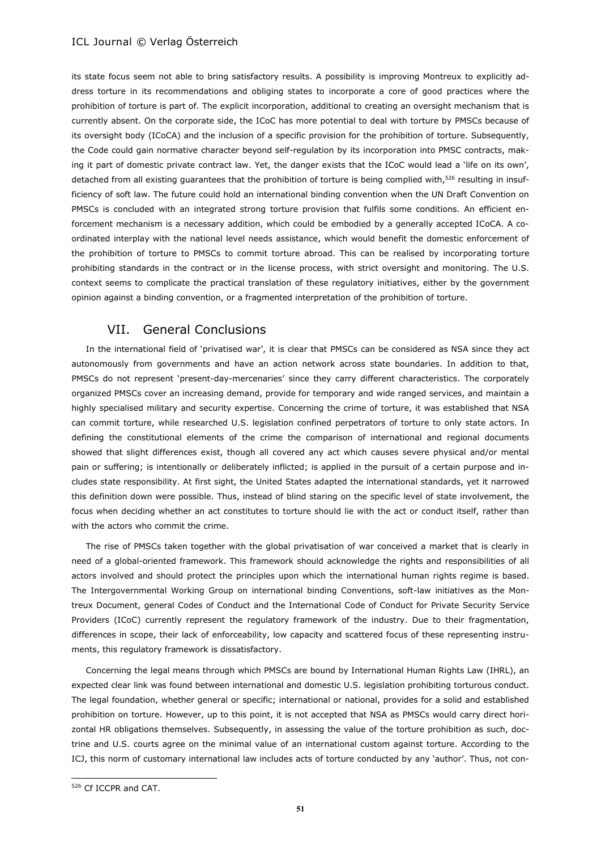its state focus seem not able to bring satisfactory results. A possibility is improving Montreux to explicitly address torture in its recommendations and obliging states to incorporate a core of good practices where the prohibition of torture is part of. The explicit incorporation, additional to creating an oversight mechanism that is currently absent. On the corporate side, the ICoC has more potential to deal with torture by PMSCs because of its oversight body (ICoCA) and the inclusion of a specific provision for the prohibition of torture. Subsequently, the Code could gain normative character beyond self-regulation by its incorporation into PMSC contracts, making it part of domestic private contract law. Yet, the danger exists that the ICoC would lead a 'life on its own', detached from all existing guarantees that the prohibition of torture is being complied with,<sup>526</sup> resulting in insufficiency of soft law. The future could hold an international binding convention when the UN Draft Convention on PMSCs is concluded with an integrated strong torture provision that fulfils some conditions. An efficient enforcement mechanism is a necessary addition, which could be embodied by a generally accepted ICoCA. A coordinated interplay with the national level needs assistance, which would benefit the domestic enforcement of the prohibition of torture to PMSCs to commit torture abroad. This can be realised by incorporating torture prohibiting standards in the contract or in the license process, with strict oversight and monitoring. The U.S. context seems to complicate the practical translation of these regulatory initiatives, either by the government opinion against a binding convention, or a fragmented interpretation of the prohibition of torture.

## VII. General Conclusions

In the international field of 'privatised war', it is clear that PMSCs can be considered as NSA since they act autonomously from governments and have an action network across state boundaries. In addition to that, PMSCs do not represent 'present-day-mercenaries' since they carry different characteristics. The corporately organized PMSCs cover an increasing demand, provide for temporary and wide ranged services, and maintain a highly specialised military and security expertise. Concerning the crime of torture, it was established that NSA can commit torture, while researched U.S. legislation confined perpetrators of torture to only state actors. In defining the constitutional elements of the crime the comparison of international and regional documents showed that slight differences exist, though all covered any act which causes severe physical and/or mental pain or suffering; is intentionally or deliberately inflicted; is applied in the pursuit of a certain purpose and includes state responsibility. At first sight, the United States adapted the international standards, yet it narrowed this definition down were possible. Thus, instead of blind staring on the specific level of state involvement, the focus when deciding whether an act constitutes to torture should lie with the act or conduct itself, rather than with the actors who commit the crime.

The rise of PMSCs taken together with the global privatisation of war conceived a market that is clearly in need of a global-oriented framework. This framework should acknowledge the rights and responsibilities of all actors involved and should protect the principles upon which the international human rights regime is based. The Intergovernmental Working Group on international binding Conventions, soft-law initiatives as the Montreux Document, general Codes of Conduct and the International Code of Conduct for Private Security Service Providers (ICoC) currently represent the regulatory framework of the industry. Due to their fragmentation, differences in scope, their lack of enforceability, low capacity and scattered focus of these representing instruments, this regulatory framework is dissatisfactory.

Concerning the legal means through which PMSCs are bound by International Human Rights Law (IHRL), an expected clear link was found between international and domestic U.S. legislation prohibiting torturous conduct. The legal foundation, whether general or specific; international or national, provides for a solid and established prohibition on torture. However, up to this point, it is not accepted that NSA as PMSCs would carry direct horizontal HR obligations themselves. Subsequently, in assessing the value of the torture prohibition as such, doctrine and U.S. courts agree on the minimal value of an international custom against torture. According to the ICJ, this norm of customary international law includes acts of torture conducted by any 'author'. Thus, not con-

<sup>526</sup> Cf ICCPR and CAT.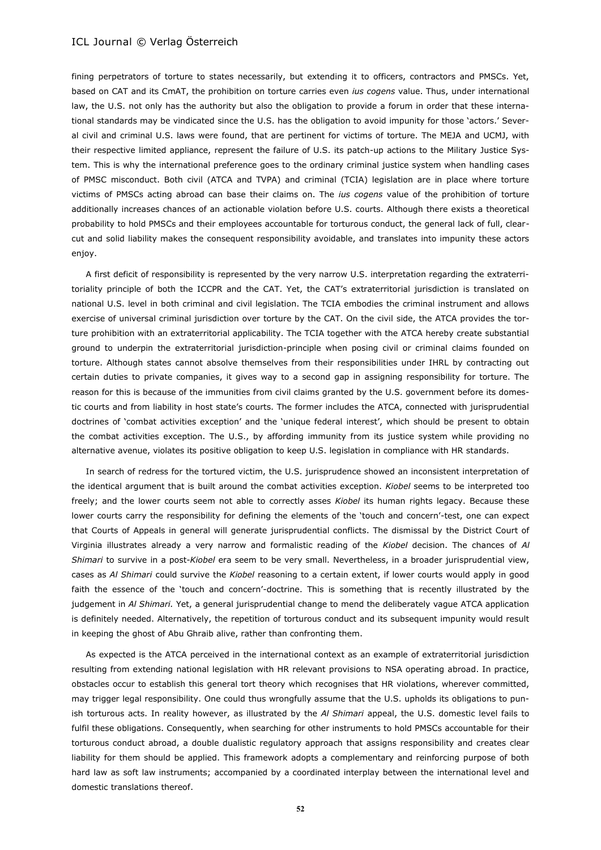fining perpetrators of torture to states necessarily, but extending it to officers, contractors and PMSCs. Yet, based on CAT and its CmAT, the prohibition on torture carries even *ius cogens* value. Thus, under international law, the U.S. not only has the authority but also the obligation to provide a forum in order that these international standards may be vindicated since the U.S. has the obligation to avoid impunity for those 'actors.' Several civil and criminal U.S. laws were found, that are pertinent for victims of torture. The MEJA and UCMJ, with their respective limited appliance, represent the failure of U.S. its patch-up actions to the Military Justice System. This is why the international preference goes to the ordinary criminal justice system when handling cases of PMSC misconduct. Both civil (ATCA and TVPA) and criminal (TCIA) legislation are in place where torture victims of PMSCs acting abroad can base their claims on. The *ius cogens* value of the prohibition of torture additionally increases chances of an actionable violation before U.S. courts. Although there exists a theoretical probability to hold PMSCs and their employees accountable for torturous conduct, the general lack of full, clearcut and solid liability makes the consequent responsibility avoidable, and translates into impunity these actors enjoy.

A first deficit of responsibility is represented by the very narrow U.S. interpretation regarding the extraterritoriality principle of both the ICCPR and the CAT. Yet, the CAT's extraterritorial jurisdiction is translated on national U.S. level in both criminal and civil legislation. The TCIA embodies the criminal instrument and allows exercise of universal criminal jurisdiction over torture by the CAT. On the civil side, the ATCA provides the torture prohibition with an extraterritorial applicability. The TCIA together with the ATCA hereby create substantial ground to underpin the extraterritorial jurisdiction-principle when posing civil or criminal claims founded on torture. Although states cannot absolve themselves from their responsibilities under IHRL by contracting out certain duties to private companies, it gives way to a second gap in assigning responsibility for torture. The reason for this is because of the immunities from civil claims granted by the U.S. government before its domestic courts and from liability in host state's courts. The former includes the ATCA, connected with jurisprudential doctrines of 'combat activities exception' and the 'unique federal interest', which should be present to obtain the combat activities exception. The U.S., by affording immunity from its justice system while providing no alternative avenue, violates its positive obligation to keep U.S. legislation in compliance with HR standards.

In search of redress for the tortured victim, the U.S. jurisprudence showed an inconsistent interpretation of the identical argument that is built around the combat activities exception. *Kiobel* seems to be interpreted too freely; and the lower courts seem not able to correctly asses *Kiobel* its human rights legacy. Because these lower courts carry the responsibility for defining the elements of the 'touch and concern'-test, one can expect that Courts of Appeals in general will generate jurisprudential conflicts. The dismissal by the District Court of Virginia illustrates already a very narrow and formalistic reading of the *Kiobel* decision. The chances of *Al Shimari* to survive in a post-*Kiobel* era seem to be very small. Nevertheless, in a broader jurisprudential view, cases as *Al Shimari* could survive the *Kiobel* reasoning to a certain extent, if lower courts would apply in good faith the essence of the 'touch and concern'-doctrine. This is something that is recently illustrated by the judgement in *Al Shimari.* Yet, a general jurisprudential change to mend the deliberately vague ATCA application is definitely needed. Alternatively, the repetition of torturous conduct and its subsequent impunity would result in keeping the ghost of Abu Ghraib alive, rather than confronting them.

As expected is the ATCA perceived in the international context as an example of extraterritorial jurisdiction resulting from extending national legislation with HR relevant provisions to NSA operating abroad. In practice, obstacles occur to establish this general tort theory which recognises that HR violations, wherever committed, may trigger legal responsibility. One could thus wrongfully assume that the U.S. upholds its obligations to punish torturous acts. In reality however, as illustrated by the *Al Shimari* appeal, the U.S. domestic level fails to fulfil these obligations. Consequently, when searching for other instruments to hold PMSCs accountable for their torturous conduct abroad, a double dualistic regulatory approach that assigns responsibility and creates clear liability for them should be applied. This framework adopts a complementary and reinforcing purpose of both hard law as soft law instruments; accompanied by a coordinated interplay between the international level and domestic translations thereof.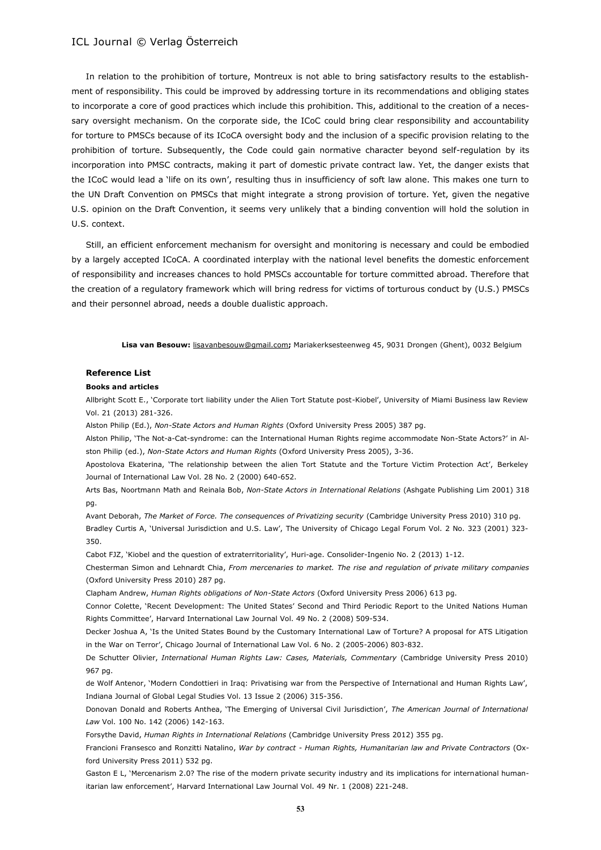In relation to the prohibition of torture, Montreux is not able to bring satisfactory results to the establishment of responsibility. This could be improved by addressing torture in its recommendations and obliging states to incorporate a core of good practices which include this prohibition. This, additional to the creation of a necessary oversight mechanism. On the corporate side, the ICoC could bring clear responsibility and accountability for torture to PMSCs because of its ICoCA oversight body and the inclusion of a specific provision relating to the prohibition of torture. Subsequently, the Code could gain normative character beyond self-regulation by its incorporation into PMSC contracts, making it part of domestic private contract law. Yet, the danger exists that the ICoC would lead a 'life on its own', resulting thus in insufficiency of soft law alone. This makes one turn to the UN Draft Convention on PMSCs that might integrate a strong provision of torture. Yet, given the negative U.S. opinion on the Draft Convention, it seems very unlikely that a binding convention will hold the solution in U.S. context.

Still, an efficient enforcement mechanism for oversight and monitoring is necessary and could be embodied by a largely accepted ICoCA. A coordinated interplay with the national level benefits the domestic enforcement of responsibility and increases chances to hold PMSCs accountable for torture committed abroad. Therefore that the creation of a regulatory framework which will bring redress for victims of torturous conduct by (U.S.) PMSCs and their personnel abroad, needs a double dualistic approach.

**Lisa van Besouw:** [lisavanbesouw@gmail.com](mailto:lisavanbesouw@gmail.com)**;** Mariakerksesteenweg 45, 9031 Drongen (Ghent), 0032 Belgium

#### **Reference List**

#### **Books and articles**

Allbright Scott E., 'Corporate tort liability under the Alien Tort Statute post-Kiobel', University of Miami Business law Review Vol. 21 (2013) 281-326.

Alston Philip (Ed.), *Non-State Actors and Human Rights* (Oxford University Press 2005) 387 pg.

Alston Philip, 'The Not-a-Cat-syndrome: can the International Human Rights regime accommodate Non-State Actors?' in Alston Philip (ed.), *Non-State Actors and Human Rights* (Oxford University Press 2005), 3-36.

Apostolova Ekaterina, 'The relationship between the alien Tort Statute and the Torture Victim Protection Act', Berkeley Journal of International Law Vol. 28 No. 2 (2000) 640-652.

Arts Bas, Noortmann Math and Reinala Bob, *Non-State Actors in International Relations* (Ashgate Publishing Lim 2001) 318 pg.

Avant Deborah, *The Market of Force. The consequences of Privatizing security* (Cambridge University Press 2010) 310 pg.

Bradley Curtis A, 'Universal Jurisdiction and U.S. Law', The University of Chicago Legal Forum Vol. 2 No. 323 (2001) 323- 350.

Cabot FJZ, 'Kiobel and the question of extraterritoriality', Huri-age. Consolider-Ingenio No. 2 (2013) 1-12.

Chesterman Simon and Lehnardt Chia, *From mercenaries to market. The rise and regulation of private military companies* (Oxford University Press 2010) 287 pg.

Clapham Andrew, *Human Rights obligations of Non-State Actors* (Oxford University Press 2006) 613 pg.

Connor Colette, 'Recent Development: The United States' Second and Third Periodic Report to the United Nations Human Rights Committee', Harvard International Law Journal Vol. 49 No. 2 (2008) 509-534.

Decker Joshua A, 'Is the United States Bound by the Customary International Law of Torture? A proposal for ATS Litigation in the War on Terror', Chicago Journal of International Law Vol. 6 No. 2 (2005-2006) 803-832.

De Schutter Olivier, *International Human Rights Law: Cases, Materials, Commentary* (Cambridge University Press 2010) 967 pg.

de Wolf Antenor, 'Modern Condottieri in Iraq: Privatising war from the Perspective of International and Human Rights Law', Indiana Journal of Global Legal Studies Vol. 13 Issue 2 (2006) 315-356.

Donovan Donald and Roberts Anthea, 'The Emerging of Universal Civil Jurisdiction', *The American Journal of International Law* Vol. 100 No. 142 (2006) 142-163.

Forsythe David, *Human Rights in International Relations* (Cambridge University Press 2012) 355 pg.

Francioni Fransesco and Ronzitti Natalino, *War by contract - Human Rights, Humanitarian law and Private Contractors* (Oxford University Press 2011) 532 pg.

Gaston E L, 'Mercenarism 2.0? The rise of the modern private security industry and its implications for international humanitarian law enforcement', Harvard International Law Journal Vol. 49 Nr. 1 (2008) 221-248.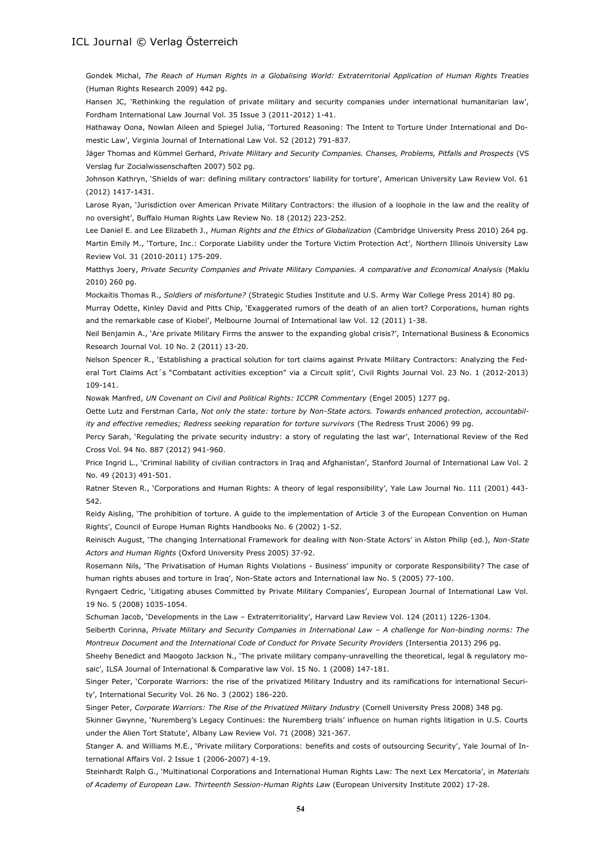Gondek Michal, *The Reach of Human Rights in a Globalising World: Extraterritorial Application of Human Rights Treaties* (Human Rights Research 2009) 442 pg.

Hansen JC, 'Rethinking the regulation of private military and security companies under international humanitarian law', Fordham International Law Journal Vol. 35 Issue 3 (2011-2012) 1-41.

Hathaway Oona, Nowlan Aileen and Spiegel Julia, 'Tortured Reasoning: The Intent to Torture Under International and Domestic Law', Virginia Journal of International Law Vol. 52 (2012) 791-837.

Jäger Thomas and Kümmel Gerhard, *Private Military and Security Companies. Chanses, Problems, Pitfalls and Prospects* (VS Verslag fur Zocialwissenschaften 2007) 502 pg.

Johnson Kathryn, 'Shields of war: defining military contractors' liability for torture', American University Law Review Vol. 61 (2012) 1417-1431.

Larose Ryan, 'Jurisdiction over American Private Military Contractors: the illusion of a loophole in the law and the reality of no oversight', Buffalo Human Rights Law Review No. 18 (2012) 223-252.

Lee Daniel E. and Lee Elizabeth J., *Human Rights and the Ethics of Globalization* (Cambridge University Press 2010) 264 pg. Martin Emily M., 'Torture, Inc.: Corporate Liability under the Torture Victim Protection Act', Northern Illinois University Law Review Vol. 31 (2010-2011) 175-209.

Matthys Joery, *Private Security Companies and Private Military Companies. A comparative and Economical Analysis* (Maklu 2010) 260 pg.

Mockaitis Thomas R., *Soldiers of misfortune?* (Strategic Studies Institute and U.S. Army War College Press 2014) 80 pg.

Murray Odette, Kinley David and Pitts Chip, 'Exaggerated rumors of the death of an alien tort? Corporations, human rights and the remarkable case of Kiobel', Melbourne Journal of International law Vol. 12 (2011) 1-38.

Neil Benjamin A., 'Are private Military Firms the answer to the expanding global crisis?', International Business & Economics Research Journal Vol. 10 No. 2 (2011) 13-20.

Nelson Spencer R., 'Establishing a practical solution for tort claims against Private Military Contractors: Analyzing the Federal Tort Claims Act´s "Combatant activities exception" via a Circuit split', Civil Rights Journal Vol. 23 No. 1 (2012-2013) 109-141.

Nowak Manfred, *UN Covenant on Civil and Political Rights: ICCPR Commentary* (Engel 2005) 1277 pg.

Oette Lutz and Ferstman Carla, *Not only the state: torture by Non-State actors. Towards enhanced protection, accountability and effective remedies; Redress seeking reparation for torture survivors* (The Redress Trust 2006) 99 pg.

Percy Sarah, 'Regulating the private security industry: a story of regulating the last war', International Review of the Red Cross Vol. 94 No. 887 (2012) 941-960.

Price Ingrid L., 'Criminal liability of civilian contractors in Iraq and Afghanistan', Stanford Journal of International Law Vol. 2 No. 49 (2013) 491-501.

Ratner Steven R., 'Corporations and Human Rights: A theory of legal responsibility', Yale Law Journal No. 111 (2001) 443- 542.

Reidy Aisling, 'The prohibition of torture. A guide to the implementation of Article 3 of the European Convention on Human Rights', Council of Europe Human Rights Handbooks No. 6 (2002) 1-52.

Reinisch August, 'The changing International Framework for dealing with Non-State Actors' in Alston Philip (ed.), *Non-State Actors and Human Rights* (Oxford University Press 2005) 37-92.

Rosemann Nils, 'The Privatisation of Human Rights Violations - Business' impunity or corporate Responsibility? The case of human rights abuses and torture in Iraq', Non-State actors and International law No. 5 (2005) 77-100.

Ryngaert Cedric, 'Litigating abuses Committed by Private Military Companies', European Journal of International Law Vol. 19 No. 5 (2008) 1035-1054.

Schuman Jacob, 'Developments in the Law – Extraterritoriality', Harvard Law Review Vol. 124 (2011) 1226-1304.

Seiberth Corinna, *Private Military and Security Companies in International Law – A challenge for Non-binding norms: The Montreux Document and the International Code of Conduct for Private Security Providers* (Intersentia 2013) 296 pg.

Sheehy Benedict and Maogoto Jackson N., 'The private military company-unravelling the theoretical, legal & regulatory mosaic', ILSA Journal of International & Comparative law Vol. 15 No. 1 (2008) 147-181.

Singer Peter, 'Corporate Warriors: the rise of the privatized Military Industry and its ramifications for international Security', International Security Vol. 26 No. 3 (2002) 186-220.

Singer Peter, *Corporate Warriors: The Rise of the Privatized Military Industry* (Cornell University Press 2008) 348 pg.

Skinner Gwynne, 'Nuremberg's Legacy Continues: the Nuremberg trials' influence on human rights litigation in U.S. Courts under the Alien Tort Statute', Albany Law Review Vol. 71 (2008) 321-367.

Stanger A. and Williams M.E., 'Private military Corporations: benefits and costs of outsourcing Security', Yale Journal of International Affairs Vol. 2 Issue 1 (2006-2007) 4-19.

Steinhardt Ralph G., 'Multinational Corporations and International Human Rights Law: The next Lex Mercatoria', in *Materials of Academy of European Law. Thirteenth Session-Human Rights Law* (European University Institute 2002) 17-28.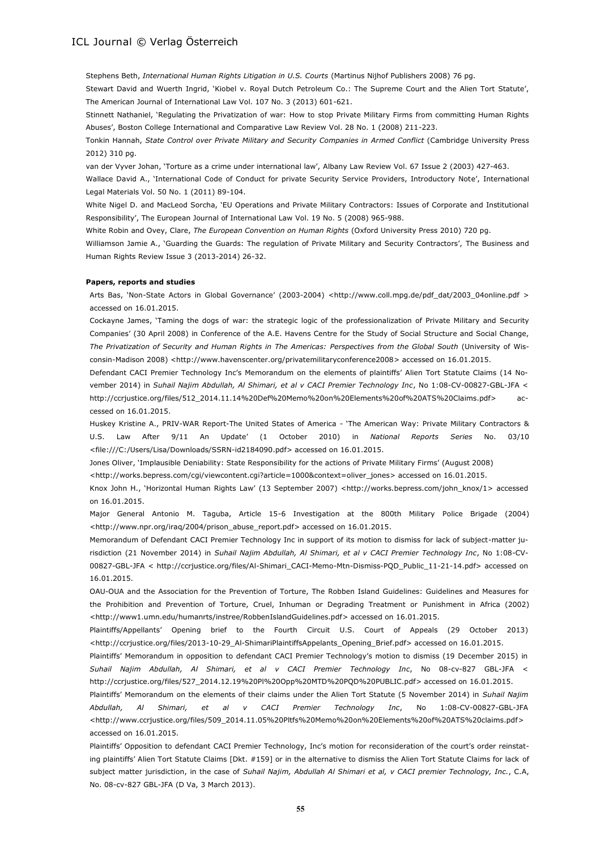Stephens Beth, *International Human Rights Litigation in U.S. Courts* (Martinus Nijhof Publishers 2008) 76 pg.

Stewart David and Wuerth Ingrid, 'Kiobel v. Royal Dutch Petroleum Co.: The Supreme Court and the Alien Tort Statute', The American Journal of International Law Vol. 107 No. 3 (2013) 601-621.

Stinnett Nathaniel, 'Regulating the Privatization of war: How to stop Private Military Firms from committing Human Rights Abuses', Boston College International and Comparative Law Review Vol. 28 No. 1 (2008) 211-223.

Tonkin Hannah, *State Control over Private Military and Security Companies in Armed Conflict* (Cambridge University Press 2012) 310 pg.

van der Vyver Johan, 'Torture as a crime under international law', Albany Law Review Vol. 67 Issue 2 (2003) 427-463.

Wallace David A., 'International Code of Conduct for private Security Service Providers, Introductory Note', International Legal Materials Vol. 50 No. 1 (2011) 89-104.

White Nigel D. and MacLeod Sorcha, 'EU Operations and Private Military Contractors: Issues of Corporate and Institutional Responsibility', The European Journal of International Law Vol. 19 No. 5 (2008) 965-988.

White Robin and Ovey, Clare, *The European Convention on Human Rights* (Oxford University Press 2010) 720 pg.

Williamson Jamie A., 'Guarding the Guards: The regulation of Private Military and Security Contractors', The Business and Human Rights Review Issue 3 (2013-2014) 26-32.

#### **Papers, reports and studies**

Arts Bas, 'Non-State Actors in Global Governance' (2003-2004) <http://www.coll.mpg.de/pdf\_dat/2003\_04online.pdf > accessed on 16.01.2015.

Cockayne James, 'Taming the dogs of war: the strategic logic of the professionalization of Private Military and Security Companies' (30 April 2008) in Conference of the A.E. Havens Centre for the Study of Social Structure and Social Change, *The Privatization of Security and Human Rights in The Americas: Perspectives from the Global South* (University of Wisconsin-Madison 2008) <http://www.havenscenter.org/privatemilitaryconference2008> accessed on 16.01.2015.

Defendant CACI Premier Technology Inc's Memorandum on the elements of plaintiffs' Alien Tort Statute Claims (14 November 2014) in *Suhail Najim Abdullah, Al Shimari, et al v CACI Premier Technology Inc*, No 1:08-CV-00827-GBL-JFA < http://ccrjustice.org/files/512\_2014.11.14%20Def%20Memo%20on%20Elements%20of%20ATS%20Claims.pdf> accessed on 16.01.2015.

Huskey Kristine A., PRIV-WAR Report-The United States of America - 'The American Way: Private Military Contractors & U.S. Law After 9/11 An Update' (1 October 2010) in *National Reports Series* No. 03/10 <file:///C:/Users/Lisa/Downloads/SSRN-id2184090.pdf> accessed on 16.01.2015.

Jones Oliver, 'Implausible Deniability: State Responsibility for the actions of Private Military Firms' (August 2008)

<http://works.bepress.com/cgi/viewcontent.cgi?article=1000&context=oliver\_jones> accessed on 16.01.2015.

Knox John H., 'Horizontal Human Rights Law' (13 September 2007) <http://works.bepress.com/john\_knox/1> accessed on 16.01.2015.

Major General Antonio M. Taguba, Article 15-6 Investigation at the 800th Military Police Brigade (2004) <http://www.npr.org/iraq/2004/prison\_abuse\_report.pdf> accessed on 16.01.2015.

Memorandum of Defendant CACI Premier Technology Inc in support of its motion to dismiss for lack of subject-matter jurisdiction (21 November 2014) in *Suhail Najim Abdullah, Al Shimari, et al v CACI Premier Technology Inc*, No 1:08-CV-00827-GBL-JFA < [http://ccrjustice.org/files/Al-Shimari\\_CACI-Memo-Mtn-Dismiss-PQD\\_Public\\_11-21-14.pdf>](http://ccrjustice.org/files/Al-Shimari_CACI-Memo-Mtn-Dismiss-PQD_Public_11-21-14.pdf) accessed on 16.01.2015.

OAU-OUA and the Association for the Prevention of Torture, The Robben Island Guidelines: Guidelines and Measures for the Prohibition and Prevention of Torture, Cruel, Inhuman or Degrading Treatment or Punishment in Africa (2002) <http://www1.umn.edu/humanrts/instree/RobbenIslandGuidelines.pdf> accessed on 16.01.2015.

Plaintiffs/Appellants' Opening brief to the Fourth Circuit U.S. Court of Appeals (29 October 2013) <http://ccrjustice.org/files/2013-10-29\_Al-ShimariPlaintiffsAppelants\_Opening\_Brief.pdf> accessed on 16.01.2015.

Plaintiffs' Memorandum in opposition to defendant CACI Premier Technology's motion to dismiss (19 December 2015) in *Suhail Najim Abdullah, Al Shimari, et al v CACI Premier Technology Inc*, No 08-cv-827 GBL-JFA < [http://ccrjustice.org/files/527\\_2014.12.19%20Pl%20Opp%20MTD%20PQD%20PUBLIC.pdf>](http://ccrjustice.org/files/527_2014.12.19%20Pl%20Opp%20MTD%20PQD%20PUBLIC.pdf) accessed on 16.01.2015.

Plaintiffs' Memorandum on the elements of their claims under the Alien Tort Statute (5 November 2014) in *Suhail Najim Abdullah, Al Shimari, et al v CACI Premier Technology Inc*, No 1:08-CV-00827-GBL-JFA [<http://www.ccrjustice.org/files/509\\_2014.11.05%20Pltfs%20Memo%20on%20Elements%20of%20ATS%20claims.pdf>](http://www.ccrjustice.org/files/509_2014.11.05%20Pltfs%20Memo%20on%20Elements%20of%20ATS%20claims.pdf) accessed on 16.01.2015.

Plaintiffs' Opposition to defendant CACI Premier Technology, Inc's motion for reconsideration of the court's order reinstating plaintiffs' Alien Tort Statute Claims [Dkt. #159] or in the alternative to dismiss the Alien Tort Statute Claims for lack of subject matter jurisdiction, in the case of *Suhail Najim, Abdullah Al Shimari et al, v CACI premier Technology, Inc.*, C.A, No. 08-cv-827 GBL-JFA (D Va, 3 March 2013).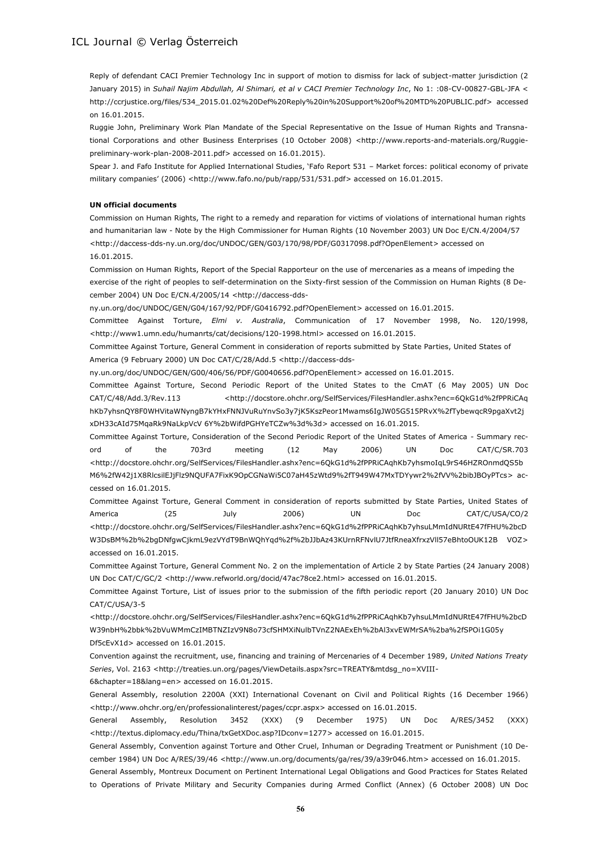Reply of defendant CACI Premier Technology Inc in support of motion to dismiss for lack of subject-matter jurisdiction (2 January 2015) in *Suhail Najim Abdullah, Al Shimari, et al v CACI Premier Technology Inc*, No 1: :08-CV-00827-GBL-JFA < [http://ccrjustice.org/files/534\\_2015.01.02%20Def%20Reply%20in%20Support%20of%20MTD%20PUBLIC.pdf>](http://ccrjustice.org/files/534_2015.01.02%20Def%20Reply%20in%20Support%20of%20MTD%20PUBLIC.pdf) accessed on 16.01.2015.

Ruggie John, Preliminary Work Plan Mandate of the Special Representative on the Issue of Human Rights and Transnational Corporations and other Business Enterprises (10 October 2008) <http://www.reports-and-materials.org/Ruggiepreliminary-work-plan-2008-2011.pdf> accessed on 16.01.2015).

Spear J. and Fafo Institute for Applied International Studies, 'Fafo Report 531 – Market forces: political economy of private military companies' (2006) [<http://www.fafo.no/pub/rapp/531/531.pdf>](http://www.fafo.no/pub/rapp/531/531.pdf) accessed on 16.01.2015.

#### **UN official documents**

Commission on Human Rights, The right to a remedy and reparation for victims of violations of international human rights and humanitarian law - Note by the High Commissioner for Human Rights (10 November 2003) UN Doc E/CN.4/2004/57 [<http://daccess-dds-ny.un.org/doc/UNDOC/GEN/G03/170/98/PDF/G0317098.pdf?OpenElement>](http://daccess-dds-ny.un.org/doc/UNDOC/GEN/G03/170/98/PDF/G0317098.pdf?OpenElement) accessed on 16.01.2015.

Commission on Human Rights, Report of the Special Rapporteur on the use of mercenaries as a means of impeding the exercise of the right of peoples to self-determination on the Sixty-first session of the Commission on Human Rights (8 December 2004) UN Doc E/CN.4/2005/14 [<http://daccess-dds-](http://daccess-dds-ny.un.org/doc/UNDOC/GEN/G04/167/92/PDF/G0416792.pdf?OpenElement)

[ny.un.org/doc/UNDOC/GEN/G04/167/92/PDF/G0416792.pdf?OpenElement>](http://daccess-dds-ny.un.org/doc/UNDOC/GEN/G04/167/92/PDF/G0416792.pdf?OpenElement) accessed on 16.01.2015.

Committee Against Torture, *Elmi v. Australia*, Communication of 17 November 1998, No. 120/1998, <http://www1.umn.edu/humanrts/cat/decisions/120-1998.html> accessed on 16.01.2015.

Committee Against Torture, General Comment in consideration of reports submitted by State Parties, United States of America (9 February 2000) UN Doc CAT/C/28/Add.5 [<http://daccess-dds-](http://daccess-dds-ny.un.org/doc/UNDOC/GEN/G00/406/56/PDF/G0040656.pdf?OpenElement)

[ny.un.org/doc/UNDOC/GEN/G00/406/56/PDF/G0040656.pdf?OpenElement>](http://daccess-dds-ny.un.org/doc/UNDOC/GEN/G00/406/56/PDF/G0040656.pdf?OpenElement) accessed on 16.01.2015.

Committee Against Torture, Second Periodic Report of the United States to the CmAT (6 May 2005) UN Doc CAT/C/48/Add.3/Rev.113 <http://docstore.ohchr.org/SelfServices/FilesHandler.ashx?enc=6QkG1d%2fPPRiCAq hKb7yhsnQY8F0WHVitaWNyngB7kYHxFNNJVuRuYnvSo3y7jK5KszPeor1Mwams6IgJW05G515PRvX%2fTybewqcR9pgaXvt2j xDH33cAId75MqaRk9NaLkpVcV 6Y%2bWifdPGHYeTCZw%3d%3d> accessed on 16.01.2015.

Committee Against Torture, Consideration of the Second Periodic Report of the United States of America - Summary record of the 703rd meeting (12 May 2006) UN Doc CAT/C/SR.703 [<http://docstore.ohchr.org/SelfServices/FilesHandler.ashx?enc=6QkG1d%2fPPRiCAqhKb7yhsmoIqL9rS46HZROnmdQS5b](http://docstore.ohchr.org/SelfServices/FilesHandler.ashx?enc=6QkG1d%2fPPRiCAqhKb7yhsmoIqL9rS46HZROnmdQS5bM6%2fW42j1X8RlcsilEJjFlz9NQUFA7FixK9OpCGNaWi5C07aH45zWtd9%2fT949W47MxTDYywr2%2fVV%2bibJBOyPTcs) [M6%2fW42j1X8RlcsilEJjFlz9NQUFA7FixK9OpCGNaWi5C07aH45zWtd9%2fT949W47MxTDYywr2%2fVV%2bibJBOyPTcs>](http://docstore.ohchr.org/SelfServices/FilesHandler.ashx?enc=6QkG1d%2fPPRiCAqhKb7yhsmoIqL9rS46HZROnmdQS5bM6%2fW42j1X8RlcsilEJjFlz9NQUFA7FixK9OpCGNaWi5C07aH45zWtd9%2fT949W47MxTDYywr2%2fVV%2bibJBOyPTcs) accessed on 16.01.2015.

Committee Against Torture, General Comment in consideration of reports submitted by State Parties, United States of America (25 July 2006) UN Doc CAT/C/USA/CO/2 <http://docstore.ohchr.org/SelfServices/FilesHandler.ashx?enc=6QkG1d%2fPPRiCAqhKb7yhsuLMmIdNURtE47fFHU%2bcD W3DsBM%2b%2bgDNfgwCjkmL9ezVYdT9BnWQhYqd%2f%2bJJbAz43KUrnRFNvlU7JtfRneaXfrxzVll57eBhtoOUK12B VOZ> accessed on 16.01.2015.

Committee Against Torture, General Comment No. 2 on the implementation of Article 2 by State Parties (24 January 2008) UN Doc CAT/C/GC/2 <http://www.refworld.org/docid/47ac78ce2.html> accessed on 16.01.2015.

Committee Against Torture, List of issues prior to the submission of the fifth periodic report (20 January 2010) UN Doc CAT/C/USA/3-5

<http://docstore.ohchr.org/SelfServices/FilesHandler.ashx?enc=6QkG1d%2fPPRiCAqhKb7yhsuLMmIdNURtE47fFHU%2bcD W39nbH%2bbk%2bVuWMmCzIMBTNZIzV9N8o73cfSHMXiNulbTVnZ2NAExEh%2bAl3xvEWMrSA%2ba%2fSPOi1G05y Df5cEvX1d> accessed on 16.01.2015.

Convention against the recruitment, use, financing and training of Mercenaries of 4 December 1989, *United Nations Treaty*  Series, Vol. 2163 [<http://treaties.un.org/pages/ViewDetails.aspx?src=TREATY&mtdsg\\_no=XVIII-](http://treaties.un.org/pages/ViewDetails.aspx?src=TREATY&mtdsg_no=XVIII-6&chapter=18&lang=en)

[6&chapter=18&lang=en>](http://treaties.un.org/pages/ViewDetails.aspx?src=TREATY&mtdsg_no=XVIII-6&chapter=18&lang=en) accessed on 16.01.2015.

General Assembly, resolution 2200A (XXI) International Covenant on Civil and Political Rights (16 December 1966) <http://www.ohchr.org/en/professionalinterest/pages/ccpr.aspx> accessed on 16.01.2015.

General Assembly, Resolution 3452 (XXX) (9 December 1975) UN Doc A/RES/3452 (XXX) <http://textus.diplomacy.edu/Thina/txGetXDoc.asp?IDconv=1277> accessed on 16.01.2015.

General Assembly, Convention against Torture and Other Cruel, Inhuman or Degrading Treatment or Punishment (10 December 1984) UN Doc A/RES/39/46 <http://www.un.org/documents/ga/res/39/a39r046.htm> accessed on 16.01.2015.

General Assembly, Montreux Document on Pertinent International Legal Obligations and Good Practices for States Related to Operations of Private Military and Security Companies during Armed Conflict (Annex) (6 October 2008) UN Doc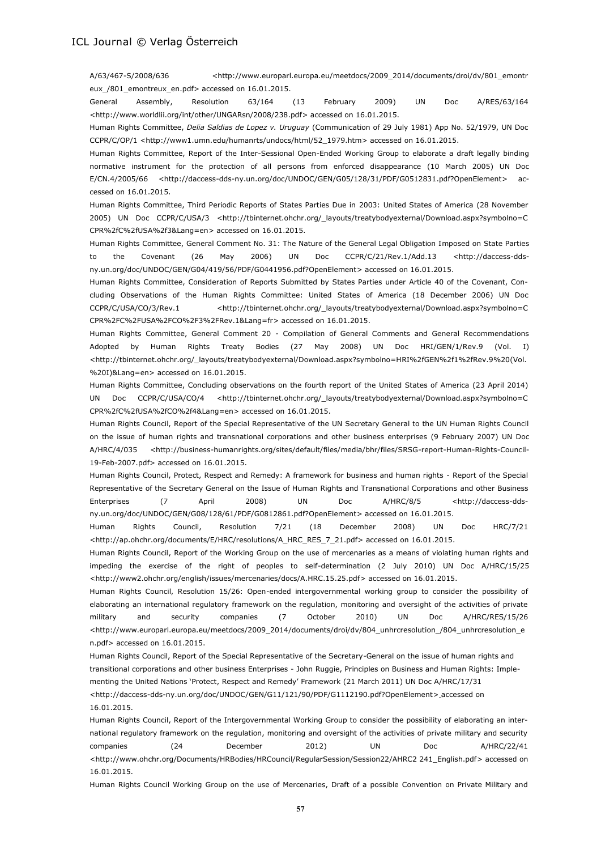A/63/467-S/2008/636 <http://www.europarl.europa.eu/meetdocs/2009\_2014/documents/droi/dv/801\_emontr eux\_/801\_emontreux\_en.pdf> accessed on 16.01.2015.

General Assembly, Resolution 63/164 (13 February 2009) UN Doc A/RES/63/164 <http://www.worldlii.org/int/other/UNGARsn/2008/238.pdf> accessed on 16.01.2015.

Human Rights Committee, *Delia Saldias de Lopez v. Uruguay* (Communication of 29 July 1981) App No. 52/1979, UN Doc CCPR/C/OP/1 <http://www1.umn.edu/humanrts/undocs/html/52\_1979.htm> accessed on 16.01.2015.

Human Rights Committee, Report of the Inter-Sessional Open-Ended Working Group to elaborate a draft legally binding normative instrument for the protection of all persons from enforced disappearance (10 March 2005) UN Doc E/CN.4/2005/66 <http://daccess-dds-ny.un.org/doc/UNDOC/GEN/G05/128/31/PDF/G0512831.pdf?OpenElement> accessed on 16.01.2015.

Human Rights Committee, Third Periodic Reports of States Parties Due in 2003: United States of America (28 November 2005) UN Doc CCPR/C/USA/3 <http://tbinternet.ohchr.org/\_layouts/treatybodyexternal/Download.aspx?symbolno=C CPR%2fC%2fUSA%2f3&Lang=en> accessed on 16.01.2015.

Human Rights Committee, General Comment No. 31: The Nature of the General Legal Obligation Imposed on State Parties to the Covenant (26 May 2006) UN Doc CCPR/C/21/Rev.1/Add.13 [<http://daccess-dds](http://daccess-dds-ny.un.org/doc/UNDOC/GEN/G04/419/56/PDF/G0441956.pdf?OpenElement)[ny.un.org/doc/UNDOC/GEN/G04/419/56/PDF/G0441956.pdf?OpenElement>](http://daccess-dds-ny.un.org/doc/UNDOC/GEN/G04/419/56/PDF/G0441956.pdf?OpenElement) accessed on 16.01.2015.

Human Rights Committee, Consideration of Reports Submitted by States Parties under Article 40 of the Covenant, Concluding Observations of the Human Rights Committee: United States of America (18 December 2006) UN Doc CCPR/C/USA/CO/3/Rev.1 <http://tbinternet.ohchr.org/\_layouts/treatybodyexternal/Download.aspx?symbolno=C CPR%2FC%2FUSA%2FCO%2F3%2FRev.1&Lang=fr> accessed on 16.01.2015.

Human Rights Committee, General Comment 20 - Compilation of General Comments and General Recommendations Adopted by Human Rights Treaty Bodies (27 May 2008) UN Doc HRI/GEN/1/Rev.9 (Vol. I) <http://tbinternet.ohchr.org/\_layouts/treatybodyexternal/Download.aspx?symbolno=HRI%2fGEN%2f1%2fRev.9%20(Vol. %20I)&Lang=en> accessed on 16.01.2015.

Human Rights Committee, Concluding observations on the fourth report of the United States of America (23 April 2014) UN Doc CCPR/C/USA/CO/4 <http://tbinternet.ohchr.org/\_layouts/treatybodyexternal/Download.aspx?symbolno=C CPR%2fC%2fUSA%2fCO%2f4&Lang=en> accessed on 16.01.2015.

Human Rights Council, Report of the Special Representative of the UN Secretary General to the UN Human Rights Council on the issue of human rights and transnational corporations and other business enterprises (9 February 2007) UN Doc A/HRC/4/035 <http://business-humanrights.org/sites/default/files/media/bhr/files/SRSG-report-Human-Rights-Council-19-Feb-2007.pdf> accessed on 16.01.2015.

Human Rights Council, Protect, Respect and Remedy: A framework for business and human rights - Report of the Special Representative of the Secretary General on the Issue of Human Rights and Transnational Corporations and other Business Enterprises (7 April 2008) UN Doc A/HRC/8/5 <http://daccess-ddsny.un.org/doc/UNDOC/GEN/G08/128/61/PDF/G0812861.pdf?OpenElement> accessed on 16.01.2015.

Human Rights Council, Resolution 7/21 (18 December 2008) UN Doc HRC/7/21 <http://ap.ohchr.org/documents/E/HRC/resolutions/A\_HRC\_RES\_7\_21.pdf> accessed on 16.01.2015.

Human Rights Council, Report of the Working Group on the use of mercenaries as a means of violating human rights and impeding the exercise of the right of peoples to self-determination (2 July 2010) UN Doc A/HRC/15/25 <http://www2.ohchr.org/english/issues/mercenaries/docs/A.HRC.15.25.pdf> accessed on 16.01.2015.

Human Rights Council, Resolution 15/26: Open-ended intergovernmental working group to consider the possibility of elaborating an international regulatory framework on the regulation, monitoring and oversight of the activities of private military and security companies (7 October 2010) UN Doc A/HRC/RES/15/26 <http://www.europarl.europa.eu/meetdocs/2009\_2014/documents/droi/dv/804\_unhrcresolution\_/804\_unhrcresolution\_e n.pdf> accessed on 16.01.2015.

Human Rights Council, Report of the Special Representative of the Secretary-General on the issue of human rights and transitional corporations and other business Enterprises - John Ruggie, Principles on Business and Human Rights: Imple-

menting the United Nations 'Protect, Respect and Remedy' Framework (21 March 2011) UN Doc A/HRC/17/31

<http://daccess-dds-ny.un.org/doc/UNDOC/GEN/G11/121/90/PDF/G1112190.pdf?OpenElement> accessed on 16.01.2015.

Human Rights Council, Report of the Intergovernmental Working Group to consider the possibility of elaborating an international regulatory framework on the regulation, monitoring and oversight of the activities of private military and security companies (24 December 2012) UN Doc A/HRC/22/41 <http://www.ohchr.org/Documents/HRBodies/HRCouncil/RegularSession/Session22/AHRC2 241\_English.pdf> accessed on 16.01.2015.

Human Rights Council Working Group on the use of Mercenaries, Draft of a possible Convention on Private Military and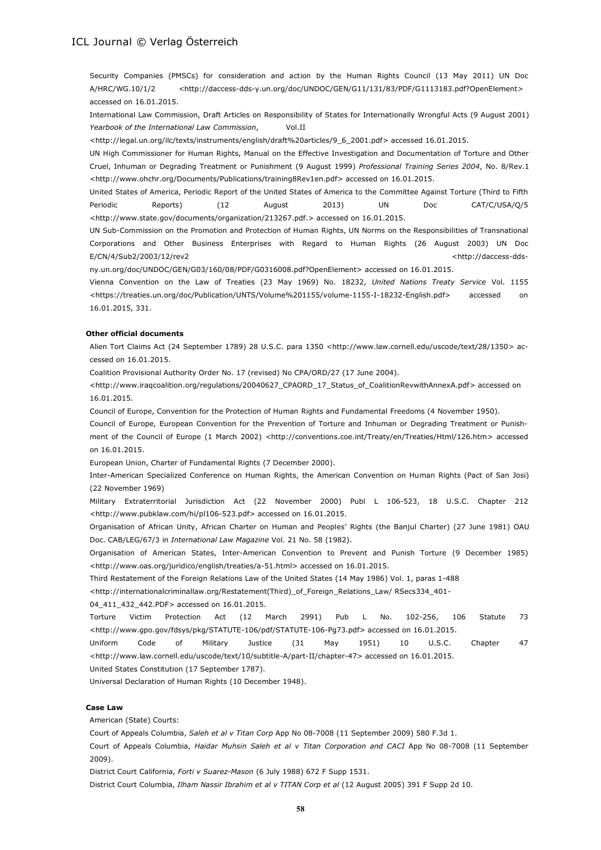Security Companies (PMSCs) for consideration and action by the Human Rights Council (13 May 2011) UN Doc A/HRC/WG.10/1/2 [<http://daccess-dds-y.un.org/doc/UNDOC/GEN/G11/131/83/PDF/G1113183.pdf?OpenElement>](http://daccess-dds-y.un.org/doc/UNDOC/GEN/G11/131/83/PDF/G1113183.pdf?OpenElement) accessed on 16.01.2015.

International Law Commission, Draft Articles on Responsibility of States for Internationally Wrongful Acts (9 August 2001) *Yearbook of the International Law Commission*, Vol.II

[<http://legal.un.org/ilc/texts/instruments/english/draft%20articles/9\\_6\\_2001.pdf>](http://legal.un.org/ilc/texts/instruments/english/draft%20articles/9_6_2001.pdf) accessed 16.01.2015.

UN High Commissioner for Human Rights, Manual on the Effective Investigation and Documentation of Torture and Other Cruel, Inhuman or Degrading Treatment or Punishment (9 August 1999) *Professional Training Series 2004*, No. 8/Rev.1 <http://www.ohchr.org/Documents/Publications/training8Rev1en.pdf> accessed on 16.01.2015.

United States of America, Periodic Report of the United States of America to the Committee Against Torture (Third to Fifth Periodic Reports) (12 August 2013) UN Doc CAT/C/USA/Q/5 <http://www.state.gov/documents/organization/213267.pdf.> accessed on 16.01.2015.

UN Sub-Commission on the Promotion and Protection of Human Rights, UN Norms on the Responsibilities of Transnational Corporations and Other Business Enterprises with Regard to Human Rights (26 August 2003) UN Doc E/CN/4/Sub2/2003/12/rev2 <http://daccess-dds-

ny.un.org/doc/UNDOC/GEN/G03/160/08/PDF/G0316008.pdf?OpenElement> accessed on 16.01.2015.

Vienna Convention on the Law of Treaties (23 May 1969) No. 18232, *United Nations Treaty Service* Vol. 1155 <https://treaties.un.org/doc/Publication/UNTS/Volume%201155/volume-1155-I-18232-English.pdf> accessed on 16.01.2015, 331.

#### **Other official documents**

Alien Tort Claims Act (24 September 1789) 28 U.S.C. para 1350 [<http://www.law.cornell.edu/uscode/text/28/1350>](http://www.law.cornell.edu/uscode/text/28/1350) accessed on 16.01.2015.

Coalition Provisional Authority Order No. 17 (revised) No CPA/ORD/27 (17 June 2004).

<http://www.iraqcoalition.org/regulations/20040627\_CPAORD\_17\_Status\_of\_CoalitionRevwithAnnexA.pdf> accessed on 16.01.2015.

Council of Europe, Convention for the Protection of Human Rights and Fundamental Freedoms (4 November 1950).

Council of Europe, European Convention for the Prevention of Torture and Inhuman or Degrading Treatment or Punishment of the Council of Europe (1 March 2002) <http://conventions.coe.int/Treaty/en/Treaties/Html/126.htm> accessed on 16.01.2015.

European Union, Charter of Fundamental Rights (7 December 2000).

Inter-American Specialized Conference on Human Rights, the American Convention on Human Rights (Pact of San Josi) (22 November 1969)

Military Extraterritorial Jurisdiction Act (22 November 2000) Publ L 106-523, 18 U.S.C. Chapter 212 <http://www.pubklaw.com/hi/pl106-523.pdf> accessed on 16.01.2015.

Organisation of African Unity, African Charter on Human and Peoples' Rights (the Banjul Charter) (27 June 1981) OAU Doc. CAB/LEG/67/3 in *International Law Magazine* Vol. 21 No. 58 (1982).

Organisation of American States, Inter-American Convention to Prevent and Punish Torture (9 December 1985) <http://www.oas.org/juridico/english/treaties/a-51.html> accessed on 16.01.2015.

Third Restatement of the Foreign Relations Law of the United States (14 May 1986) Vol. 1, paras 1-488

<http://internationalcriminallaw.org/Restatement(Third)\_of\_Foreign\_Relations\_Law/ RSecs334\_401-

04 411 432 442.PDF> accessed on 16.01.2015.

Torture Victim Protection Act (12 March 2991) Pub L No. 102-256, 106 Statute 73 <http://www.gpo.gov/fdsys/pkg/STATUTE-106/pdf/STATUTE-106-Pg73.pdf> accessed on 16.01.2015.

Uniform Code of Military Justice (31 May 1951) 10 U.S.C. Chapter 47 <http://www.law.cornell.edu/uscode/text/10/subtitle-A/part-II/chapter-47> accessed on 16.01.2015.

United States Constitution (17 September 1787).

Universal Declaration of Human Rights (10 December 1948).

#### **Case Law**

American (State) Courts:

Court of Appeals Columbia, *Saleh et al v Titan Corp* App No 08-7008 (11 September 2009) 580 F.3d 1.

Court of Appeals Columbia, *Haidar Muhsin Saleh et al v Titan Corporation and CACI* App No 08-7008 (11 September 2009).

District Court California, *Forti v Suarez-Mason* (6 July 1988) 672 F Supp 1531.

District Court Columbia, *Ilham Nassir Ibrahim et al v TITAN Corp et al* (12 August 2005) 391 F Supp 2d 10.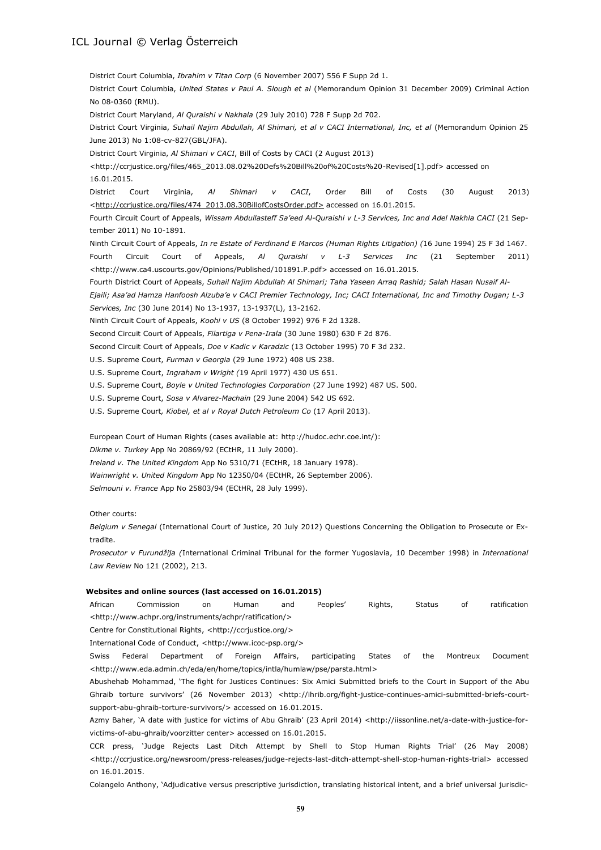District Court Columbia, *Ibrahim v Titan Corp* (6 November 2007) 556 F Supp 2d 1. District Court Columbia, *United States v Paul A. Slough et al* (Memorandum Opinion 31 December 2009) Criminal Action No 08-0360 (RMU). District Court Maryland, *Al Quraishi v Nakhala* (29 July 2010) 728 F Supp 2d 702. District Court Virginia, *Suhail Najim Abdullah, Al Shimari, et al v CACI International, Inc, et al* (Memorandum Opinion 25 June 2013) No 1:08-cv-827(GBL/JFA). District Court Virginia, *Al Shimari v CACI*, Bill of Costs by CACI (2 August 2013) <http://ccrjustice.org/files/465\_2013.08.02%20Defs%20Bill%20of%20Costs%20-Revised[1].pdf> accessed on 16.01.2015. District Court Virginia, *Al Shimari v CACI*, Order Bill of Costs (30 August 2013) <http://ccrjustice.org/files/474\_2013.08.30BillofCostsOrder.pdf> accessed on 16.01.2015. Fourth Circuit Court of Appeals, *Wissam Abdullasteff Sa'eed Al-Quraishi v L-3 Services, Inc and Adel Nakhla CACI* (21 September 2011) No 10-1891. Ninth Circuit Court of Appeals, *In re Estate of Ferdinand E Marcos (Human Rights Litigation) (*16 June 1994) 25 F 3d 1467. Fourth Circuit Court of Appeals, *Al Quraishi v L-3 Services Inc* (21 September 2011) <http://www.ca4.uscourts.gov/Opinions/Published/101891.P.pdf> accessed on 16.01.2015. Fourth District Court of Appeals, *Suhail Najim Abdullah Al Shimari; Taha Yaseen Arraq Rashid; Salah Hasan Nusaif Al-Ejaili; Asa'ad Hamza Hanfoosh Alzuba'e v CACI Premier Technology, Inc; CACI International, Inc and Timothy Dugan; L-3 Services, Inc* (30 June 2014) No 13-1937, 13-1937(L), 13-2162. Ninth Circuit Court of Appeals, *Koohi v US* (8 October 1992) 976 F 2d 1328. Second Circuit Court of Appeals, *Filartiga v Pena-Irala* (30 June 1980) 630 F 2d 876. Second Circuit Court of Appeals, *Doe v Kadic v Karadzic* (13 October 1995) 70 F 3d 232. U.S. Supreme Court, *Furman v Georgia* (29 June 1972) 408 US 238. U.S. Supreme Court, *Ingraham v Wright (*19 April 1977) 430 US 651. U.S. Supreme Court, *Boyle v United Technologies Corporation* (27 June 1992) 487 US. 500. U.S. Supreme Court, *Sosa v Alvarez-Machain* (29 June 2004) 542 US 692. U.S. Supreme Court*, Kiobel, et al v Royal Dutch Petroleum Co* (17 April 2013). European Court of Human Rights (cases available at[: http://hudoc.echr.coe.int/\)](http://hudoc.echr.coe.int/): *Dikme v. Turkey* App No 20869/92 (ECtHR, 11 July 2000). *Ireland v. The United Kingdom* App No 5310/71 (ECtHR, 18 January 1978). *Wainwright v. United Kingdom* App No 12350/04 (ECtHR, 26 September 2006). *Selmouni v. France* App No 25803/94 (ECtHR, 28 July 1999). Other courts: *Belgium v Senegal* (International Court of Justice, 20 July 2012) Questions Concerning the Obligation to Prosecute or Extradite.

*Prosecutor v Furundžija (*International Criminal Tribunal for the former Yugoslavia, 10 December 1998) in *International Law Review* No 121 (2002), 213.

#### **Websites and online sources (last accessed on 16.01.2015)**

African Commission on Human and Peoples' Rights, Status of ratification <http://www.achpr.org/instruments/achpr/ratification/>

Centre for Constitutional Rights, <http://ccrjustice.org/>

International Code of Conduct, <http://www.icoc-psp.org/>

Swiss Federal Department of Foreign Affairs, participating States of the Montreux Document <http://www.eda.admin.ch/eda/en/home/topics/intla/humlaw/pse/parsta.html>

Abushehab Mohammad, 'The fight for Justices Continues: Six Amici Submitted briefs to the Court in Support of the Abu Ghraib torture survivors' (26 November 2013) <http://ihrib.org/fight-justice-continues-amici-submitted-briefs-courtsupport-abu-ghraib-torture-survivors/> accessed on 16.01.2015.

Azmy Baher, 'A date with justice for victims of Abu Ghraib' (23 April 2014) <http://iissonline.net/a-date-with-justice-forvictims-of-abu-ghraib/voorzitter center> accessed on 16.01.2015.

CCR press, 'Judge Rejects Last Ditch Attempt by Shell to Stop Human Rights Trial' (26 May 2008) <http://ccrjustice.org/newsroom/press-releases/judge-rejects-last-ditch-attempt-shell-stop-human-rights-trial> accessed on 16.01.2015.

Colangelo Anthony, 'Adjudicative versus prescriptive jurisdiction, translating historical intent, and a brief universal jurisdic-